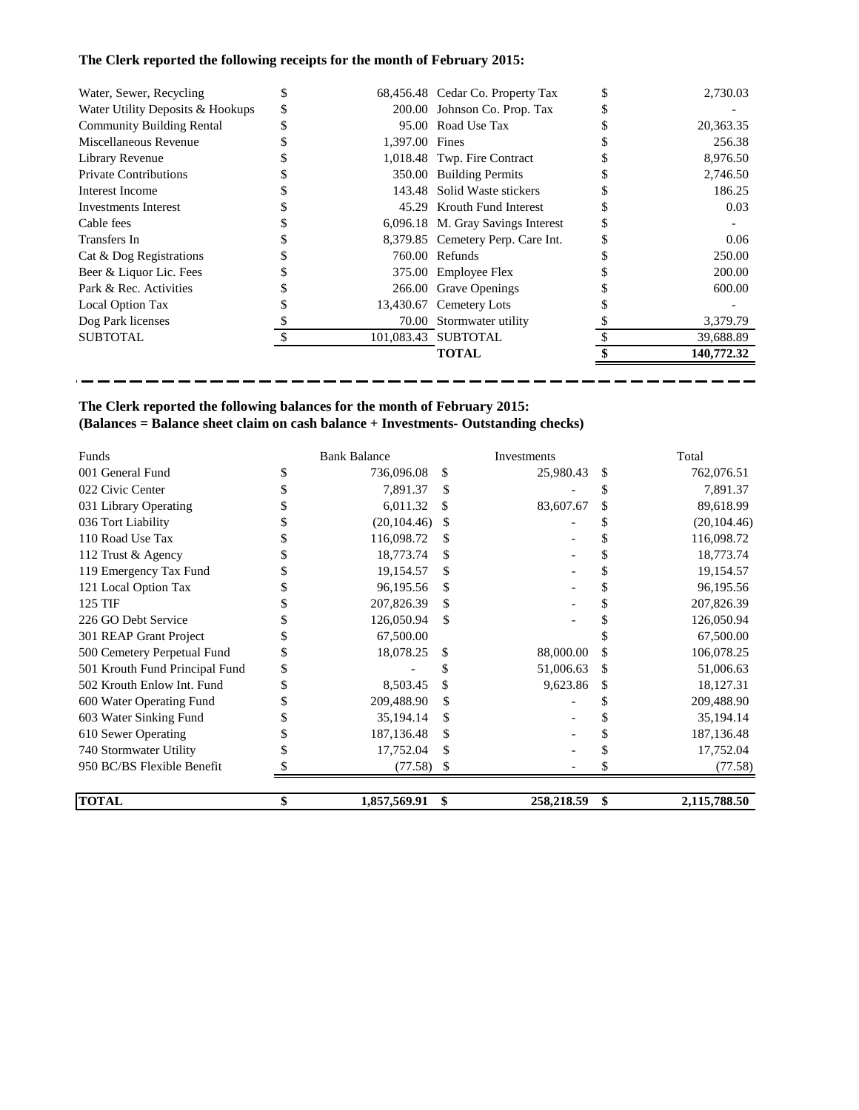# **The Clerk reported the following receipts for the month of February 2015:**

| Water, Sewer, Recycling          | S  |                | 68,456.48 Cedar Co. Property Tax  | 2,730.03   |
|----------------------------------|----|----------------|-----------------------------------|------------|
| Water Utility Deposits & Hookups | \$ |                | 200.00 Johnson Co. Prop. Tax      |            |
| <b>Community Building Rental</b> |    |                | 95.00 Road Use Tax                | 20,363.35  |
| Miscellaneous Revenue            |    | 1.397.00 Fines |                                   | 256.38     |
| Library Revenue                  |    |                | 1,018.48 Twp. Fire Contract       | 8,976.50   |
| <b>Private Contributions</b>     |    |                | 350.00 Building Permits           | 2,746.50   |
| Interest Income                  |    |                | 143.48 Solid Waste stickers       | 186.25     |
| Investments Interest             |    |                | 45.29 Krouth Fund Interest        | 0.03       |
| Cable fees                       |    |                | 6,096.18 M. Gray Savings Interest |            |
| Transfers In                     |    |                | 8,379.85 Cemetery Perp. Care Int. | 0.06       |
| Cat & Dog Registrations          |    |                | 760.00 Refunds                    | 250.00     |
| Beer & Liquor Lic. Fees          |    |                | 375.00 Employee Flex              | 200.00     |
| Park & Rec. Activities           |    |                | 266.00 Grave Openings             | 600.00     |
| Local Option Tax                 |    |                | 13,430.67 Cemetery Lots           |            |
| Dog Park licenses                |    |                | 70.00 Stormwater utility          | 3,379.79   |
| <b>SUBTOTAL</b>                  |    |                | 101.083.43 SUBTOTAL               | 39,688.89  |
|                                  |    |                | <b>TOTAL</b>                      | 140,772.32 |

--------------------

--------

----

# **The Clerk reported the following balances for the month of February 2015: (Balances = Balance sheet claim on cash balance + Investments- Outstanding checks)**

---

| Funds                          | <b>Bank Balance</b> |     | Investments |    | Total        |
|--------------------------------|---------------------|-----|-------------|----|--------------|
| 001 General Fund               | 736,096.08          | \$  | 25,980.43   | \$ | 762,076.51   |
| 022 Civic Center               | 7,891.37            | \$  |             | \$ | 7,891.37     |
| 031 Library Operating          | 6,011.32            | S   | 83,607.67   | \$ | 89,618.99    |
| 036 Tort Liability             | (20, 104.46)        |     |             |    | (20, 104.46) |
| 110 Road Use Tax               | 116,098.72          | S   |             |    | 116,098.72   |
| 112 Trust & Agency             | 18,773.74           | \$  |             |    | 18,773.74    |
| 119 Emergency Tax Fund         | 19,154.57           | \$. |             |    | 19,154.57    |
| 121 Local Option Tax           | 96,195.56           | \$. |             |    | 96,195.56    |
| 125 TIF                        | 207,826.39          | \$  |             |    | 207,826.39   |
| 226 GO Debt Service            | 126,050.94          | S   |             |    | 126,050.94   |
| 301 REAP Grant Project         | 67,500.00           |     |             |    | 67,500.00    |
| 500 Cemetery Perpetual Fund    | 18,078.25           | \$  | 88,000.00   | \$ | 106,078.25   |
| 501 Krouth Fund Principal Fund |                     |     | 51,006.63   | \$ | 51,006.63    |
| 502 Krouth Enlow Int. Fund     | 8,503.45            | \$  | 9,623.86    | S  | 18,127.31    |
| 600 Water Operating Fund       | 209,488.90          | S   |             |    | 209,488.90   |
| 603 Water Sinking Fund         | 35,194.14           | \$  |             |    | 35,194.14    |
| 610 Sewer Operating            | 187, 136. 48        |     |             |    | 187, 136. 48 |
| 740 Stormwater Utility         | 17,752.04           | \$. |             |    | 17,752.04    |
| 950 BC/BS Flexible Benefit     | (77.58)             | \$  |             |    | (77.58)      |
| <b>TOTAL</b>                   | \$<br>1,857,569.91  | \$  | 258,218.59  | \$ | 2,115,788.50 |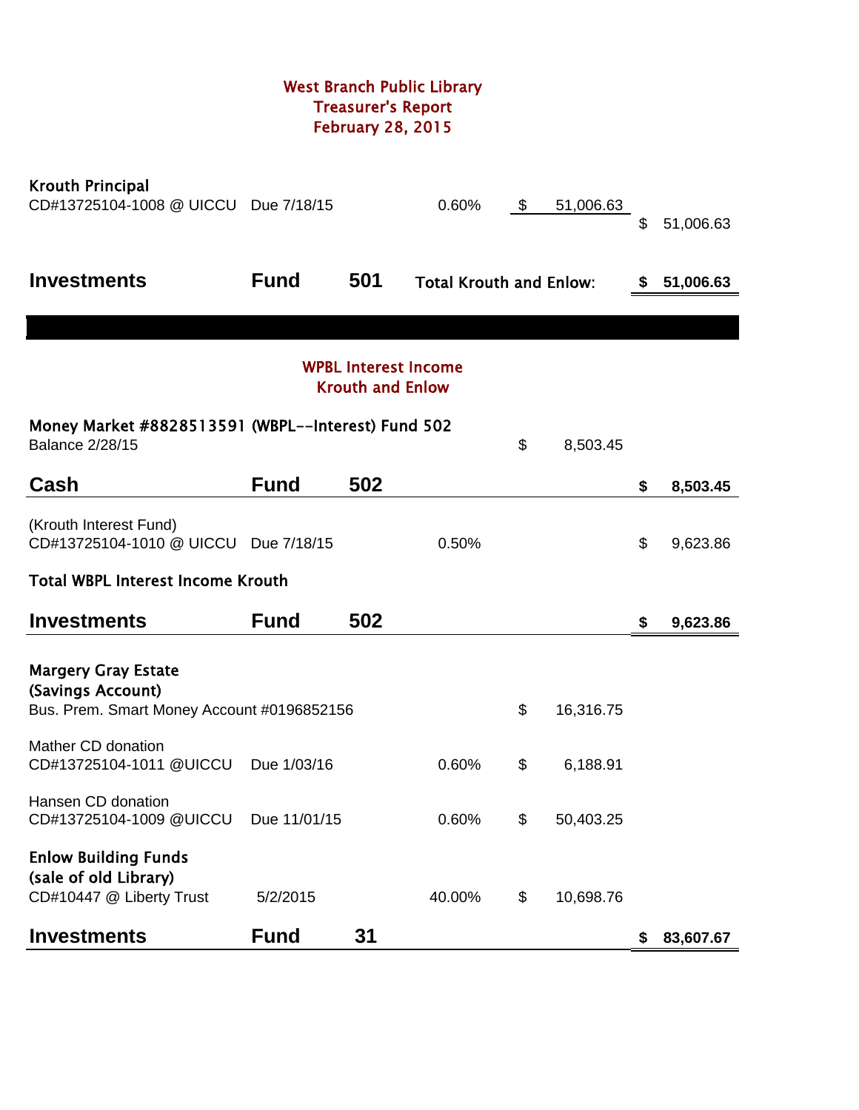# West Branch Public Library Treasurer's Report February 28, 2015

| <b>Krouth Principal</b><br>CD#13725104-1008 @ UICCU                                           | Due 7/18/15  |                         | 0.60%                          | \$<br>51,006.63 | \$ | 51,006.63 |
|-----------------------------------------------------------------------------------------------|--------------|-------------------------|--------------------------------|-----------------|----|-----------|
| <b>Investments</b>                                                                            | <b>Fund</b>  | 501                     | <b>Total Krouth and Enlow:</b> |                 | S  | 51,006.63 |
|                                                                                               |              |                         |                                |                 |    |           |
|                                                                                               |              | <b>Krouth and Enlow</b> | <b>WPBL Interest Income</b>    |                 |    |           |
| Money Market #8828513591 (WBPL--Interest) Fund 502<br><b>Balance 2/28/15</b>                  |              |                         |                                | \$<br>8,503.45  |    |           |
| Cash                                                                                          | <b>Fund</b>  | 502                     |                                |                 | \$ | 8,503.45  |
| (Krouth Interest Fund)<br>CD#13725104-1010 @ UICCU Due 7/18/15                                |              |                         | 0.50%                          |                 | \$ | 9,623.86  |
| <b>Total WBPL Interest Income Krouth</b>                                                      |              |                         |                                |                 |    |           |
| <b>Investments</b>                                                                            | <b>Fund</b>  | 502                     |                                |                 | \$ | 9,623.86  |
| <b>Margery Gray Estate</b><br>(Savings Account)<br>Bus. Prem. Smart Money Account #0196852156 |              |                         |                                | \$<br>16,316.75 |    |           |
| Mather CD donation<br>CD#13725104-1011 @UICCU                                                 | Due 1/03/16  |                         | 0.60%                          | \$<br>6,188.91  |    |           |
| Hansen CD donation<br>CD#13725104-1009 @UICCU                                                 | Due 11/01/15 |                         | 0.60%                          | \$<br>50,403.25 |    |           |
| <b>Enlow Building Funds</b><br>(sale of old Library)<br>CD#10447 @ Liberty Trust              | 5/2/2015     |                         | 40.00%                         | \$<br>10,698.76 |    |           |
| <b>Investments</b>                                                                            | <b>Fund</b>  | 31                      |                                |                 | \$ | 83,607.67 |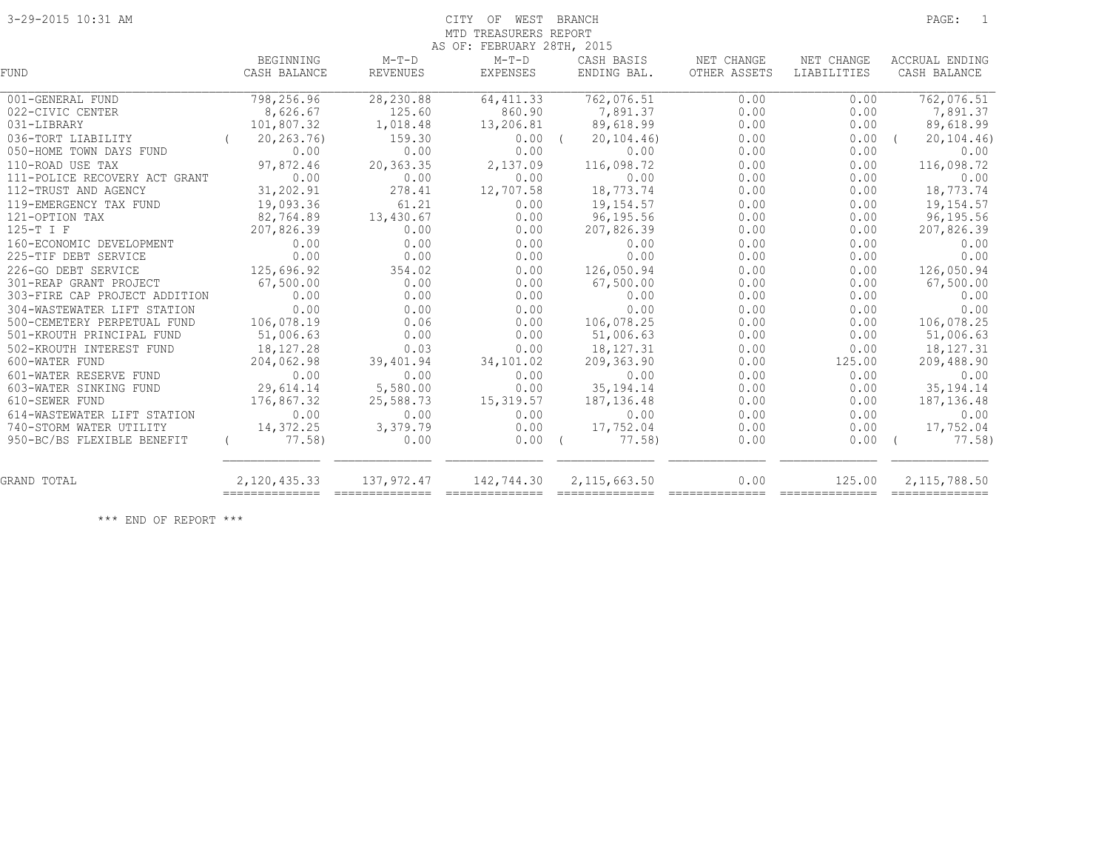# 3-29-2015 10:31 AM CITY OF WEST BRANCH PAGE: 1 MTD TREASURERS REPORT

|                               |                                |                            | AS OF: FEBRUARY 28TH, 2015 |                           |                            |                           |                                |
|-------------------------------|--------------------------------|----------------------------|----------------------------|---------------------------|----------------------------|---------------------------|--------------------------------|
| <b>FUND</b>                   | BEGINNING<br>CASH BALANCE      | $M-T-D$<br><b>REVENUES</b> | $M-T-D$<br>EXPENSES        | CASH BASIS<br>ENDING BAL. | NET CHANGE<br>OTHER ASSETS | NET CHANGE<br>LIABILITIES | ACCRUAL ENDING<br>CASH BALANCE |
|                               |                                |                            |                            |                           |                            |                           |                                |
| 001-GENERAL FUND              | 798,256.96                     | 28, 230.88                 | 64, 411.33                 | 762,076.51                | 0.00                       | 0.00                      | 762,076.51                     |
| 022-CIVIC CENTER              | 8,626.67                       | 125.60                     | 860.90                     | 7,891.37                  | 0.00                       | 0.00                      | 7,891.37                       |
| 031-LIBRARY                   | 101,807.32                     | 1,018.48                   | 13,206.81                  | 89,618.99                 | 0.00                       | 0.00                      | 89,618.99                      |
| 036-TORT LIABILITY            | 20,263.76)                     | 159.30                     | 0.00                       | 20, 104, 46               | 0.00                       | 0.00                      | 20, 104.46                     |
| 050-HOME TOWN DAYS FUND       | 0.00                           | 0.00                       | 0.00                       | 0.00                      | 0.00                       | 0.00                      | 0.00                           |
| 110-ROAD USE TAX              | 97,872.46                      | 20,363.35                  | 2,137.09                   | 116,098.72                | 0.00                       | 0.00                      | 116,098.72                     |
| 111-POLICE RECOVERY ACT GRANT | 0.00                           | 0.00                       | 0.00                       | 0.00                      | 0.00                       | 0.00                      | 0.00                           |
| 112-TRUST AND AGENCY          | 31,202.91                      | 278.41                     | 12,707.58                  | 18,773.74                 | 0.00                       | 0.00                      | 18,773.74                      |
| 119-EMERGENCY TAX FUND        | 19,093.36                      | 61.21                      | 0.00                       | 19,154.57                 | 0.00                       | 0.00                      | 19,154.57                      |
| 121-OPTION TAX                | 82,764.89                      | 13,430.67                  | 0.00                       | 96,195.56                 | 0.00                       | 0.00                      | 96,195.56                      |
| 125-T I F                     | 207,826.39                     | 0.00                       | 0.00                       | 207,826.39                | 0.00                       | 0.00                      | 207,826.39                     |
| 160-ECONOMIC DEVELOPMENT      | 0.00                           | 0.00                       | 0.00                       | 0.00                      | 0.00                       | 0.00                      | 0.00                           |
| 225-TIF DEBT SERVICE          | 0.00                           | 0.00                       | 0.00                       | 0.00                      | 0.00                       | 0.00                      | 0.00                           |
| 226-GO DEBT SERVICE           | 125,696.92                     | 354.02                     | 0.00                       | 126,050.94                | 0.00                       | 0.00                      | 126,050.94                     |
| 301-REAP GRANT PROJECT        | 67,500.00                      | 0.00                       | 0.00                       | 67,500.00                 | 0.00                       | 0.00                      | 67,500.00                      |
| 303-FIRE CAP PROJECT ADDITION | 0.00                           | 0.00                       | 0.00                       | 0.00                      | 0.00                       | 0.00                      | 0.00                           |
| 304-WASTEWATER LIFT STATION   | 0.00                           | 0.00                       | 0.00                       | 0.00                      | 0.00                       | 0.00                      | 0.00                           |
| 500-CEMETERY PERPETUAL FUND   | 106,078.19                     | 0.06                       | 0.00                       | 106,078.25                | 0.00                       | 0.00                      | 106,078.25                     |
| 501-KROUTH PRINCIPAL FUND     | 51,006.63                      | 0.00                       | 0.00                       | 51,006.63                 | 0.00                       | 0.00                      | 51,006.63                      |
| 502-KROUTH INTEREST FUND      | 18,127.28                      | 0.03                       | 0.00                       | 18,127.31                 | 0.00                       | 0.00                      | 18, 127. 31                    |
| 600-WATER FUND                | 204,062.98                     | 39,401.94                  | 34,101.02                  | 209,363.90                | 0.00                       | 125.00                    | 209,488.90                     |
| 601-WATER RESERVE FUND        | 0.00                           | 0.00                       | 0.00                       | 0.00                      | 0.00                       | 0.00                      | 0.00                           |
| 603-WATER SINKING FUND        | 29,614.14                      | 5,580.00                   | 0.00                       | 35, 194. 14               | 0.00                       | 0.00                      | 35, 194. 14                    |
| 610-SEWER FUND                | 176,867.32                     | 25,588.73                  | 15,319.57                  | 187, 136.48               | 0.00                       | 0.00                      | 187, 136.48                    |
| 614-WASTEWATER LIFT STATION   | 0.00                           | 0.00                       | 0.00                       | 0.00                      | 0.00                       | 0.00                      | 0.00                           |
| 740-STORM WATER UTILITY       | 14,372.25                      | 3,379.79                   | 0.00                       | 17,752.04                 | 0.00                       | 0.00                      | 17,752.04                      |
| 950-BC/BS FLEXIBLE BENEFIT    | 77.58)                         | 0.00                       | $0.00$ (                   | 77.58)                    | 0.00                       | 0.00                      | 77.58)<br>$\sqrt{2}$           |
| GRAND TOTAL                   | 2,120,435.33<br>============== | 137,972.47                 | 142,744.30                 | 2,115,663.50              | 0.00                       | 125.00                    | 2,115,788.50                   |

\*\*\* END OF REPORT \*\*\*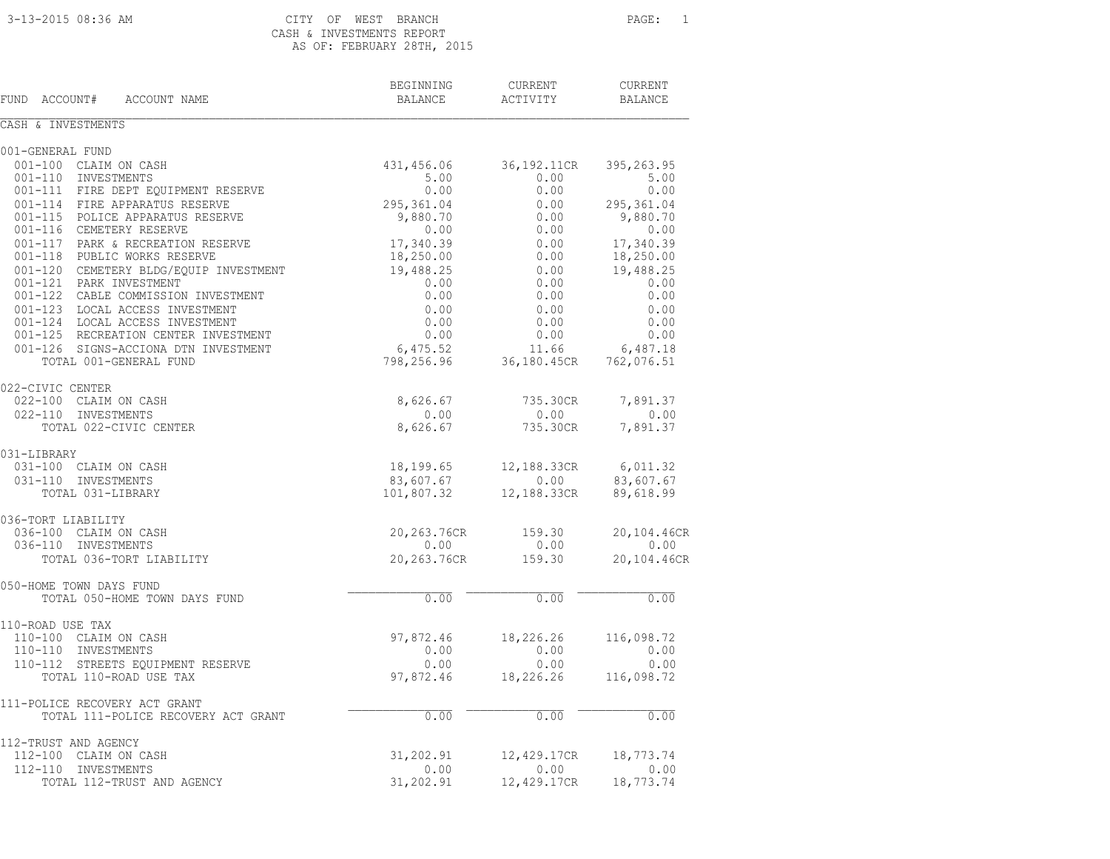# CASH & INVESTMENTS REPORT AS OF: FEBRUARY 28TH, 2015

| FUND<br>ACCOUNT#<br>ACCOUNT NAME                                   | BEGINNING<br><b>BALANCE</b> | <b>CURRENT</b><br>ACTIVITY | <b>CURRENT</b><br><b>BALANCE</b> |
|--------------------------------------------------------------------|-----------------------------|----------------------------|----------------------------------|
| CASH & INVESTMENTS                                                 |                             |                            |                                  |
| 001-GENERAL FUND                                                   |                             |                            |                                  |
| 001-100 CLAIM ON CASH                                              | 431,456.06                  | 36,192.11CR                | 395,263.95                       |
| 001-110 INVESTMENTS                                                | 5.00                        | 0.00                       | 5.00                             |
| 001-111 FIRE DEPT EQUIPMENT RESERVE                                | 0.00                        | 0.00                       | 0.00                             |
| 001-114 FIRE APPARATUS RESERVE                                     | 295,361.04                  | 0.00                       | 295,361.04                       |
| 001-115 POLICE APPARATUS RESERVE                                   | 9,880.70                    | 0.00                       | 9,880.70                         |
| 001-116 CEMETERY RESERVE                                           | 0.00                        | 0.00                       | 0.00                             |
| 001-117 PARK & RECREATION RESERVE                                  | 17,340.39                   | 0.00                       | 17,340.39                        |
| 001-118 PUBLIC WORKS RESERVE                                       | 18,250.00                   | 0.00                       | 18,250.00                        |
| 001-120 CEMETERY BLDG/EQUIP INVESTMENT                             | 19,488.25                   | 0.00                       | 19,488.25                        |
| 001-121 PARK INVESTMENT                                            | 0.00                        | 0.00                       | 0.00                             |
| 001-122 CABLE COMMISSION INVESTMENT                                | 0.00                        | 0.00                       | 0.00                             |
| 001-123 LOCAL ACCESS INVESTMENT<br>001-124 LOCAL ACCESS INVESTMENT | 0.00<br>0.00                | 0.00<br>0.00               | 0.00<br>0.00                     |
| 001-125 RECREATION CENTER INVESTMENT                               | 0.00                        | 0.00                       | 0.00                             |
| 001-126 SIGNS-ACCIONA DTN INVESTMENT                               | 6,475.52                    | 11.66                      | 6,487.18                         |
| TOTAL 001-GENERAL FUND                                             | 798,256.96                  | 36,180.45CR                | 762,076.51                       |
| 022-CIVIC CENTER                                                   |                             |                            |                                  |
| 022-100 CLAIM ON CASH                                              | 8,626.67                    | 735.30CR                   | 7,891.37                         |
| 022-110 INVESTMENTS                                                | 0.00                        | 0.00                       | 0.00                             |
| TOTAL 022-CIVIC CENTER                                             | 8,626.67                    | 735.30CR                   | 7,891.37                         |
| 031-LIBRARY                                                        |                             |                            |                                  |
| 031-100 CLAIM ON CASH                                              | 18,199.65                   | 12,188.33CR                | 6,011.32                         |
| 031-110 INVESTMENTS                                                | 83,607.67                   | 0.00                       | 83,607.67                        |
| TOTAL 031-LIBRARY                                                  | 101,807.32                  | 12,188.33CR                | 89,618.99                        |
| 036-TORT LIABILITY                                                 |                             |                            |                                  |
| 036-100 CLAIM ON CASH<br>036-110 INVESTMENTS                       | 20,263.76CR<br>0.00         | 159.30<br>0.00             | 20,104.46CR<br>0.00              |
| TOTAL 036-TORT LIABILITY                                           | 20,263.76CR                 | 159.30                     | 20,104.46CR                      |
|                                                                    |                             |                            |                                  |
| 050-HOME TOWN DAYS FUND<br>TOTAL 050-HOME TOWN DAYS FUND           | 0.00                        | 0.00                       | 0.00                             |
|                                                                    |                             |                            |                                  |
| 110-ROAD USE TAX<br>110-100 CLAIM ON CASH                          | 97,872.46                   | 18,226.26                  | 116,098.72                       |
| 110-110 INVESTMENTS                                                | 0.00                        | 0.00                       | 0.00                             |
| 110-112 STREETS EQUIPMENT RESERVE                                  | 0.00                        | 0.00                       | 0.00                             |
| TOTAL 110-ROAD USE TAX                                             | 97,872.46                   | 18,226.26                  | 116,098.72                       |
|                                                                    |                             |                            |                                  |
| 111-POLICE RECOVERY ACT GRANT                                      |                             |                            |                                  |
| TOTAL 111-POLICE RECOVERY ACT GRANT                                | 0.00                        | 0.00                       | 0.00                             |
| 112-TRUST AND AGENCY                                               |                             |                            |                                  |
| 112-100 CLAIM ON CASH                                              | 31,202.91                   | 12,429.17CR                | 18,773.74                        |
| 112-110 INVESTMENTS<br>TOTAL 112-TRUST AND AGENCY                  | 0.00<br>31,202.91           | 0.00<br>12,429.17CR        | 0.00<br>18,773.74                |
|                                                                    |                             |                            |                                  |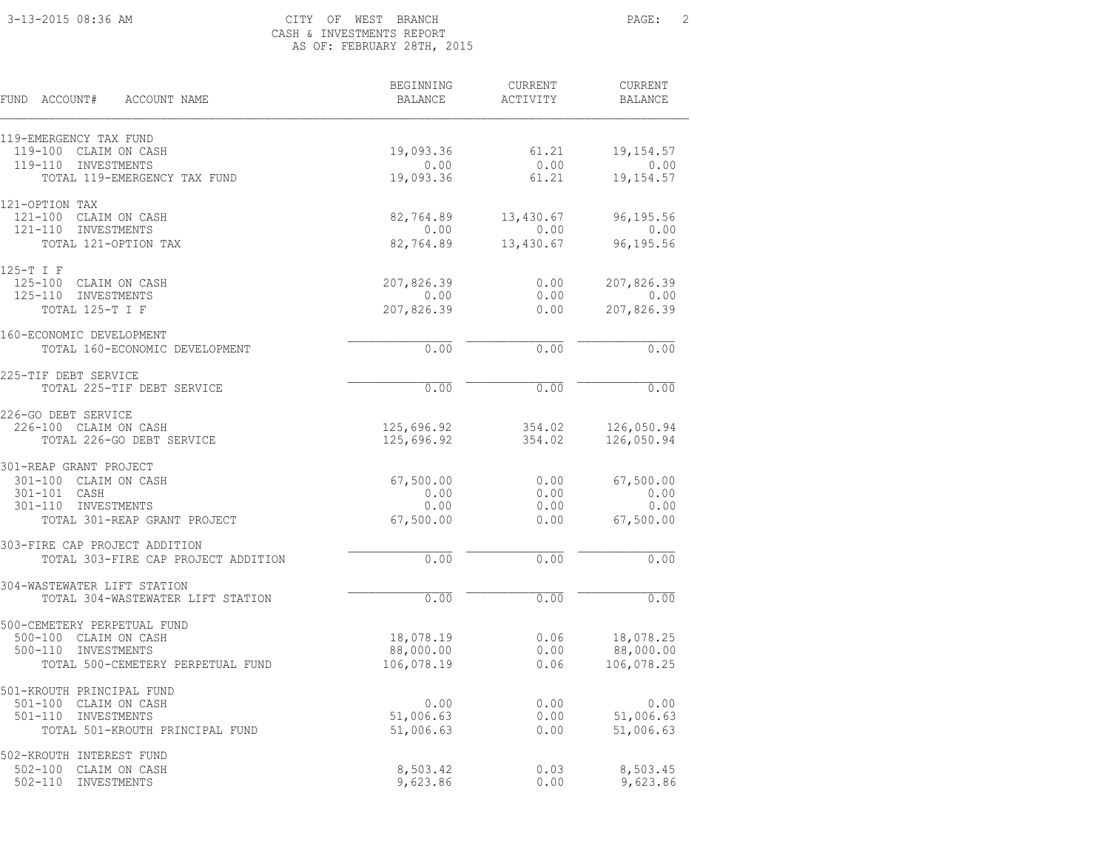### 3-13-2015 08:36 AM CITY OF WEST BRANCH PAGE: 2 CASH & INVESTMENTS REPORT AS OF: FEBRUARY 28TH, 2015

| FUND ACCOUNT#<br>ACCOUNT NAME                                        | BEGINNING<br><b>BALANCE</b> | CURRENT<br>ACTIVITY             | <b>CURRENT</b><br><b>BALANCE</b> |
|----------------------------------------------------------------------|-----------------------------|---------------------------------|----------------------------------|
|                                                                      |                             |                                 |                                  |
| 119-EMERGENCY TAX FUND<br>119-100<br>CLAIM ON CASH                   | 19,093.36                   | 61.21                           | 19, 154.57                       |
| INVESTMENTS<br>119-110                                               | 0.00                        | 0.00                            | 0.00                             |
| TOTAL 119-EMERGENCY TAX FUND                                         | 19,093.36                   | 61.21                           | 19, 154.57                       |
| 121-OPTION TAX                                                       |                             |                                 |                                  |
| 121-100 CLAIM ON CASH                                                | 82,764.89                   | 13,430.67                       | 96,195.56                        |
| $121 - 110$<br>INVESTMENTS<br>TOTAL 121-OPTION TAX                   | 0.00<br>82,764.89           | 0.00<br>13,430.67               | 0.00<br>96,195.56                |
| 125-T I F                                                            |                             |                                 |                                  |
| $125 - 100$<br>CLAIM ON CASH                                         | 207,826.39                  | 0.00                            | 207,826.39                       |
| $125 - 110$<br>INVESTMENTS                                           | 0.00                        | 0.00                            | 0.00                             |
| TOTAL 125-T I F                                                      | 207,826.39                  | 0.00                            | 207,826.39                       |
| 160-ECONOMIC DEVELOPMENT                                             |                             |                                 |                                  |
| TOTAL 160-ECONOMIC DEVELOPMENT                                       | 0.00                        | 0.00                            | 0.00                             |
| 225-TIF DEBT SERVICE                                                 |                             |                                 |                                  |
| TOTAL 225-TIF DEBT SERVICE                                           | 0.00                        | 0.00                            | 0.00                             |
| 226-GO DEBT SERVICE                                                  |                             |                                 |                                  |
| 226-100 CLAIM ON CASH<br>TOTAL 226-GO DEBT SERVICE                   | 125,696.92<br>125,696.92    | 354.02<br>354.02                | 126,050.94<br>126,050.94         |
| 301-REAP GRANT PROJECT                                               |                             |                                 |                                  |
| 301-100 CLAIM ON CASH                                                | 67,500.00                   | 0.00                            | 67,500.00                        |
| 301-101 CASH                                                         | 0.00                        | 0.00                            | 0.00                             |
| 301-110 INVESTMENTS                                                  | 0.00                        | 0.00                            | 0.00                             |
| TOTAL 301-REAP GRANT PROJECT                                         | 67,500.00                   | 0.00                            | 67,500.00                        |
| 303-FIRE CAP PROJECT ADDITION<br>TOTAL 303-FIRE CAP PROJECT ADDITION | 0.00                        | 0.00                            | 0.00                             |
|                                                                      |                             |                                 |                                  |
| 304-WASTEWATER LIFT STATION<br>TOTAL 304-WASTEWATER LIFT STATION     | 0.00                        | 0.00                            | 0.00                             |
| 500-CEMETERY PERPETUAL FUND                                          |                             |                                 |                                  |
| $500 - 100$<br>CLAIM ON CASH                                         | 18,078.19                   | 0.06                            | 18,078.25                        |
| $500 - 110$<br>INVESTMENTS                                           | 88,000.00                   | 0.00                            | 88,000.00                        |
| TOTAL 500-CEMETERY PERPETUAL FUND                                    | 106,078.19                  | 0.06                            | 106,078.25                       |
| 501-KROUTH PRINCIPAL FUND                                            |                             |                                 |                                  |
| $501 - 100$<br>CLAIM ON CASH                                         | 0.00                        | 0.00                            | 0.00                             |
| $501 - 110$<br>INVESTMENTS<br>TOTAL 501-KROUTH PRINCIPAL FUND        | 51,006.63<br>51,006.63      | 0.00<br>0.00                    | 51,006.63<br>51,006.63           |
|                                                                      |                             |                                 |                                  |
| 502-KROUTH INTEREST FUND<br>$502 - 100$<br>CLAIM ON CASH             | 8,503.42                    | 0.03                            | 8,503.45                         |
| $502 - 110$<br>INVESTMENTS                                           | 9,623.86                    | ${\bf 0}$ . ${\bf 0}$ ${\bf 0}$ | 9,623.86                         |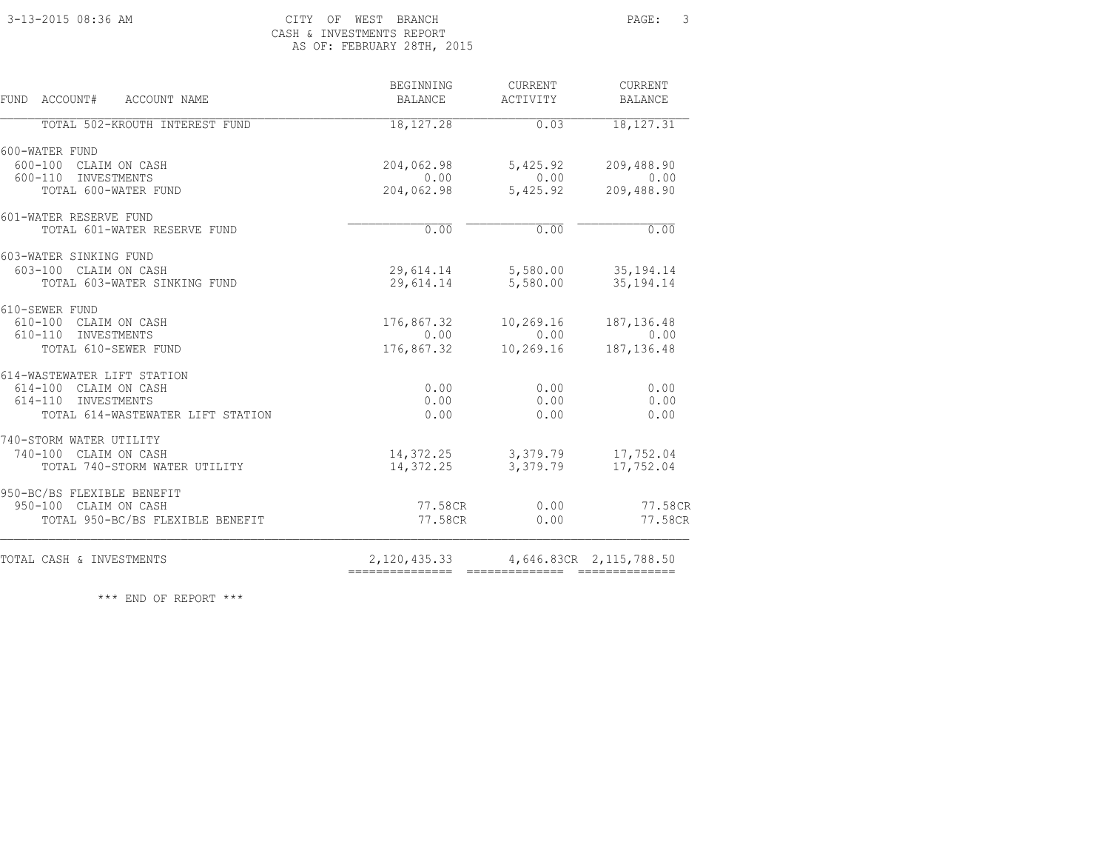### 3-13-2015 08:36 AM CITY OF WEST BRANCH PAGE: 3 CASH & INVESTMENTS REPORT AS OF: FEBRUARY 28TH, 2015

| <b>FUND</b><br>ACCOUNT# ACCOUNT NAME | BEGINNING<br><b>BALANCE</b>      | CURRENT<br>ACTIVITY          | <b>CURRENT</b><br><b>BALANCE</b> |
|--------------------------------------|----------------------------------|------------------------------|----------------------------------|
| TOTAL 502-KROUTH INTEREST FUND       | 18,127.28                        | 0.03                         | 18, 127.31                       |
| 600-WATER FUND                       |                                  |                              |                                  |
| 600-100 CLAIM ON CASH                | 204,062.98                       | 5,425.92                     | 209,488.90                       |
| 600-110 INVESTMENTS                  | 0.00                             | 0.00                         | 0.00                             |
| TOTAL 600-WATER FUND                 | 204,062.98                       | 5,425.92                     | 209,488.90                       |
| 601-WATER RESERVE FUND               |                                  |                              |                                  |
| TOTAL 601-WATER RESERVE FUND         | 0.00                             | 0.00                         | 0.00                             |
| 603-WATER SINKING FUND               |                                  |                              |                                  |
| 603-100 CLAIM ON CASH                |                                  | 29,614.14 5,580.00 35,194.14 |                                  |
| TOTAL 603-WATER SINKING FUND         | 29,614.14                        | 5,580.00                     | 35, 194. 14                      |
| 610-SEWER FUND                       |                                  |                              |                                  |
| 610-100 CLAIM ON CASH                | 176,867.32                       | 10,269.16                    | 187, 136.48                      |
| 610-110 INVESTMENTS                  | 0.00                             | 0.00                         | 0.00                             |
| TOTAL 610-SEWER FUND                 | 176,867.32                       | 10,269.16                    | 187, 136.48                      |
| 614-WASTEWATER LIFT STATION          |                                  |                              |                                  |
| 614-100 CLAIM ON CASH                | 0.00                             | 0.00                         | 0.00                             |
| 614-110 INVESTMENTS                  | 0.00                             | 0.00                         | 0.00                             |
| TOTAL 614-WASTEWATER LIFT STATION    | 0.00                             | 0.00                         | 0.00                             |
| 740-STORM WATER UTILITY              |                                  |                              |                                  |
| 740-100 CLAIM ON CASH                |                                  | 14, 372. 25 3, 379. 79       | 17,752.04                        |
| TOTAL 740-STORM WATER UTILITY        | 14,372.25                        | 3,379.79                     | 17,752.04                        |
| 950-BC/BS FLEXIBLE BENEFIT           |                                  |                              |                                  |
| 950-100 CLAIM ON CASH                | 77.58CR                          | 0.00                         | 77.58CR                          |
| TOTAL 950-BC/BS FLEXIBLE BENEFIT     | 77.58CR                          | 0.00                         | 77.58CR                          |
| TOTAL CASH & INVESTMENTS             | 2,120,435.33<br>---------------- |                              | 4,646.83CR 2,115,788.50          |

\*\*\* END OF REPORT \*\*\*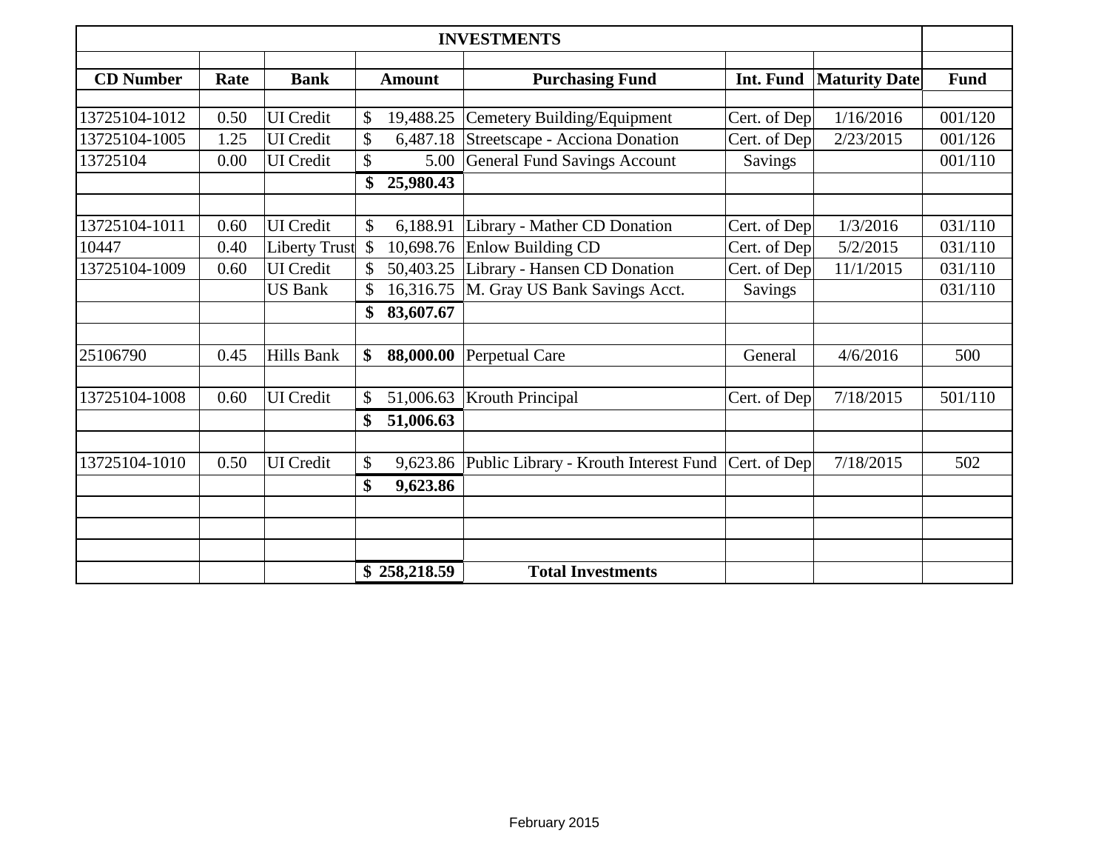|                  |      |                      |      |               | <b>INVESTMENTS</b>                             |              |                      |             |
|------------------|------|----------------------|------|---------------|------------------------------------------------|--------------|----------------------|-------------|
| <b>CD</b> Number | Rate | <b>Bank</b>          |      | <b>Amount</b> | <b>Purchasing Fund</b>                         | Int. Fund    | <b>Maturity Date</b> | <b>Fund</b> |
|                  |      |                      |      |               |                                                |              |                      |             |
| 13725104-1012    | 0.50 | <b>UI</b> Credit     | \$   | 19,488.25     | Cemetery Building/Equipment                    | Cert. of Dep | 1/16/2016            | 001/120     |
| 13725104-1005    | 1.25 | <b>UI</b> Credit     |      | 6,487.18      | Streetscape - Acciona Donation                 | Cert. of Dep | 2/23/2015            | 001/126     |
| 13725104         | 0.00 | <b>UI</b> Credit     | \$   | 5.00          | <b>General Fund Savings Account</b>            | Savings      |                      | 001/110     |
|                  |      |                      | \$   | 25,980.43     |                                                |              |                      |             |
|                  |      |                      |      |               |                                                |              |                      |             |
| 13725104-1011    | 0.60 | <b>UI</b> Credit     | \$   | 6,188.91      | Library - Mather CD Donation                   | Cert. of Dep | 1/3/2016             | 031/110     |
| 10447            | 0.40 | <b>Liberty Trust</b> | - \$ | 10,698.76     | Enlow Building CD                              | Cert. of Dep | 5/2/2015             | 031/110     |
| 13725104-1009    | 0.60 | <b>UI</b> Credit     |      | 50,403.25     | Library - Hansen CD Donation                   | Cert. of Dep | 11/1/2015            | 031/110     |
|                  |      | <b>US Bank</b>       |      | 16,316.75     | M. Gray US Bank Savings Acct.                  | Savings      |                      | 031/110     |
|                  |      |                      | \$   | 83,607.67     |                                                |              |                      |             |
| 25106790         | 0.45 | Hills Bank           | \$   | 88,000.00     | Perpetual Care                                 | General      | 4/6/2016             | 500         |
|                  |      |                      |      |               |                                                |              |                      |             |
| 13725104-1008    | 0.60 | <b>UI</b> Credit     | \$   | 51,006.63     | <b>Krouth Principal</b>                        | Cert. of Dep | 7/18/2015            | 501/110     |
|                  |      |                      | \$   | 51,006.63     |                                                |              |                      |             |
| 13725104-1010    | 0.50 | <b>UI</b> Credit     | \$   |               | 9,623.86 Public Library - Krouth Interest Fund | Cert. of Dep | 7/18/2015            | 502         |
|                  |      |                      | \$   | 9,623.86      |                                                |              |                      |             |
|                  |      |                      |      |               |                                                |              |                      |             |
|                  |      |                      |      |               |                                                |              |                      |             |
|                  |      |                      |      |               |                                                |              |                      |             |
|                  |      |                      |      | \$258,218.59  | <b>Total Investments</b>                       |              |                      |             |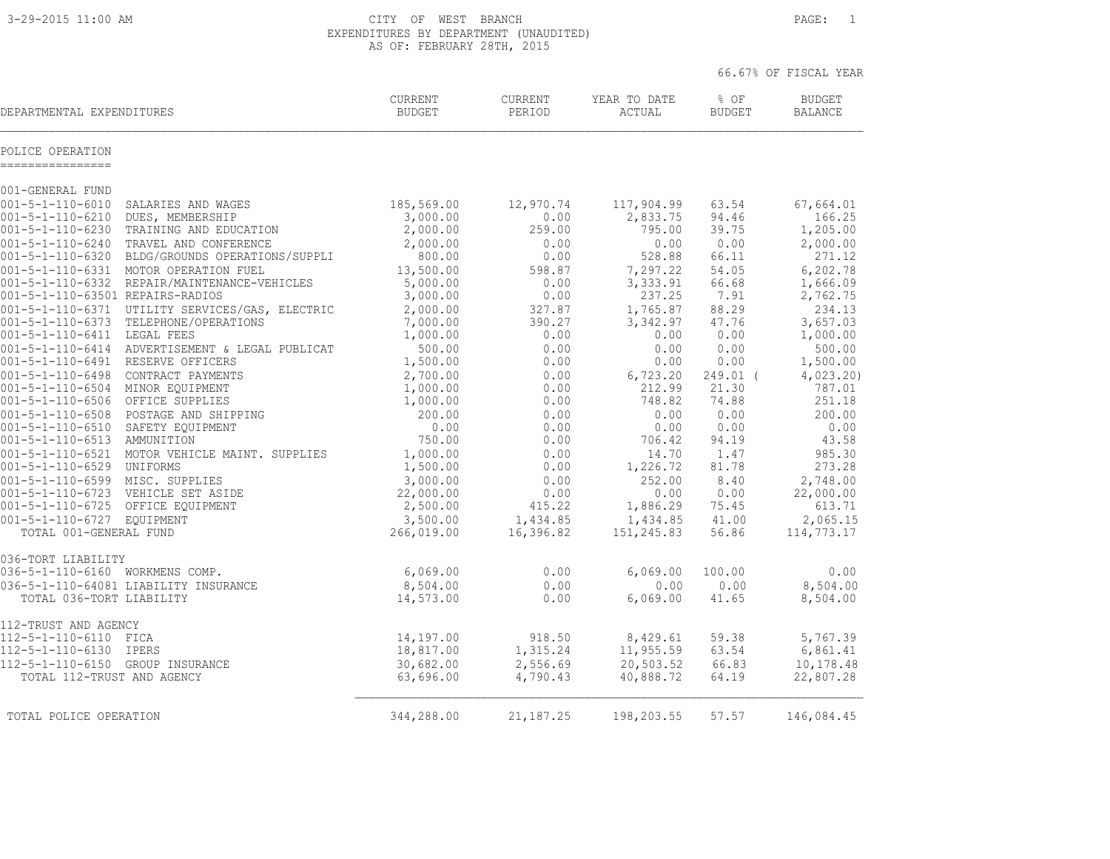3-29-2015 11:00 AM CITY OF WEST BRANCH PAGE: 1 EXPENDITURES BY DEPARTMENT (UNAUDITED) AS OF: FEBRUARY 28TH, 2015

|        |          | 66.67% OF FISCAL YEAR |
|--------|----------|-----------------------|
| $\cap$ | $\alpha$ | DIIDOPER              |

| DEPARTMENTAL EXPENDITURES                                      |                                                                  | <b>CURRENT</b><br><b>BUDGET</b> | CURRENT<br>PERIOD     | YEAR TO DATE<br>ACTUAL | % OF<br><b>BUDGET</b> | <b>BUDGET</b><br><b>BALANCE</b> |
|----------------------------------------------------------------|------------------------------------------------------------------|---------------------------------|-----------------------|------------------------|-----------------------|---------------------------------|
| POLICE OPERATION<br>===========                                |                                                                  |                                 |                       |                        |                       |                                 |
| 001-GENERAL FUND                                               |                                                                  |                                 |                       |                        |                       |                                 |
| $001 - 5 - 1 - 110 - 6010$                                     | SALARIES AND WAGES                                               | 185,569.00                      | 12,970.74             | 117,904.99             | 63.54                 | 67,664.01                       |
| $001 - 5 - 1 - 110 - 6210$                                     | DUES, MEMBERSHIP                                                 | 3,000.00                        | 0.00                  | 2,833.75               | 94.46                 | 166.25                          |
| $001 - 5 - 1 - 110 - 6230$                                     | TRAINING AND EDUCATION<br>001-5-1-110-6240 TRAVEL AND CONFERENCE | 2,000.00                        | 259.00                | 795.00                 | 39.75<br>0.00         | 1,205.00                        |
| $001 - 5 - 1 - 110 - 6320$                                     | BLDG/GROUNDS OPERATIONS/SUPPLI                                   | 2,000.00<br>800.00              | 0.00<br>0.00          | 0.00<br>528.88         | 66.11                 | 2,000.00<br>271.12              |
|                                                                | 001-5-1-110-6331 MOTOR OPERATION FUEL                            | 13,500.00                       | 598.87                | 7,297.22               | 54.05                 | 6,202.78                        |
|                                                                | 001-5-1-110-6332 REPAIR/MAINTENANCE-VEHICLES                     | 5,000.00                        | 0.00                  | 3,333.91               | 66.68                 | 1,666.09                        |
| 001-5-1-110-63501 REPAIRS-RADIOS                               |                                                                  | 3,000.00                        | 0.00                  | 237.25                 | 7.91                  | 2,762.75                        |
|                                                                | 001-5-1-110-6371 UTILITY SERVICES/GAS, ELECTRIC                  | 2,000.00                        | 327.87                | 1,765.87               | 88.29                 | 234.13                          |
| $001 - 5 - 1 - 110 - 6373$                                     | TELEPHONE/OPERATIONS                                             | 7,000.00                        | 390.27                | 3,342.97               | 47.76                 | 3,657.03                        |
| 001-5-1-110-6411 LEGAL FEES                                    |                                                                  | 1,000.00                        | 0.00                  | 0.00                   | 0.00                  | 1,000.00                        |
| $001 - 5 - 1 - 110 - 6414$                                     | ADVERTISEMENT & LEGAL PUBLICAT                                   | 500.00                          | 0.00                  | 0.00                   | 0.00                  | 500.00                          |
| 001-5-1-110-6491 RESERVE OFFICERS                              |                                                                  | 1,500.00                        | 0.00                  | 0.00                   | 0.00                  | 1,500.00                        |
| $001 - 5 - 1 - 110 - 6498$<br>001-5-1-110-6504 MINOR EQUIPMENT | CONTRACT PAYMENTS                                                | 2,700.00<br>1,000.00            | 0.00<br>0.00          | 6,723.20<br>212.99     | 249.01 (<br>21.30     | 4,023.20<br>787.01              |
| $001 - 5 - 1 - 110 - 6506$                                     | OFFICE SUPPLIES                                                  | 1,000.00                        | 0.00                  | 748.82                 | 74.88                 | 251.18                          |
| $001 - 5 - 1 - 110 - 6508$                                     | POSTAGE AND SHIPPING                                             | 200.00                          | 0.00                  | 0.00                   | 0.00                  | 200.00                          |
| 001-5-1-110-6510 SAFETY EQUIPMENT                              |                                                                  | 0.00                            | 0.00                  | 0.00                   | 0.00                  | 0.00                            |
| $001 - 5 - 1 - 110 - 6513$                                     | AMMUNITION                                                       | 750.00                          | 0.00                  | 706.42                 | 94.19                 | 43.58                           |
|                                                                | 001-5-1-110-6521 MOTOR VEHICLE MAINT. SUPPLIES                   | 1,000.00                        | 0.00                  | 14.70                  | 1.47                  | 985.30                          |
| 001-5-1-110-6529 UNIFORMS                                      |                                                                  | 1,500.00                        | 0.00                  | 1,226.72               | 81.78                 | 273.28                          |
| 001-5-1-110-6599 MISC. SUPPLIES                                |                                                                  | 3,000.00                        | 0.00                  | 252.00                 | 8.40                  | 2,748.00                        |
|                                                                | 001-5-1-110-6723 VEHICLE SET ASIDE                               | 22,000.00                       | 0.00                  | 0.00                   | 0.00                  | 22,000.00                       |
| 001-5-1-110-6725 OFFICE EQUIPMENT                              |                                                                  | 2,500.00                        | 415.22                | 1,886.29               | 75.45                 | 613.71                          |
| 001-5-1-110-6727 EQUIPMENT<br>TOTAL 001-GENERAL FUND           |                                                                  | 3,500.00<br>266,019.00          | 1,434.85<br>16,396.82 | 1,434.85<br>151,245.83 | 41.00<br>56.86        | 2,065.15<br>114,773.17          |
| 036-TORT LIABILITY                                             |                                                                  |                                 |                       |                        |                       |                                 |
| 036-5-1-110-6160 WORKMENS COMP.                                |                                                                  | 6,069.00                        | 0.00                  | 6,069.00               | 100.00                | 0.00                            |
| TOTAL 036-TORT LIABILITY                                       | 036-5-1-110-64081 LIABILITY INSURANCE                            | 8,504.00<br>14,573.00           | 0.00<br>0.00          | 0.00<br>6,069.00       | 0.00<br>41.65         | 8,504.00<br>8,504.00            |
| 112-TRUST AND AGENCY                                           |                                                                  |                                 |                       |                        |                       |                                 |
| 112-5-1-110-6110 FICA                                          |                                                                  | 14,197.00                       | 918.50                | 8,429.61               | 59.38                 | 5,767.39                        |
| $112 - 5 - 1 - 110 - 6130$                                     | IPERS                                                            | 18,817.00                       | 1,315.24              | 11,955.59              | 63.54                 | 6,861.41                        |
| 112-5-1-110-6150 GROUP INSURANCE<br>TOTAL 112-TRUST AND AGENCY |                                                                  | 30,682.00<br>63,696.00          | 2,556.69<br>4,790.43  | 20,503.52<br>40,888.72 | 66.83<br>64.19        | 10,178.48<br>22,807.28          |
| TOTAL POLICE OPERATION                                         |                                                                  | 344,288.00                      | 21, 187. 25           | 198,203.55             | 57.57                 | 146,084.45                      |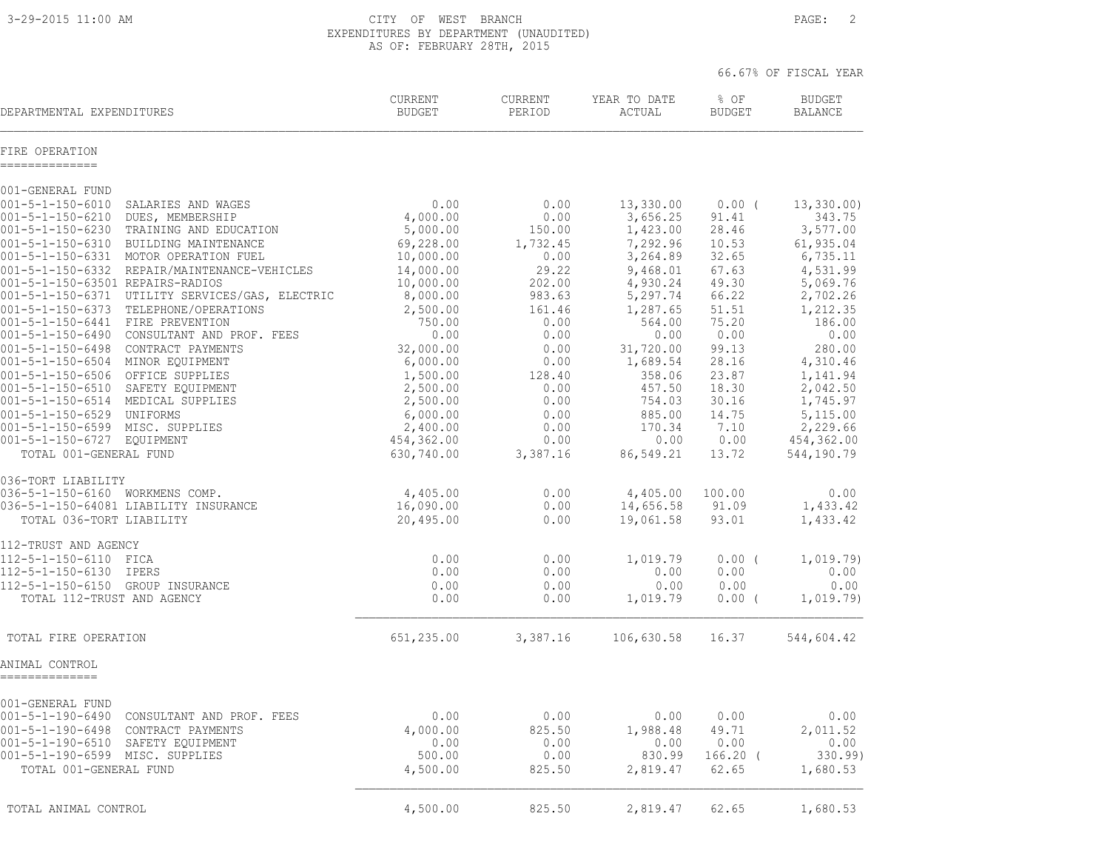3-29-2015 11:00 AM CITY OF WEST BRANCH PAGE: 2 EXPENDITURES BY DEPARTMENT (UNAUDITED) AS OF: FEBRUARY 28TH, 2015

|                                                                                                                                                                                                                                                                                                                                                                                                                                                                                                                                                                                                                                 |                                                                                                                                                                 |                                                                                                                             |                                                                                                                                                                |                                                                                                                              | 66.67% OF FISCAL YEAR                                                                                                                                        |
|---------------------------------------------------------------------------------------------------------------------------------------------------------------------------------------------------------------------------------------------------------------------------------------------------------------------------------------------------------------------------------------------------------------------------------------------------------------------------------------------------------------------------------------------------------------------------------------------------------------------------------|-----------------------------------------------------------------------------------------------------------------------------------------------------------------|-----------------------------------------------------------------------------------------------------------------------------|----------------------------------------------------------------------------------------------------------------------------------------------------------------|------------------------------------------------------------------------------------------------------------------------------|--------------------------------------------------------------------------------------------------------------------------------------------------------------|
| DEPARTMENTAL EXPENDITURES                                                                                                                                                                                                                                                                                                                                                                                                                                                                                                                                                                                                       | CURRENT<br><b>BUDGET</b>                                                                                                                                        | CURRENT<br>PERIOD                                                                                                           | YEAR TO DATE<br>ACTUAL                                                                                                                                         | % OF<br><b>BUDGET</b>                                                                                                        | <b>BUDGET</b><br><b>BALANCE</b>                                                                                                                              |
| FIRE OPERATION<br>--------------                                                                                                                                                                                                                                                                                                                                                                                                                                                                                                                                                                                                |                                                                                                                                                                 |                                                                                                                             |                                                                                                                                                                |                                                                                                                              |                                                                                                                                                              |
| 001-GENERAL FUND                                                                                                                                                                                                                                                                                                                                                                                                                                                                                                                                                                                                                |                                                                                                                                                                 |                                                                                                                             |                                                                                                                                                                |                                                                                                                              |                                                                                                                                                              |
| $001 - 5 - 1 - 150 - 6010$<br>SALARIES AND WAGES<br>$001 - 5 - 1 - 150 - 6210$<br>DUES, MEMBERSHIP<br>001-5-1-150-6230<br>TRAINING AND EDUCATION<br>001-5-1-150-6310 BUILDING MAINTENANCE<br>001-5-1-150-6331 MOTOR OPERATION FUEL<br>001-5-1-150-6332 REPAIR/MAINTENANCE-VEHICLES<br>001-5-1-150-63501 REPAIRS-RADIOS<br>001-5-1-150-6371 UTILITY SERVICES/GAS, ELECTRIC<br>001-5-1-150-6373 TELEPHONE/OPERATIONS<br>001-5-1-150-6441 FIRE PREVENTION<br>001-5-1-150-6490 CONSULTANT AND PROF. FEES<br>$001 - 5 - 1 - 150 - 6498$<br>CONTRACT PAYMENTS<br>001-5-1-150-6504 MINOR EQUIPMENT<br>001-5-1-150-6506 OFFICE SUPPLIES | 0.00<br>4,000.00<br>5,000.00<br>69,228.00<br>10,000.00<br>14,000.00<br>10,000.00<br>8,000.00<br>2,500.00<br>750.00<br>0.00<br>32,000.00<br>6,000.00<br>1,500.00 | 0.00<br>0.00<br>150.00<br>1,732.45<br>0.00<br>29.22<br>202.00<br>983.63<br>161.46<br>0.00<br>0.00<br>0.00<br>0.00<br>128.40 | 13,330.00<br>3,656.25<br>1,423.00<br>7,292.96<br>3,264.89<br>9,468.01<br>4,930.24<br>5,297.74<br>1,287.65<br>564.00<br>0.00<br>31,720.00<br>1,689.54<br>358.06 | $0.00$ (<br>91.41<br>28.46<br>10.53<br>32.65<br>67.63<br>49.30<br>66.22<br>51.51<br>75.20<br>0.00<br>99.13<br>28.16<br>23.87 | 13,330.00<br>343.75<br>3,577.00<br>61,935.04<br>6,735.11<br>4,531.99<br>5,069.76<br>2,702.26<br>1,212.35<br>186.00<br>0.00<br>280.00<br>4,310.46<br>1,141.94 |
| 001-5-1-150-6510 SAFETY EQUIPMENT<br>001-5-1-150-6514 MEDICAL SUPPLIES<br>001-5-1-150-6529 UNIFORMS<br>001-5-1-150-6599 MISC. SUPPLIES<br>001-5-1-150-6727 EQUIPMENT<br>TOTAL 001-GENERAL FUND                                                                                                                                                                                                                                                                                                                                                                                                                                  | 2,500.00<br>2,500.00<br>6,000.00<br>2,400.00<br>454,362.00<br>630,740.00                                                                                        | 0.00<br>0.00<br>0.00<br>0.00<br>0.00<br>3,387.16                                                                            | 457.50<br>754.03<br>885.00<br>170.34<br>0.00<br>86,549.21                                                                                                      | 18.30<br>30.16<br>14.75<br>7.10<br>0.00<br>13.72                                                                             | 2,042.50<br>1,745.97<br>5,115.00<br>2,229.66<br>454,362.00<br>544,190.79                                                                                     |
| 036-TORT LIABILITY<br>036-5-1-150-6160 WORKMENS COMP.<br>036-5-1-150-64081 LIABILITY INSURANCE<br>TOTAL 036-TORT LIABILITY                                                                                                                                                                                                                                                                                                                                                                                                                                                                                                      | 4,405.00<br>16,090.00<br>20,495.00                                                                                                                              | 0.00<br>0.00<br>0.00                                                                                                        | 4,405.00<br>14,656.58<br>19,061.58                                                                                                                             | 100.00<br>91.09<br>93.01                                                                                                     | 0.00<br>1,433.42<br>1,433.42                                                                                                                                 |
| 112-TRUST AND AGENCY<br>112-5-1-150-6110 FICA<br>112-5-1-150-6130 IPERS<br>112-5-1-150-6150 GROUP INSURANCE<br>TOTAL 112-TRUST AND AGENCY                                                                                                                                                                                                                                                                                                                                                                                                                                                                                       | 0.00<br>0.00<br>0.00<br>0.00                                                                                                                                    | 0.00<br>0.00<br>0.00<br>0.00                                                                                                | 1,019.79<br>0.00<br>0.00<br>1,019.79                                                                                                                           | $0.00$ (<br>0.00<br>0.00<br>$0.00$ (                                                                                         | 1,019.79)<br>0.00<br>0.00<br>1,019.79)                                                                                                                       |
| TOTAL FIRE OPERATION                                                                                                                                                                                                                                                                                                                                                                                                                                                                                                                                                                                                            | 651,235.00                                                                                                                                                      | 3,387.16                                                                                                                    | 106,630.58 16.37                                                                                                                                               |                                                                                                                              | 544,604.42                                                                                                                                                   |
| ANIMAL CONTROL<br>--------------                                                                                                                                                                                                                                                                                                                                                                                                                                                                                                                                                                                                |                                                                                                                                                                 |                                                                                                                             |                                                                                                                                                                |                                                                                                                              |                                                                                                                                                              |
| 001-GENERAL FUND<br>$001 - 5 - 1 - 190 - 6490$<br>CONSULTANT AND PROF. FEES<br>$001 - 5 - 1 - 190 - 6498$<br>CONTRACT PAYMENTS<br>001-5-1-190-6510<br>SAFETY EQUIPMENT<br>001-5-1-190-6599 MISC. SUPPLIES<br>TOTAL 001-GENERAL FUND                                                                                                                                                                                                                                                                                                                                                                                             | 0.00<br>4,000.00<br>0.00<br>500.00<br>4,500.00                                                                                                                  | 0.00<br>825.50<br>0.00<br>0.00<br>825.50                                                                                    | 0.00<br>1,988.48<br>0.00<br>830.99<br>2,819.47                                                                                                                 | 0.00<br>49.71<br>0.00<br>$166.20$ (<br>62.65                                                                                 | 0.00<br>2,011.52<br>0.00<br>330.99<br>1,680.53                                                                                                               |
| TOTAL ANIMAL CONTROL                                                                                                                                                                                                                                                                                                                                                                                                                                                                                                                                                                                                            | 4,500.00                                                                                                                                                        | 825.50                                                                                                                      | 2,819.47                                                                                                                                                       | 62.65                                                                                                                        | 1,680.53                                                                                                                                                     |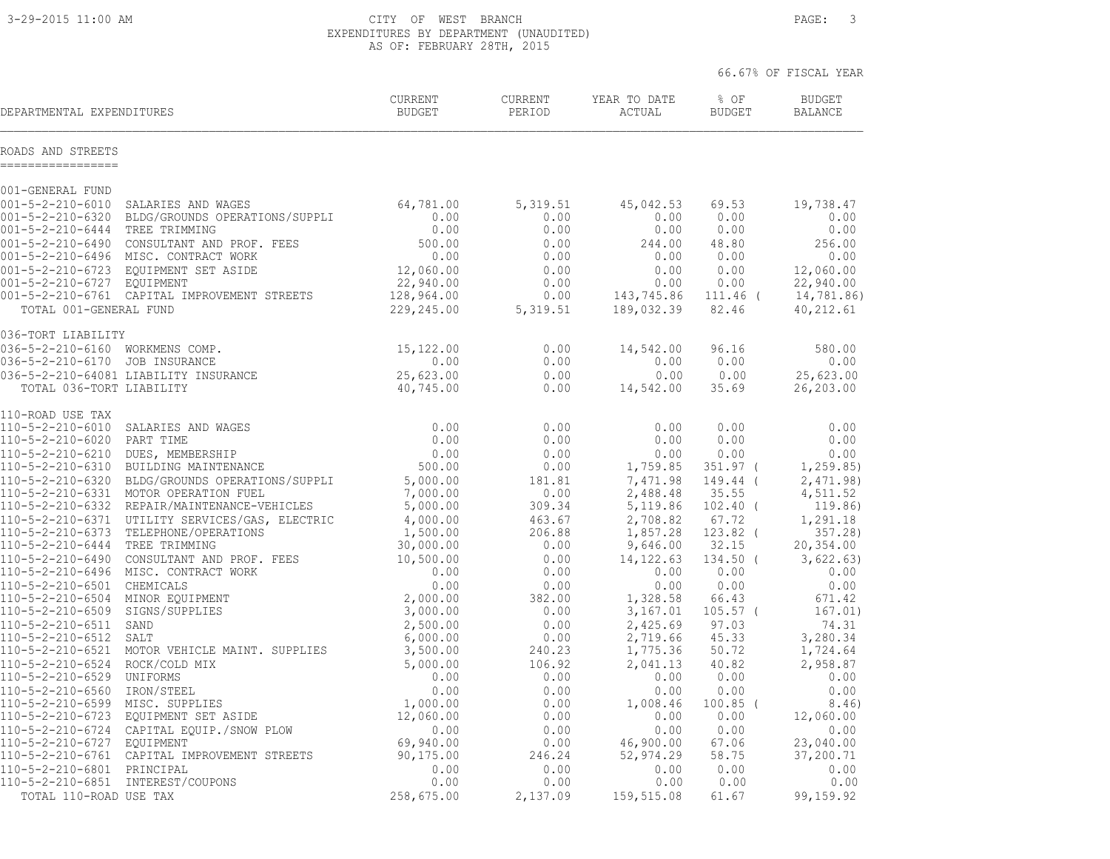3-29-2015 11:00 AM CITY OF WEST BRANCH PAGE: 3 EXPENDITURES BY DEPARTMENT (UNAUDITED) AS OF: FEBRUARY 28TH, 2015

|                                         |                                                                                                                                                                                                                                          |                          |                           |                                   |                    | 66.67% OF FISCAL YEAR           |
|-----------------------------------------|------------------------------------------------------------------------------------------------------------------------------------------------------------------------------------------------------------------------------------------|--------------------------|---------------------------|-----------------------------------|--------------------|---------------------------------|
| DEPARTMENTAL EXPENDITURES               |                                                                                                                                                                                                                                          | CURRENT<br><b>BUDGET</b> | CURRENT<br>PERIOD         | YEAR TO DATE<br>ACTUAL            | $8$ OF<br>BUDGET   | <b>BUDGET</b><br><b>BALANCE</b> |
| ROADS AND STREETS<br>------------------ |                                                                                                                                                                                                                                          |                          |                           |                                   |                    |                                 |
| 001-GENERAL FUND                        |                                                                                                                                                                                                                                          |                          |                           |                                   |                    |                                 |
|                                         | 001-GENERAL FUND<br>001-5-2-210-6010 SALARIES AND WAGES 64,781.00<br>001-5-2-210-6320 BLDG/GROUNDS OPERATIONS/SUPPLI 0.00<br>0.00 0.00                                                                                                   |                          | 5, 319.51                 | 45,042.53                         | 69.53              | 19,738.47                       |
|                                         |                                                                                                                                                                                                                                          |                          | 0.00                      | 0.00                              | 0.00               | 0.00                            |
|                                         | 001-5-2-210-6320 BLDG/GROUNDS OPERATIONS/SUFFLE<br>001-5-2-210-6444 TREE TRIMMING<br>001-5-2-210-6490 CONSULTANT AND PROF. FEES<br>001-5-2-210-6496 MISC. CONTRACT WORK<br>001-5-2-210-6723 EQUIPMENT SET ASIDE<br>001-5-2-210-6727 EQUI |                          | 0.00                      | 0.00                              | 0.00               | 0.00                            |
|                                         |                                                                                                                                                                                                                                          |                          | 0.00                      | 244.00<br>0.00                    | 48.80<br>0.00      | 256.00<br>0.00                  |
|                                         |                                                                                                                                                                                                                                          |                          | 0.00<br>0.00              | 0.00                              | 0.00               | 12,060.00                       |
|                                         |                                                                                                                                                                                                                                          |                          | 0.00                      | 0.00                              | 0.00               | 22,940.00                       |
|                                         |                                                                                                                                                                                                                                          |                          | 0.00                      | ں ۔ ں<br>143,745.86<br>189.032.39 | 111.46 (           | 14,781.86)                      |
| TOTAL 001-GENERAL FUND                  |                                                                                                                                                                                                                                          | 229,245.00               | 5,319.51                  | 189,032.39                        | 82.46              | 40,212.61                       |
|                                         |                                                                                                                                                                                                                                          |                          |                           |                                   |                    |                                 |
|                                         |                                                                                                                                                                                                                                          |                          | 0.00                      | 14,542.00                         | 96.16              | 580.00                          |
|                                         |                                                                                                                                                                                                                                          |                          | 0.00                      | 0.00                              | 0.00               | 0.00                            |
|                                         |                                                                                                                                                                                                                                          |                          | 0.00                      | 0.00                              | 0.00               | 25,623.00                       |
|                                         | v<br>>o->-2-210-6160 WORKMENS COMP.<br>036-5-2-210-6170 JOB INSURANCE 0.00<br>036-5-2-210-64081 LIABILITY INSURANCE 0.00<br>                                                                                                             |                          | 0.00                      | 14,542.00                         | 35.69              | 26,203.00                       |
| 110-ROAD USE TAX                        |                                                                                                                                                                                                                                          |                          |                           |                                   |                    |                                 |
|                                         |                                                                                                                                                                                                                                          |                          | 0.00                      | 0.00                              | 0.00               | 0.00                            |
|                                         |                                                                                                                                                                                                                                          |                          | 0.00                      | 0.00                              | 0.00               | 0.00                            |
|                                         |                                                                                                                                                                                                                                          |                          | 0.00<br>0.00              | 0.00<br>1,759.85                  | 0.00<br>351.97 (   | 0.00<br>1, 259.85)              |
|                                         |                                                                                                                                                                                                                                          |                          | 181.81                    | 7,471.98                          | 149.44 (           | 2,471.98)                       |
|                                         |                                                                                                                                                                                                                                          |                          | 0.00                      | 2,488.48                          | 35.55              | 4,511.52                        |
|                                         |                                                                                                                                                                                                                                          |                          | 309.34                    | 5,119.86                          | 102.40 (           | 119.86)                         |
|                                         |                                                                                                                                                                                                                                          |                          | 463.67                    | 2,708.82                          | 67.72              | 1,291.18                        |
|                                         |                                                                                                                                                                                                                                          |                          | 206.88                    | 1,857.28                          | $123.82$ (         | 357.28)                         |
|                                         |                                                                                                                                                                                                                                          |                          | 0.00                      | 9,646.00                          | 32.15              | 20,354.00                       |
|                                         |                                                                                                                                                                                                                                          |                          | 0.00                      | 14, 122.63                        | $134.50$ (         | 3,622.63)                       |
|                                         |                                                                                                                                                                                                                                          |                          | 0.00<br>0.00              | 0.00<br>0.00                      | 0.00<br>0.00       | 0.00<br>0.00                    |
|                                         |                                                                                                                                                                                                                                          |                          | 382.00                    | 1,328.58                          | 66.43              | 671.42                          |
|                                         |                                                                                                                                                                                                                                          |                          | 0.00                      | 3,167.01                          | $105.57$ (         | 167.01)                         |
|                                         |                                                                                                                                                                                                                                          |                          | 0.00                      | 2,425.69                          | 97.03              | 74.31                           |
|                                         |                                                                                                                                                                                                                                          |                          | 0.00                      | 2,719.66                          | 45.33              | 3,280.34                        |
|                                         |                                                                                                                                                                                                                                          |                          | 240.23                    | 1,775.36                          | 50.72              | 1,724.64                        |
|                                         |                                                                                                                                                                                                                                          |                          | 106.92                    | 2,041.13                          | 40.82              | 2,958.87                        |
|                                         |                                                                                                                                                                                                                                          |                          | 0.00                      | 0.00                              | 0.00               | 0.00                            |
|                                         |                                                                                                                                                                                                                                          |                          | 0.00<br>0.00              | 0.00<br>1,008.46                  | 0.00<br>$100.85$ ( | 0.00<br>8.46)                   |
|                                         |                                                                                                                                                                                                                                          |                          | 0.00                      | 0.00                              | 0.00               | 12,060.00                       |
|                                         | 110-5-2-210-6521 MOTOR VEHICLE MAINT. SUPPLIES 3,500.00<br>110-5-2-210-6524 ROCK/COLD MIX 5,000.00<br>110-5-2-210-6529 UNIFORMS 0.00<br>110-5-2-210-6560 IRON/STEEL 0.00<br>110-5-2-210-659 MISC. SUPPLIES 1,000.00<br>110-5-2-210-6723  |                          |                           | 0.00                              | 0.00               | 0.00                            |
|                                         |                                                                                                                                                                                                                                          |                          |                           | 46,900.00                         | 67.06              | 23,040.00                       |
|                                         |                                                                                                                                                                                                                                          |                          | $0.00$<br>46.24<br>246.24 | 52,974.29                         | 58.75              | 37,200.71                       |
| 110-5-2-210-6801 PRINCIPAL              |                                                                                                                                                                                                                                          | 0.00                     | 0.00                      | 0.00                              | 0.00               | 0.00                            |
| 110-5-2-210-6851 INTEREST/COUPONS       |                                                                                                                                                                                                                                          | 0.00                     | 0.00                      | 0.00                              | 0.00               | 0.00                            |
| TOTAL 110-ROAD USE TAX                  |                                                                                                                                                                                                                                          | 258,675.00               | 2,137.09                  | 159,515.08                        | 61.67              | 99,159.92                       |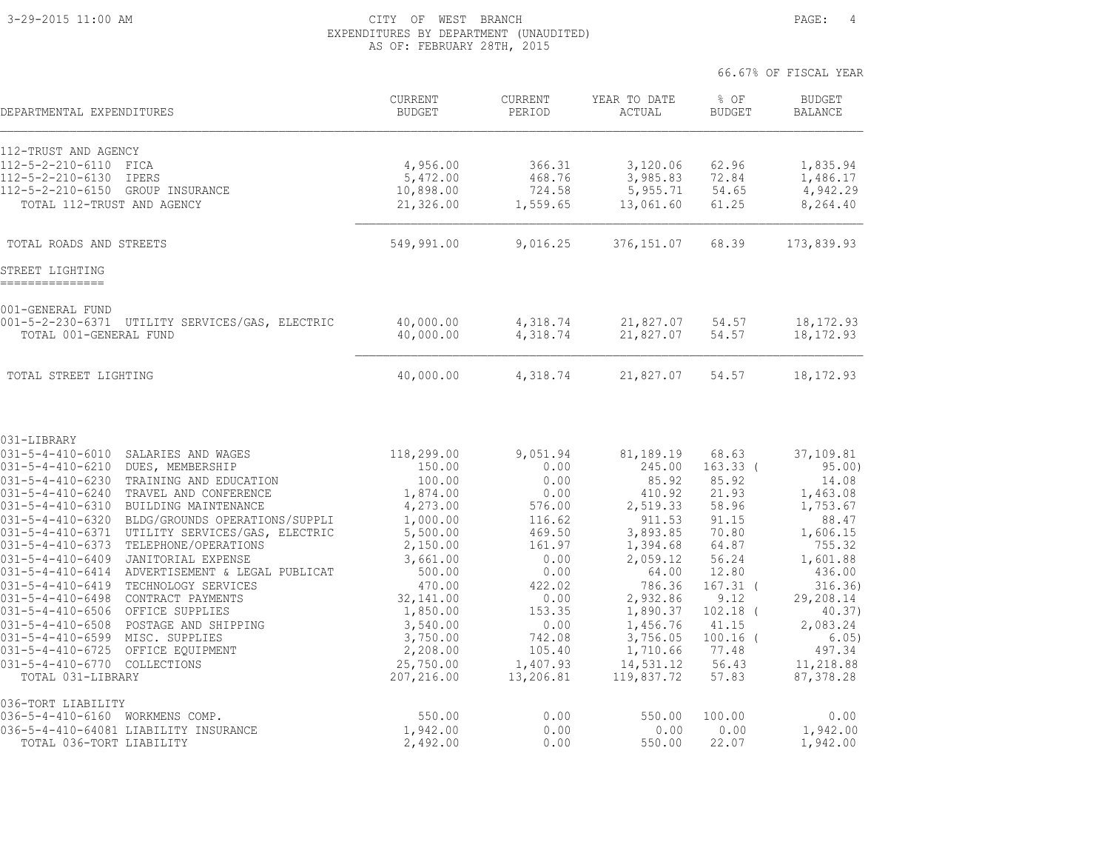#### 3-29-2015 11:00 AM CITY OF WEST BRANCH PAGE: 4 EXPENDITURES BY DEPARTMENT (UNAUDITED) AS OF: FEBRUARY 28TH, 2015

| DEPARTMENTAL EXPENDITURES                                                                                   | <b>CURRENT</b><br><b>BUDGET</b> | <b>CURRENT</b><br>PERIOD | YEAR TO DATE<br>ACTUAL | % OF<br><b>BUDGET</b> | <b>BUDGET</b><br><b>BALANCE</b> |
|-------------------------------------------------------------------------------------------------------------|---------------------------------|--------------------------|------------------------|-----------------------|---------------------------------|
| 112-TRUST AND AGENCY                                                                                        |                                 |                          |                        |                       |                                 |
| $112 - 5 - 2 - 210 - 6110$<br>FICA                                                                          | 4,956.00                        | 366.31                   | 3,120.06               | 62.96                 | 1,835.94                        |
| $112 - 5 - 2 - 210 - 6130$<br><b>IPERS</b>                                                                  | 5,472.00                        | 468.76                   | 3,985.83               | 72.84                 | 1,486.17                        |
| $112 - 5 - 2 - 210 - 6150$<br>GROUP INSURANCE                                                               | 10,898.00                       | 724.58                   | 5,955.71               | 54.65<br>61.25        | 4,942.29                        |
| TOTAL 112-TRUST AND AGENCY                                                                                  | 21,326.00                       | 1,559.65                 | 13,061.60              |                       | 8,264.40                        |
| TOTAL ROADS AND STREETS                                                                                     | 549,991.00                      | 9,016.25                 | 376,151.07             | 68.39                 | 173,839.93                      |
| STREET LIGHTING                                                                                             |                                 |                          |                        |                       |                                 |
| 001-GENERAL FUND                                                                                            |                                 |                          |                        |                       |                                 |
| 001-5-2-230-6371 UTILITY SERVICES/GAS, ELECTRIC                                                             | 40,000.00                       | 4,318.74                 | 21,827.07              | 54.57                 | 18, 172.93                      |
| TOTAL 001-GENERAL FUND                                                                                      | 40,000.00                       | 4,318.74                 | 21,827.07              | 54.57                 | 18, 172.93                      |
| TOTAL STREET LIGHTING                                                                                       | 40,000.00                       | 4,318.74                 | 21,827.07              | 54.57                 | 18, 172.93                      |
| 031-LIBRARY                                                                                                 |                                 |                          |                        |                       |                                 |
| $031 - 5 - 4 - 410 - 6010$<br>SALARIES AND WAGES                                                            | 118,299.00                      | 9,051.94                 | 81,189.19              | 68.63                 | 37,109.81                       |
| $031 - 5 - 4 - 410 - 6210$<br>DUES, MEMBERSHIP                                                              | 150.00                          | 0.00                     | 245.00                 | $163.33$ (            | 95.00)                          |
| $031 - 5 - 4 - 410 - 6230$<br>TRAINING AND EDUCATION<br>$031 - 5 - 4 - 410 - 6240$<br>TRAVEL AND CONFERENCE | 100.00<br>1,874.00              | 0.00<br>0.00             | 85.92<br>410.92        | 85.92<br>21.93        | 14.08                           |
| $031 - 5 - 4 - 410 - 6310$<br>BUILDING MAINTENANCE                                                          | 4,273.00                        | 576.00                   | 2,519.33               | 58.96                 | 1,463.08<br>1,753.67            |
| $031 - 5 - 4 - 410 - 6320$<br>BLDG/GROUNDS OPERATIONS/SUPPLI                                                | 1,000.00                        | 116.62                   | 911.53                 | 91.15                 | 88.47                           |
| $031 - 5 - 4 - 410 - 6371$<br>UTILITY SERVICES/GAS, ELECTRIC                                                | 5,500.00                        | 469.50                   | 3,893.85               | 70.80                 | 1,606.15                        |
| $031 - 5 - 4 - 410 - 6373$<br>TELEPHONE/OPERATIONS                                                          | 2,150.00                        | 161.97                   | 1,394.68               | 64.87                 | 755.32                          |
| $031 - 5 - 4 - 410 - 6409$<br><b>JANITORIAL EXPENSE</b>                                                     | 3,661.00                        | 0.00                     | 2,059.12               | 56.24                 | 1,601.88                        |
| ADVERTISEMENT & LEGAL PUBLICAT<br>$031 - 5 - 4 - 410 - 6414$                                                | 500.00                          | 0.00                     | 64.00                  | 12.80                 | 436.00                          |
| $031 - 5 - 4 - 410 - 6419$<br>TECHNOLOGY SERVICES<br>CONTRACT PAYMENTS                                      | 470.00<br>32,141.00             | 422.02<br>0.00           | 786.36<br>2,932.86     | $167.31$ (<br>9.12    | 316.36)<br>29,208.14            |
| $031 - 5 - 4 - 410 - 6498$<br>OFFICE SUPPLIES<br>$031 - 5 - 4 - 410 - 6506$                                 | 1,850.00                        | 153.35                   | 1,890.37               | $102.18$ (            | 40.37)                          |
| $031 - 5 - 4 - 410 - 6508$<br>POSTAGE AND SHIPPING                                                          | 3,540.00                        | 0.00                     | 1,456.76               | 41.15                 | 2,083.24                        |
| $031 - 5 - 4 - 410 - 6599$<br>MISC. SUPPLIES                                                                | 3,750.00                        | 742.08                   | 3,756.05               | $100.16$ (            | 6.05)                           |
| $031 - 5 - 4 - 410 - 6725$<br>OFFICE EQUIPMENT                                                              | 2,208.00                        | 105.40                   | 1,710.66               | 77.48                 | 497.34                          |
| 031-5-4-410-6770 COLLECTIONS                                                                                | 25,750.00                       | 1,407.93                 | 14,531.12              | 56.43                 | 11,218.88                       |
| TOTAL 031-LIBRARY                                                                                           | 207,216.00                      | 13,206.81                | 119,837.72             | 57.83                 | 87,378.28                       |
| 036-TORT LIABILITY<br>036-5-4-410-6160 WORKMENS COMP.                                                       | 550.00                          | 0.00                     | 550.00                 | 100.00                | 0.00                            |
| 036-5-4-410-64081 LIABILITY INSURANCE                                                                       | 1,942.00                        | 0.00                     | 0.00                   | 0.00                  | 1,942.00                        |
| TOTAL 036-TORT LIABILITY                                                                                    | 2,492.00                        | 0.00                     | 550.00                 | 22.07                 | 1,942.00                        |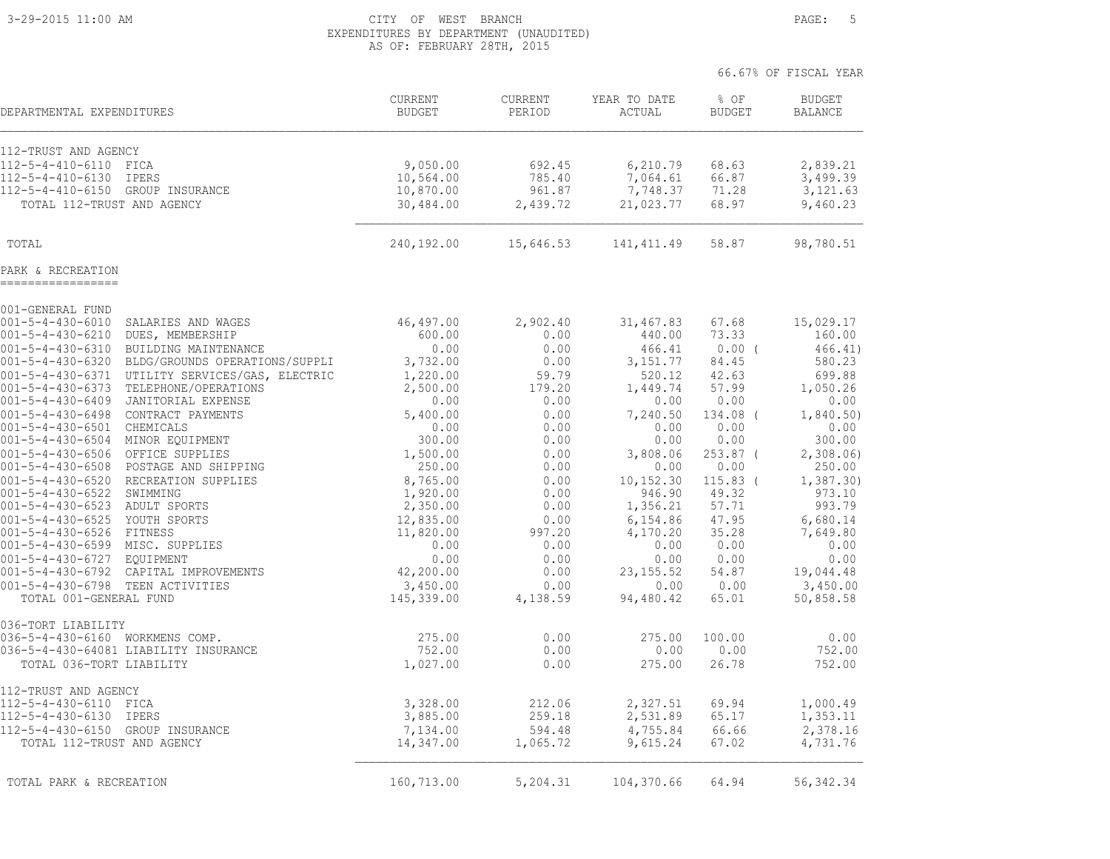#### 3-29-2015 11:00 AM CITY OF WEST BRANCH PAGE: 5 EXPENDITURES BY DEPARTMENT (UNAUDITED) AS OF: FEBRUARY 28TH, 2015

|                                                                                                     |                                 |                    |                        |                         | 66.67% OF FISCAL YEAR           |
|-----------------------------------------------------------------------------------------------------|---------------------------------|--------------------|------------------------|-------------------------|---------------------------------|
| DEPARTMENTAL EXPENDITURES                                                                           | <b>CURRENT</b><br><b>BUDGET</b> | CURRENT<br>PERIOD  | YEAR TO DATE<br>ACTUAL | $8$ OF<br><b>BUDGET</b> | <b>BUDGET</b><br><b>BALANCE</b> |
| 112-TRUST AND AGENCY                                                                                |                                 |                    |                        |                         |                                 |
| 112-5-4-410-6110<br>FICA                                                                            | 9,050.00                        | 692.45             | 6,210.79               | 68.63                   | 2,839.21                        |
| $112 - 5 - 4 - 410 - 6130$<br><b>IPERS</b>                                                          | 10,564.00                       | 785.40             | 7,064.61               | 66.87                   | 3,499.39                        |
| $112 - 5 - 4 - 410 - 6150$<br>GROUP INSURANCE                                                       | 10,870.00                       | 961.87             | 7,748.37               | 71.28                   | 3,121.63                        |
| TOTAL 112-TRUST AND AGENCY                                                                          | 30,484.00                       | 2,439.72           | 21,023.77              | 68.97                   | 9,460.23                        |
| TOTAL                                                                                               | 240,192.00                      | 15,646.53          | 141, 411.49            | 58.87                   | 98,780.51                       |
| PARK & RECREATION                                                                                   |                                 |                    |                        |                         |                                 |
| 001-GENERAL FUND                                                                                    |                                 |                    |                        |                         |                                 |
| $001 - 5 - 4 - 430 - 6010$<br>SALARIES AND WAGES                                                    | 46,497.00                       | 2,902.40           | 31,467.83              | 67.68                   | 15,029.17                       |
| $001 - 5 - 4 - 430 - 6210$<br>DUES, MEMBERSHIP<br>$001 - 5 - 4 - 430 - 6310$                        | 600.00<br>0.00                  | 0.00<br>0.00       | 440.00                 | 73.33<br>$0.00$ (       | 160.00<br>466.41)               |
| BUILDING MAINTENANCE<br>$001 - 5 - 4 - 430 - 6320$<br>BLDG/GROUNDS OPERATIONS/SUPPLI                | 3,732.00                        | 0.00               | 466.41<br>3,151.77     | 84.45                   | 580.23                          |
| $001 - 5 - 4 - 430 - 6371$<br>UTILITY SERVICES/GAS, ELECTRIC                                        | 1,220.00                        | 59.79              | 520.12                 | 42.63                   | 699.88                          |
| $001 - 5 - 4 - 430 - 6373$<br>TELEPHONE/OPERATIONS                                                  | 2,500.00                        | 179.20             | 1,449.74               | 57.99                   | 1,050.26                        |
| $001 - 5 - 4 - 430 - 6409$<br>JANITORIAL EXPENSE                                                    | 0.00                            | 0.00               | 0.00                   | 0.00                    | 0.00                            |
| $001 - 5 - 4 - 430 - 6498$<br>CONTRACT PAYMENTS                                                     | 5,400.00                        | 0.00               | 7,240.50               | 134.08 (                | 1,840.50)                       |
| $001 - 5 - 4 - 430 - 6501$<br>CHEMICALS                                                             | 0.00                            | 0.00               | 0.00                   | 0.00                    | 0.00                            |
| $001 - 5 - 4 - 430 - 6504$<br>MINOR EQUIPMENT                                                       | 300.00                          | 0.00               | 0.00                   | 0.00                    | 300.00                          |
| $001 - 5 - 4 - 430 - 6506$<br>OFFICE SUPPLIES<br>$001 - 5 - 4 - 430 - 6508$<br>POSTAGE AND SHIPPING | 1,500.00<br>250.00              | 0.00<br>0.00       | 3,808.06<br>0.00       | $253.87$ (<br>0.00      | 2,308.06<br>250.00              |
| $001 - 5 - 4 - 430 - 6520$<br>RECREATION SUPPLIES                                                   | 8,765.00                        | 0.00               | 10,152.30              | $115.83$ (              | 1,387.30                        |
| $001 - 5 - 4 - 430 - 6522$<br>SWIMMING                                                              | 1,920.00                        | 0.00               | 946.90                 | 49.32                   | 973.10                          |
| 001-5-4-430-6523 ADULT SPORTS                                                                       | 2,350.00                        | 0.00               | 1,356.21               | 57.71                   | 993.79                          |
| 001-5-4-430-6525 YOUTH SPORTS                                                                       | 12,835.00                       | 0.00               | 6,154.86               | 47.95                   | 6,680.14                        |
| $001 - 5 - 4 - 430 - 6526$<br>FITNESS                                                               | 11,820.00                       | 997.20             | 4,170.20               | 35.28                   | 7,649.80                        |
| 001-5-4-430-6599 MISC. SUPPLIES                                                                     | 0.00                            | 0.00               | 0.00                   | 0.00                    | 0.00                            |
| $001 - 5 - 4 - 430 - 6727$<br><b>EQUIPMENT</b>                                                      | 0.00                            | 0.00               | 0.00                   | 0.00                    | 0.00                            |
| $001 - 5 - 4 - 430 - 6792$<br>CAPITAL IMPROVEMENTS<br>$001 - 5 - 4 - 430 - 6798$<br>TEEN ACTIVITIES | 42,200.00<br>3,450.00           | 0.00<br>0.00       | 23, 155.52<br>0.00     | 54.87<br>0.00           | 19,044.48<br>3,450.00           |
| TOTAL 001-GENERAL FUND                                                                              | 145,339.00                      | 4,138.59           | 94,480.42              | 65.01                   | 50,858.58                       |
| 036-TORT LIABILITY                                                                                  |                                 |                    |                        |                         |                                 |
| 036-5-4-430-6160 WORKMENS COMP.                                                                     | 275.00                          | 0.00               | 275.00                 | 100.00                  | 0.00                            |
| 036-5-4-430-64081 LIABILITY INSURANCE<br>TOTAL 036-TORT LIABILITY                                   | 752.00<br>1,027.00              | 0.00<br>0.00       | 0.00<br>275.00         | 0.00<br>26.78           | 752.00<br>752.00                |
| 112-TRUST AND AGENCY                                                                                |                                 |                    |                        |                         |                                 |
| $112 - 5 - 4 - 430 - 6110$<br>FICA                                                                  | 3,328.00                        | 212.06             | 2,327.51               | 69.94                   | 1,000.49                        |
| 112-5-4-430-6130<br>IPERS                                                                           | 3,885.00                        | 259.18             | 2,531.89               | 65.17                   | 1,353.11                        |
| 112-5-4-430-6150 GROUP INSURANCE<br>TOTAL 112-TRUST AND AGENCY                                      | 7,134.00<br>14,347.00           | 594.48<br>1,065.72 | 4,755.84<br>9,615.24   | 66.66<br>67.02          | 2,378.16<br>4,731.76            |
| TOTAL PARK & RECREATION                                                                             | 160,713.00                      | 5,204.31           | 104,370.66             | 64.94                   | 56, 342.34                      |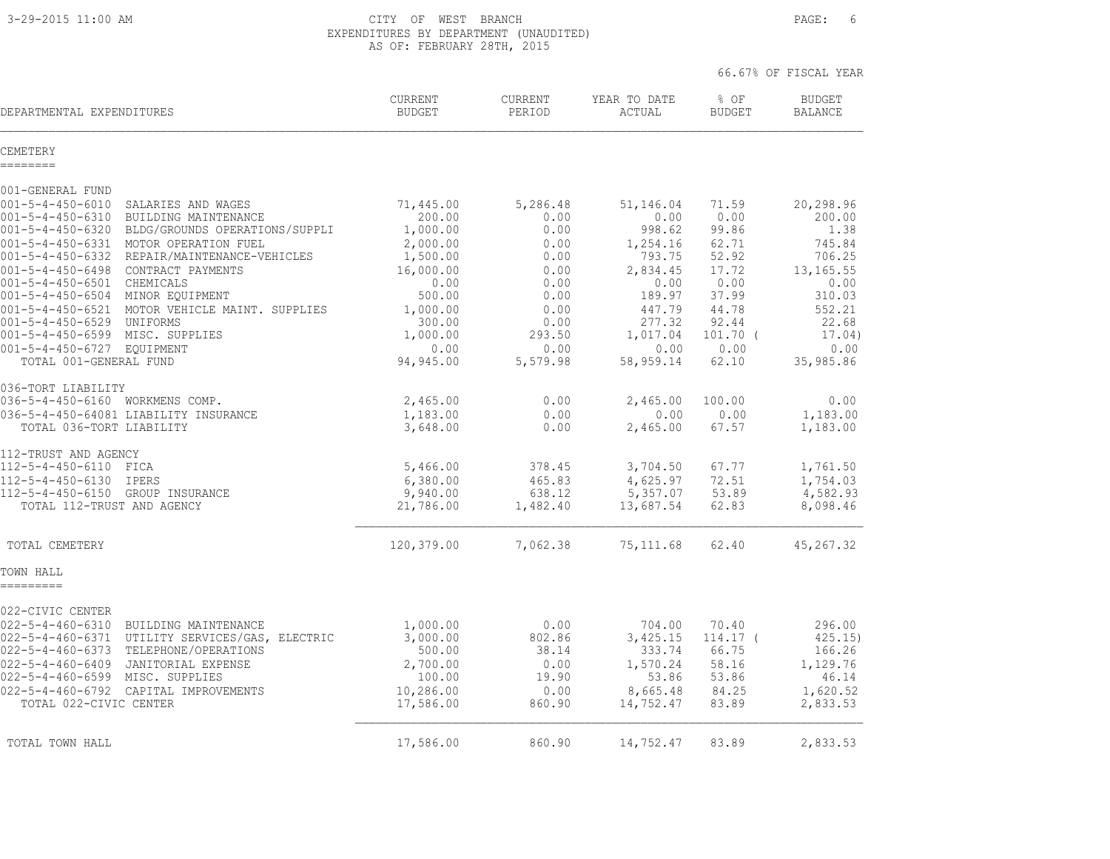3-29-2015 11:00 AM CITY OF WEST BRANCH PAGE: 6 EXPENDITURES BY DEPARTMENT (UNAUDITED) AS OF: FEBRUARY 28TH, 2015

|                                                                                                                                                                                                                                                                                                    |                                                                                |                                                            |                                                                            | 66.67% OF FISCAL YEAR                                           |                                                                          |
|----------------------------------------------------------------------------------------------------------------------------------------------------------------------------------------------------------------------------------------------------------------------------------------------------|--------------------------------------------------------------------------------|------------------------------------------------------------|----------------------------------------------------------------------------|-----------------------------------------------------------------|--------------------------------------------------------------------------|
| DEPARTMENTAL EXPENDITURES                                                                                                                                                                                                                                                                          | CURRENT<br><b>BUDGET</b>                                                       | <b>CURRENT</b><br>PERIOD                                   | YEAR TO DATE<br>ACTUAL                                                     | $8$ OF<br><b>BUDGET</b>                                         | <b>BUDGET</b><br><b>BALANCE</b>                                          |
| CEMETERY<br>========                                                                                                                                                                                                                                                                               |                                                                                |                                                            |                                                                            |                                                                 |                                                                          |
| 001-GENERAL FUND                                                                                                                                                                                                                                                                                   |                                                                                |                                                            |                                                                            |                                                                 |                                                                          |
| $001 - 5 - 4 - 450 - 6010$<br>SALARIES AND WAGES<br>$001 - 5 - 4 - 450 - 6310$<br>BUILDING MAINTENANCE<br>001-5-4-450-6320 BLDG/GROUNDS OPERATIONS/SUPPLI<br>001-5-4-450-6331 MOTOR OPERATION FUEL<br>001-5-4-450-6332<br>REPAIR/MAINTENANCE-VEHICLES                                              | 71,445.00<br>200.00<br>1,000.00<br>2,000.00<br>1,500.00                        | 5,286.48<br>0.00<br>0.00<br>0.00<br>0.00                   | 51,146.04<br>0.00<br>998.62<br>1,254.16<br>793.75                          | 71.59<br>0.00<br>99.86<br>62.71<br>52.92                        | 20,298.96<br>200.00<br>1.38<br>745.84<br>706.25                          |
| 001-5-4-450-6498 CONTRACT PAYMENTS<br>001-5-4-450-6501 CHEMICALS<br>001-5-4-450-6504 MINOR EQUIPMENT<br>001-5-4-450-6521 MOTOR VEHICLE MAINT. SUPPLIES                                                                                                                                             | 16,000.00<br>0.00<br>500.00<br>1,000.00                                        | 0.00<br>0.00<br>0.00<br>0.00                               | 2,834.45<br>0.00<br>189.97<br>447.79                                       | 17.72<br>0.00<br>37.99<br>44.78                                 | 13, 165.55<br>0.00<br>310.03<br>552.21                                   |
| 001-5-4-450-6529 UNIFORMS<br>001-5-4-450-6599 MISC. SUPPLIES<br>001-5-4-450-6727 EOUIPMENT<br>TOTAL 001-GENERAL FUND                                                                                                                                                                               | 300.00<br>1,000.00<br>0.00<br>94,945.00                                        | 0.00<br>293.50<br>0.00<br>5,579.98                         | 277.32<br>1,017.04<br>0.00<br>58,959.14                                    | 92.44<br>$101.70$ (<br>0.00<br>62.10                            | 22.68<br>17.04)<br>0.00<br>35,985.86                                     |
| 036-TORT LIABILITY<br>036-5-4-450-6160 WORKMENS COMP.<br>036-5-4-450-64081 LIABILITY INSURANCE<br>TOTAL 036-TORT LIABILITY                                                                                                                                                                         | 2,465.00<br>1,183.00<br>3,648.00                                               | 0.00<br>0.00<br>0.00                                       | 2,465.00<br>0.00<br>2,465.00                                               | 100.00<br>0.00<br>67.57                                         | 0.00<br>1,183.00<br>1,183.00                                             |
| 112-TRUST AND AGENCY<br>112-5-4-450-6110 FICA<br>112-5-4-450-6130 IPERS<br>112-5-4-450-6150 GROUP INSURANCE<br>TOTAL 112-TRUST AND AGENCY                                                                                                                                                          | 5,466.00<br>6,380.00<br>9,940.00<br>21,786.00                                  | 378.45<br>465.83<br>638.12<br>1,482.40                     | 3,704.50<br>4,625.97<br>5,357.07<br>13,687.54                              | 67.77<br>72.51<br>53.89<br>62.83                                | 1,761.50<br>1,754.03<br>4,582.93<br>8,098.46                             |
| TOTAL CEMETERY                                                                                                                                                                                                                                                                                     | 120,379.00                                                                     | 7,062.38                                                   | 75, 111.68                                                                 | 62.40                                                           | 45, 267.32                                                               |
| TOWN HALL<br>=========                                                                                                                                                                                                                                                                             |                                                                                |                                                            |                                                                            |                                                                 |                                                                          |
| 022-CIVIC CENTER<br>022-5-4-460-6310 BUILDING MAINTENANCE<br>022-5-4-460-6371 UTILITY SERVICES/GAS, ELECTRIC<br>022-5-4-460-6373 TELEPHONE/OPERATIONS<br>022-5-4-460-6409 JANITORIAL EXPENSE<br>022-5-4-460-6599 MISC. SUPPLIES<br>022-5-4-460-6792 CAPITAL IMPROVEMENTS<br>TOTAL 022-CIVIC CENTER | 1,000.00<br>3,000.00<br>500.00<br>2,700.00<br>100.00<br>10,286.00<br>17,586.00 | 0.00<br>802.86<br>38.14<br>0.00<br>19.90<br>0.00<br>860.90 | 704.00<br>3,425.15<br>333.74<br>1,570.24<br>53.86<br>8,665.48<br>14,752.47 | 70.40<br>$114.17-$<br>66.75<br>58.16<br>53.86<br>84.25<br>83.89 | 296.00<br>425.15)<br>166.26<br>1,129.76<br>46.14<br>1,620.52<br>2,833.53 |
| TOTAL TOWN HALL                                                                                                                                                                                                                                                                                    | 17,586.00                                                                      | 860.90                                                     | 14,752.47                                                                  | 83.89                                                           | 2,833.53                                                                 |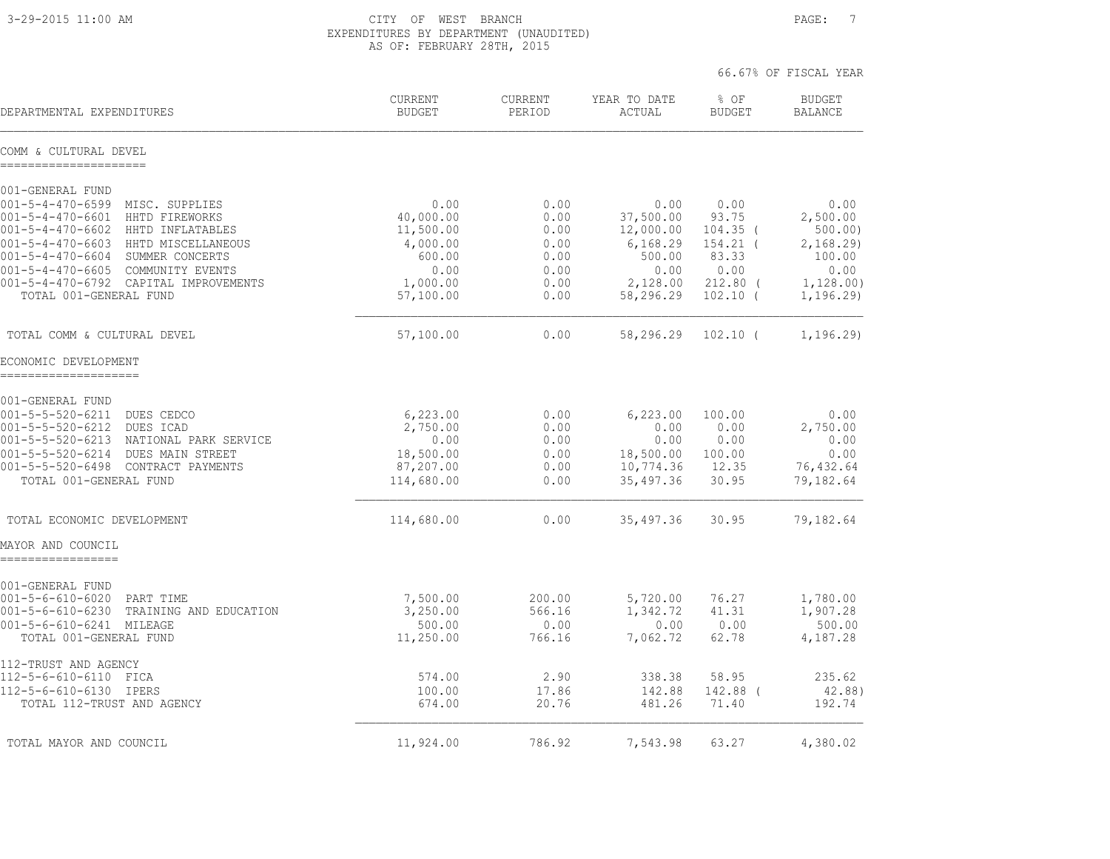3-29-2015 11:00 AM CITY OF WEST BRANCH PAGE: 7 EXPENDITURES BY DEPARTMENT (UNAUDITED) AS OF: FEBRUARY 28TH, 2015

|                                                                                      |                          |                          |                        | 66.67% OF FISCAL YEAR   |                                 |
|--------------------------------------------------------------------------------------|--------------------------|--------------------------|------------------------|-------------------------|---------------------------------|
| DEPARTMENTAL EXPENDITURES                                                            | CURRENT<br><b>BUDGET</b> | <b>CURRENT</b><br>PERIOD | YEAR TO DATE<br>ACTUAL | $8$ OF<br><b>BUDGET</b> | <b>BUDGET</b><br><b>BALANCE</b> |
| COMM & CULTURAL DEVEL<br>---------------------                                       |                          |                          |                        |                         |                                 |
| 001-GENERAL FUND                                                                     |                          |                          |                        |                         |                                 |
| 001-5-4-470-6599 MISC. SUPPLIES<br>001-5-4-470-6601 HHTD FIREWORKS                   | 0.00<br>40,000.00        | 0.00<br>0.00             | 0.00<br>37,500.00      | 0.00<br>93.75           | 0.00<br>2,500.00                |
| 001-5-4-470-6602 HHTD INFLATABLES                                                    | 11,500.00                | 0.00                     | 12,000.00              | $104.35$ (              | 500.00                          |
| 001-5-4-470-6603 HHTD MISCELLANEOUS                                                  | 4,000.00                 | 0.00                     | 6,168.29               | 154.21 (                | 2,168.29                        |
| 001-5-4-470-6604 SUMMER CONCERTS<br>001-5-4-470-6605 COMMUNITY EVENTS                | 600.00<br>0.00           | 0.00                     | 500.00                 | 83.33<br>0.00           | 100.00<br>0.00                  |
| 001-5-4-470-6792 CAPITAL IMPROVEMENTS                                                | 1,000.00                 | 0.00<br>0.00             | 0.00<br>2,128.00       | $212.80$ (              | 1,128.00)                       |
| TOTAL 001-GENERAL FUND                                                               | 57,100.00                | 0.00                     | 58,296.29              | $102.10$ (              | 1, 196.29                       |
| TOTAL COMM & CULTURAL DEVEL                                                          | 57,100.00                | 0.00                     | 58,296.29              | $102.10$ (              | 1, 196.29                       |
| ECONOMIC DEVELOPMENT<br>---------------------                                        |                          |                          |                        |                         |                                 |
| 001-GENERAL FUND                                                                     |                          |                          |                        |                         |                                 |
| $001 - 5 - 5 - 520 - 6211$<br>DUES CEDCO                                             | 6,223.00                 | 0.00                     | 6,223.00               | 100.00                  | 0.00                            |
| 001-5-5-520-6212<br>DUES ICAD<br>$001 - 5 - 5 - 520 - 6213$<br>NATIONAL PARK SERVICE | 2,750.00<br>0.00         | 0.00<br>0.00             | 0.00<br>0.00           | 0.00<br>0.00            | 2,750.00<br>0.00                |
| $001 - 5 - 5 - 520 - 6214$<br>DUES MAIN STREET                                       | 18,500.00                | 0.00                     | 18,500.00              | 100.00                  | 0.00                            |
| 001-5-5-520-6498 CONTRACT PAYMENTS                                                   | 87,207.00                | 0.00                     | 10,774.36              | 12.35                   | 76,432.64                       |
| TOTAL 001-GENERAL FUND                                                               | 114,680.00               | 0.00                     | 35,497.36              | 30.95                   | 79,182.64                       |
| TOTAL ECONOMIC DEVELOPMENT                                                           | 114,680.00               | 0.00                     | 35,497.36              | 30.95                   | 79,182.64                       |
| MAYOR AND COUNCIL<br>=================                                               |                          |                          |                        |                         |                                 |
| 001-GENERAL FUND                                                                     |                          |                          |                        |                         |                                 |
| $001 - 5 - 6 - 610 - 6020$<br>PART TIME                                              | 7,500.00                 | 200.00                   | 5,720.00               | 76.27                   | 1,780.00                        |
| $001 - 5 - 6 - 610 - 6230$<br>TRAINING AND EDUCATION                                 | 3,250.00                 | 566.16                   | 1,342.72               | 41.31                   | 1,907.28                        |
| 001-5-6-610-6241 MILEAGE<br>TOTAL 001-GENERAL FUND                                   | 500.00<br>11,250.00      | 0.00<br>766.16           | 0.00<br>7,062.72       | 0.00<br>62.78           | 500.00<br>4,187.28              |
| 112-TRUST AND AGENCY<br>112-5-6-610-6110 FICA                                        | 574.00                   | 2.90                     | 338.38                 | 58.95                   | 235.62                          |
| 112-5-6-610-6130 IPERS                                                               | 100.00                   | 17.86                    | 142.88                 | 142.88 (                | 42.88)                          |
| TOTAL 112-TRUST AND AGENCY                                                           | 674.00                   | 20.76                    | 481.26                 | 71.40                   | 192.74                          |
| TOTAL MAYOR AND COUNCIL                                                              | 11,924.00                | 786.92                   | 7,543.98               | 63.27                   | 4,380.02                        |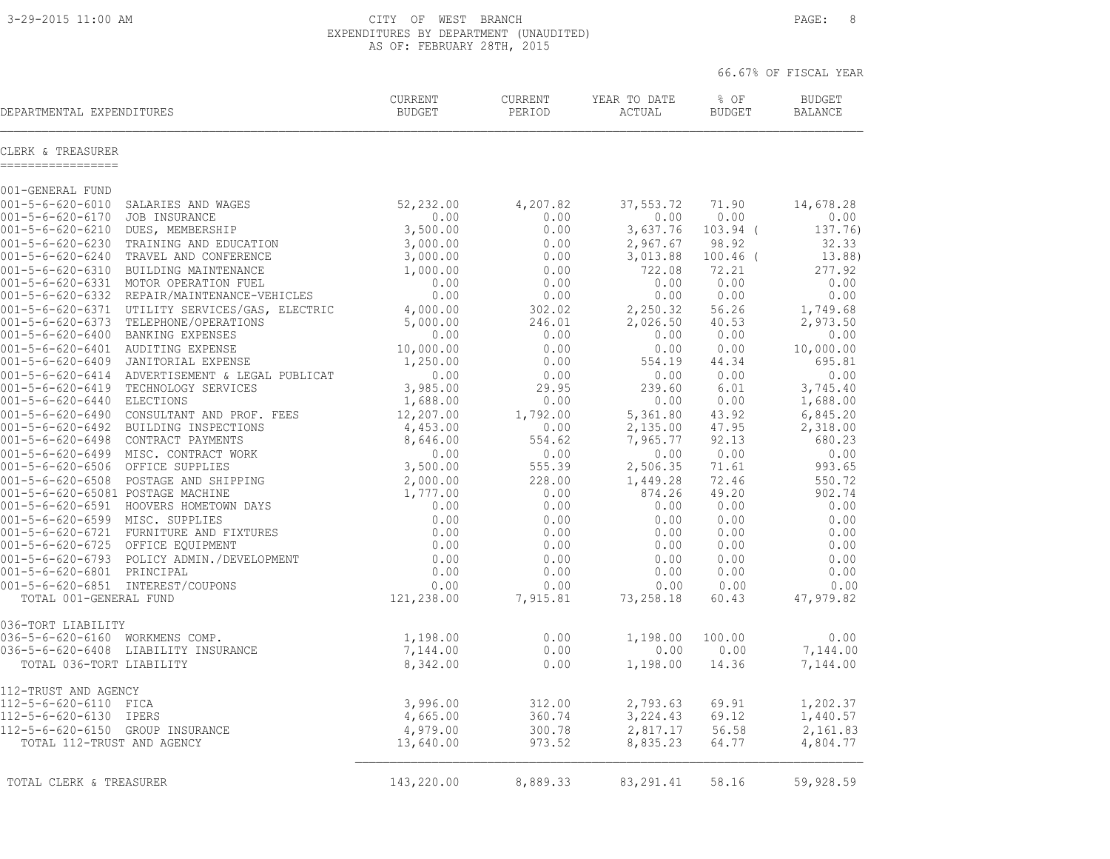3-29-2015 11:00 AM CITY OF WEST BRANCH PAGE: 8 EXPENDITURES BY DEPARTMENT (UNAUDITED)

|                                        |                                                 | AS OF: FEBRUARY 28TH, 2015 |                   |                        |                       |                                 |
|----------------------------------------|-------------------------------------------------|----------------------------|-------------------|------------------------|-----------------------|---------------------------------|
|                                        |                                                 |                            |                   |                        |                       | 66.67% OF FISCAL YEAR           |
| DEPARTMENTAL EXPENDITURES              |                                                 | CURRENT<br>BUDGET          | CURRENT<br>PERIOD | YEAR TO DATE<br>ACTUAL | % OF<br><b>BUDGET</b> | <b>BUDGET</b><br><b>BALANCE</b> |
| CLERK & TREASURER<br>----------------- |                                                 |                            |                   |                        |                       |                                 |
| 001-GENERAL FUND                       |                                                 |                            |                   |                        |                       |                                 |
| $001 - 5 - 6 - 620 - 6010$             | SALARIES AND WAGES                              | 52,232.00                  | 4,207.82          | 37,553.72              | 71.90                 | 14,678.28                       |
| $001 - 5 - 6 - 620 - 6170$             | JOB INSURANCE                                   | 0.00                       | 0.00              | 0.00                   | 0.00                  | 0.00                            |
| $001 - 5 - 6 - 620 - 6210$             | DUES, MEMBERSHIP                                | 3,500.00                   | 0.00              | 3,637.76               | $103.94$ (            | 137.76)                         |
| $001 - 5 - 6 - 620 - 6230$             | TRAINING AND EDUCATION                          | 3,000.00                   | 0.00              | 2,967.67               | 98.92                 | 32.33                           |
| $001 - 5 - 6 - 620 - 6240$             | TRAVEL AND CONFERENCE                           | 3,000.00                   | 0.00              | 3,013.88               | $100.46$ (            | 13.88)                          |
| $001 - 5 - 6 - 620 - 6310$             | BUILDING MAINTENANCE                            | 1,000.00                   | 0.00              | 722.08                 | 72.21                 | 277.92                          |
| $001 - 5 - 6 - 620 - 6331$             | MOTOR OPERATION FUEL                            | 0.00                       | 0.00              | 0.00                   | 0.00                  | 0.00                            |
|                                        | 001-5-6-620-6332 REPAIR/MAINTENANCE-VEHICLES    | 0.00                       | 0.00              | 0.00                   | 0.00                  | 0.00                            |
|                                        | 001-5-6-620-6371 UTILITY SERVICES/GAS, ELECTRIC | 4,000.00                   | 302.02            | 2,250.32               | 56.26                 | 1,749.68                        |
|                                        | 001-5-6-620-6373 TELEPHONE/OPERATIONS           | 5,000.00                   | 246.01            | 2,026.50               | 40.53                 | 2,973.50                        |
| $001 - 5 - 6 - 620 - 6400$             | BANKING EXPENSES                                | 0.00                       | 0.00              | 0.00                   | 0.00                  | 0.00                            |
| 001-5-6-620-6401 AUDITING EXPENSE      |                                                 | 10,000.00                  | 0.00              | 0.00                   | 0.00                  | 10,000.00                       |
|                                        | 001-5-6-620-6409 JANITORIAL EXPENSE             | 1,250.00                   | 0.00              | 554.19                 | 44.34                 | 695.81                          |
|                                        | 001-5-6-620-6414 ADVERTISEMENT & LEGAL PUBLICAT | 0.00                       | 0.00              | 0.00                   | 0.00                  | 0.00                            |
|                                        | 001-5-6-620-6419 TECHNOLOGY SERVICES            | 3,985.00                   | 29.95             | 239.60                 | 6.01                  | 3,745.40                        |
| 001-5-6-620-6440 ELECTIONS             |                                                 | 1,688.00                   | 0.00              | 0.00                   | 0.00                  | 1,688.00                        |
| $001 - 5 - 6 - 620 - 6490$             | CONSULTANT AND PROF. FEES                       | 12,207.00                  | 1,792.00          | 5,361.80               | 43.92                 | 6,845.20                        |
| 001-5-6-620-6492                       | BUILDING INSPECTIONS                            | 4,453.00                   | 0.00              | 2,135.00               | 47.95                 | 2,318.00                        |
|                                        | 001-5-6-620-6498 CONTRACT PAYMENTS              | 8,646.00                   | 554.62            | 7,965.77               | 92.13                 | 680.23                          |
|                                        | 001-5-6-620-6499 MISC. CONTRACT WORK            | 0.00                       | 0.00              | 0.00                   | 0.00                  | 0.00                            |
| 001-5-6-620-6506 OFFICE SUPPLIES       |                                                 | 3,500.00                   | 555.39            | 2,506.35               | 71.61                 | 993.65                          |
|                                        | 001-5-6-620-6508 POSTAGE AND SHIPPING           | 2,000.00                   | 228.00            | 1,449.28               | 72.46                 | 550.72                          |
| 001-5-6-620-65081 POSTAGE MACHINE      |                                                 | 1,777.00                   | 0.00              | 874.26                 | 49.20                 | 902.74                          |
|                                        | 001-5-6-620-6591 HOOVERS HOMETOWN DAYS          | 0.00                       | 0.00              | 0.00                   | 0.00                  | 0.00                            |
| 001-5-6-620-6599 MISC. SUPPLIES        |                                                 | 0.00                       | 0.00              | 0.00                   | 0.00                  | 0.00                            |
|                                        | 001-5-6-620-6721 FURNITURE AND FIXTURES         | 0.00                       | 0.00              | 0.00                   | 0.00                  | 0.00                            |
| 001-5-6-620-6725 OFFICE EQUIPMENT      |                                                 | 0.00                       | 0.00              | 0.00                   | 0.00                  | 0.00                            |
|                                        | 001-5-6-620-6793 POLICY ADMIN./DEVELOPMENT      | 0.00                       | 0.00              | 0.00                   | 0.00                  | 0.00                            |
| 001-5-6-620-6801 PRINCIPAL             |                                                 | 0.00                       | 0.00              | 0.00                   | 0.00                  | 0.00                            |
| 001-5-6-620-6851 INTEREST/COUPONS      |                                                 | 0.00                       | 0.00              | 0.00                   | 0.00                  | 0.00                            |
| TOTAL 001-GENERAL FUND                 |                                                 | 121,238.00                 | 7,915.81          | 73,258.18              | 60.43                 | 47,979.82                       |

036-TORT LIABILITY<br>036-5-6-620-6160 WORKMENS COMP. 036-5-6-620-6160 WORKMENS COMP. 1,198.00 0.00 1,198.00 100.00 0.00 036-5-6-620-6408 LIABILITY INSURANCE 7,144.00 0.00 0.00 0.00 7,144.00 TOTAL 036-TORT LIABILITY 8,342.00 0.00 1,198.00 14.36 7,144.00 112-TRUST AND AGENCY<br>112-5-6-620-6110 FICA<br>112-5-6-620-6130 IPERS 112-5-6-620-6110 FICA 3,996.00 312.00 2,793.63 69.91 1,202.37 112-5-6-620-6130 IPERS 4,665.00 360.74 3,224.43 69.12 1,440.57 112-5-6-620-6150 GROUP INSURANCE 4,979.00 300.78 2,817.17 56.58 2,161.83 TOTAL 112-TRUST AND AGENCY 13,640.00 973.52 8,835.23 64.77 4,804.77  $\mathcal{L}_\text{max} = \frac{1}{2} \sum_{i=1}^n \mathcal{L}_\text{max} = \frac{1}{2} \sum_{i=1}^n \mathcal{L}_\text{max} = \frac{1}{2} \sum_{i=1}^n \mathcal{L}_\text{max} = \frac{1}{2} \sum_{i=1}^n \mathcal{L}_\text{max} = \frac{1}{2} \sum_{i=1}^n \mathcal{L}_\text{max} = \frac{1}{2} \sum_{i=1}^n \mathcal{L}_\text{max} = \frac{1}{2} \sum_{i=1}^n \mathcal{L}_\text{max} = \frac{1}{2} \sum_{i=$ TOTAL CLERK & TREASURER 143,220.00 8,889.33 83,291.41 58.16 59,928.59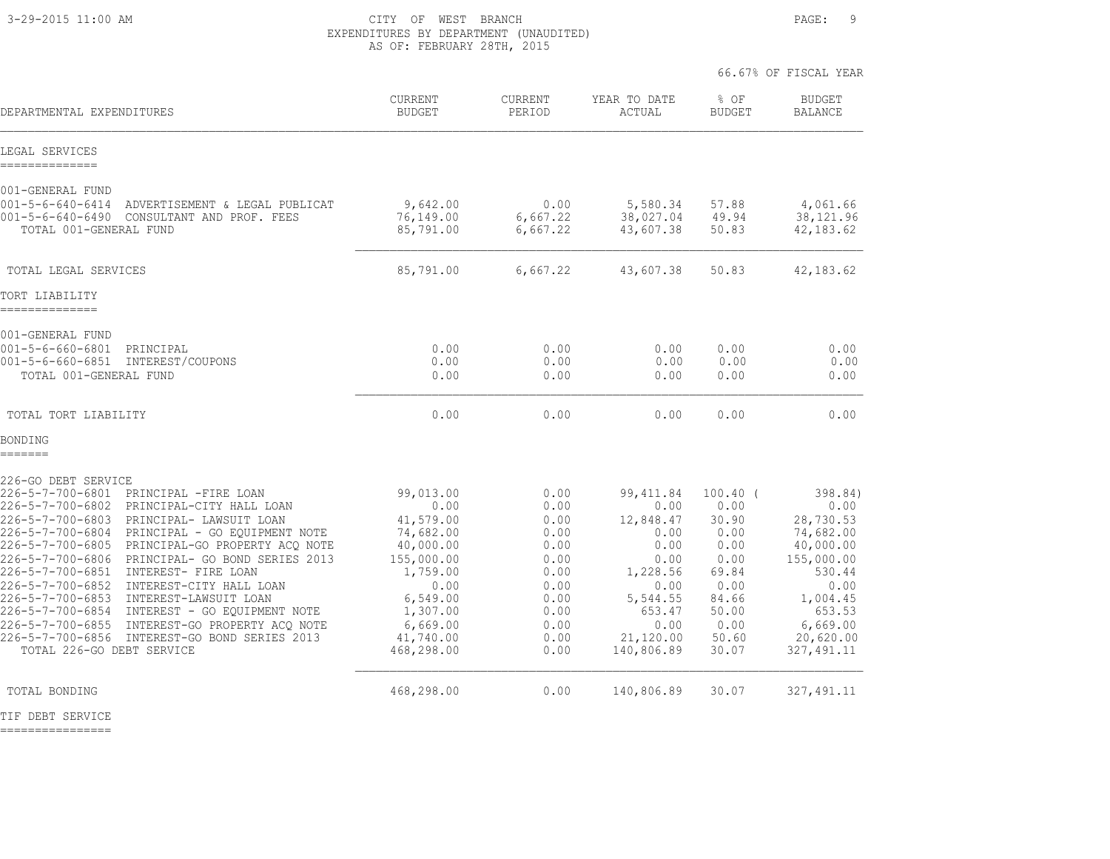3-29-2015 11:00 AM CITY OF WEST BRANCH PAGE: 9 EXPENDITURES BY DEPARTMENT (UNAUDITED) AS OF: FEBRUARY 28TH, 2015

|                                                                                                                                                                                                                                                                                                                                                                                                                                                                                                                                                                                                                                                            |                                                                                                                                                           |                                                                                                      |                                                                                                                                      |                                                                                                                  | 66.67% OF FISCAL YEAR                                                                                                                                |
|------------------------------------------------------------------------------------------------------------------------------------------------------------------------------------------------------------------------------------------------------------------------------------------------------------------------------------------------------------------------------------------------------------------------------------------------------------------------------------------------------------------------------------------------------------------------------------------------------------------------------------------------------------|-----------------------------------------------------------------------------------------------------------------------------------------------------------|------------------------------------------------------------------------------------------------------|--------------------------------------------------------------------------------------------------------------------------------------|------------------------------------------------------------------------------------------------------------------|------------------------------------------------------------------------------------------------------------------------------------------------------|
| DEPARTMENTAL EXPENDITURES                                                                                                                                                                                                                                                                                                                                                                                                                                                                                                                                                                                                                                  | CURRENT<br><b>BUDGET</b>                                                                                                                                  | <b>CURRENT</b><br>PERIOD                                                                             | YEAR TO DATE<br>ACTUAL                                                                                                               | $8$ OF<br><b>BUDGET</b>                                                                                          | <b>BUDGET</b><br><b>BALANCE</b>                                                                                                                      |
| LEGAL SERVICES<br>---------------                                                                                                                                                                                                                                                                                                                                                                                                                                                                                                                                                                                                                          |                                                                                                                                                           |                                                                                                      |                                                                                                                                      |                                                                                                                  |                                                                                                                                                      |
| 001-GENERAL FUND<br>$001 - 5 - 6 - 640 - 6414$<br>ADVERTISEMENT & LEGAL PUBLICAT<br>001-5-6-640-6490 CONSULTANT AND PROF. FEES<br>TOTAL 001-GENERAL FUND                                                                                                                                                                                                                                                                                                                                                                                                                                                                                                   | 9,642.00<br>76,149.00<br>85,791.00                                                                                                                        | 0.00<br>6,667.22<br>6,667.22                                                                         | 5,580.34<br>38,027.04<br>43,607.38                                                                                                   | 57.88<br>49.94<br>50.83                                                                                          | 4,061.66<br>38,121.96<br>42, 183.62                                                                                                                  |
| TOTAL LEGAL SERVICES                                                                                                                                                                                                                                                                                                                                                                                                                                                                                                                                                                                                                                       | 85,791.00                                                                                                                                                 | 6,667.22                                                                                             | 43,607.38                                                                                                                            | 50.83                                                                                                            | 42, 183.62                                                                                                                                           |
| TORT LIABILITY<br>----------                                                                                                                                                                                                                                                                                                                                                                                                                                                                                                                                                                                                                               |                                                                                                                                                           |                                                                                                      |                                                                                                                                      |                                                                                                                  |                                                                                                                                                      |
| 001-GENERAL FUND<br>$001 - 5 - 6 - 660 - 6801$<br>PRINCIPAL<br>$001 - 5 - 6 - 660 - 6851$<br>INTEREST/COUPONS<br>TOTAL 001-GENERAL FUND                                                                                                                                                                                                                                                                                                                                                                                                                                                                                                                    | 0.00<br>0.00<br>0.00                                                                                                                                      | 0.00<br>0.00<br>0.00                                                                                 | 0.00<br>0.00<br>0.00                                                                                                                 | 0.00<br>0.00<br>0.00                                                                                             | 0.00<br>0.00<br>0.00                                                                                                                                 |
| TOTAL TORT LIABILITY                                                                                                                                                                                                                                                                                                                                                                                                                                                                                                                                                                                                                                       | 0.00                                                                                                                                                      | 0.00                                                                                                 | 0.00                                                                                                                                 | 0.00                                                                                                             | 0.00                                                                                                                                                 |
| BONDING<br>=======                                                                                                                                                                                                                                                                                                                                                                                                                                                                                                                                                                                                                                         |                                                                                                                                                           |                                                                                                      |                                                                                                                                      |                                                                                                                  |                                                                                                                                                      |
| 226-GO DEBT SERVICE<br>226-5-7-700-6801<br>PRINCIPAL -FIRE LOAN<br>226-5-7-700-6802<br>PRINCIPAL-CITY HALL LOAN<br>226-5-7-700-6803<br>PRINCIPAL- LAWSUIT LOAN<br>226-5-7-700-6804<br>PRINCIPAL - GO EOUIPMENT NOTE<br>226-5-7-700-6805 PRINCIPAL-GO PROPERTY ACQ NOTE<br>226-5-7-700-6806<br>PRINCIPAL- GO BOND SERIES 2013<br>226-5-7-700-6851<br>INTEREST- FIRE LOAN<br>226-5-7-700-6852<br>INTEREST-CITY HALL LOAN<br>226-5-7-700-6853<br>INTEREST-LAWSUIT LOAN<br>226-5-7-700-6854<br>INTEREST - GO EQUIPMENT NOTE<br>226-5-7-700-6855<br>INTEREST-GO PROPERTY ACQ NOTE<br>226-5-7-700-6856 INTEREST-GO BOND SERIES 2013<br>TOTAL 226-GO DEBT SERVICE | 99,013.00<br>0.00<br>41,579.00<br>74,682.00<br>40,000.00<br>155,000.00<br>1,759.00<br>0.00<br>6,549.00<br>1,307.00<br>6,669.00<br>41,740.00<br>468,298.00 | 0.00<br>0.00<br>0.00<br>0.00<br>0.00<br>0.00<br>0.00<br>0.00<br>0.00<br>0.00<br>0.00<br>0.00<br>0.00 | 99, 411.84<br>0.00<br>12,848.47<br>0.00<br>0.00<br>0.00<br>1,228.56<br>0.00<br>5,544.55<br>653.47<br>0.00<br>21,120.00<br>140,806.89 | $100.40$ (<br>0.00<br>30.90<br>0.00<br>0.00<br>0.00<br>69.84<br>0.00<br>84.66<br>50.00<br>0.00<br>50.60<br>30.07 | 398.84)<br>0.00<br>28,730.53<br>74,682.00<br>40,000.00<br>155,000.00<br>530.44<br>0.00<br>1,004.45<br>653.53<br>6,669.00<br>20,620.00<br>327, 491.11 |
| TOTAL BONDING                                                                                                                                                                                                                                                                                                                                                                                                                                                                                                                                                                                                                                              | 468,298.00                                                                                                                                                | 0.00                                                                                                 | 140,806.89                                                                                                                           | 30.07                                                                                                            | 327, 491.11                                                                                                                                          |

TIF DEBT SERVICE

================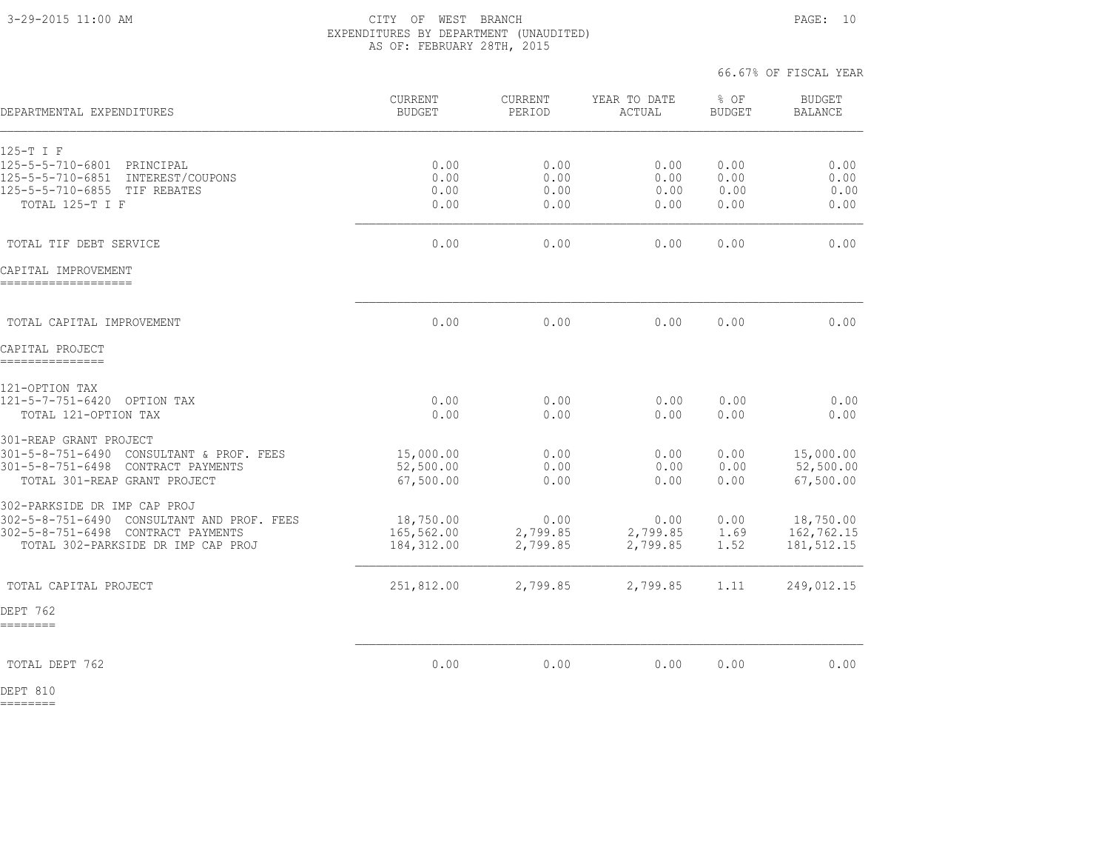#### 3-29-2015 11:00 AM CITY OF WEST BRANCH PAGE: 10 EXPENDITURES BY DEPARTMENT (UNAUDITED) AS OF: FEBRUARY 28TH, 2015

66.67% OF FISCAL YEAR

| DEPARTMENTAL EXPENDITURES                                                        | <b>CURRENT</b><br><b>BUDGET</b> | CURRENT<br>PERIOD | YEAR TO DATE<br><b>ACTUAL</b> | % OF<br><b>BUDGET</b> | <b>BUDGET</b><br><b>BALANCE</b> |
|----------------------------------------------------------------------------------|---------------------------------|-------------------|-------------------------------|-----------------------|---------------------------------|
| 125-T I F                                                                        |                                 |                   |                               |                       |                                 |
| 125-5-5-710-6801<br>PRINCIPAL<br>INTEREST/COUPONS                                | 0.00                            | 0.00              | 0.00                          | 0.00                  | 0.00                            |
| 125-5-5-710-6851<br>125-5-5-710-6855 TIF REBATES                                 | 0.00<br>0.00                    | 0.00<br>0.00      | 0.00<br>0.00                  | 0.00<br>0.00          | 0.00<br>0.00                    |
| TOTAL 125-T I F                                                                  | 0.00                            | 0.00              | 0.00                          | 0.00                  | 0.00                            |
| TOTAL TIF DEBT SERVICE                                                           | 0.00                            | 0.00              | 0.00                          | 0.00                  | 0.00                            |
| CAPITAL IMPROVEMENT<br>.___________________                                      |                                 |                   |                               |                       |                                 |
| TOTAL CAPITAL IMPROVEMENT                                                        | 0.00                            | 0.00              | 0.00                          | 0.00                  | 0.00                            |
| CAPITAL PROJECT                                                                  |                                 |                   |                               |                       |                                 |
| ----------------                                                                 |                                 |                   |                               |                       |                                 |
| 121-OPTION TAX<br>121-5-7-751-6420 OPTION TAX                                    | 0.00                            | 0.00              | 0.00                          | 0.00                  | 0.00                            |
| TOTAL 121-OPTION TAX                                                             | 0.00                            | 0.00              | 0.00                          | 0.00                  | 0.00                            |
| 301-REAP GRANT PROJECT                                                           |                                 |                   |                               |                       |                                 |
| 301-5-8-751-6490 CONSULTANT & PROF. FEES<br>301-5-8-751-6498 CONTRACT PAYMENTS   | 15,000.00<br>52,500.00          | 0.00<br>0.00      | 0.00<br>0.00                  | 0.00<br>0.00          | 15,000.00<br>52,500.00          |
| TOTAL 301-REAP GRANT PROJECT                                                     | 67,500.00                       | 0.00              | 0.00                          | 0.00                  | 67,500.00                       |
| 302-PARKSIDE DR IMP CAP PROJ                                                     |                                 |                   |                               |                       |                                 |
| 302-5-8-751-6490 CONSULTANT AND PROF. FEES<br>302-5-8-751-6498 CONTRACT PAYMENTS | 18,750.00<br>165,562.00         | 0.00<br>2,799.85  | 0.00<br>2,799.85              | 0.00<br>1.69          | 18,750.00<br>162,762.15         |
| TOTAL 302-PARKSIDE DR IMP CAP PROJ                                               | 184, 312.00                     | 2,799.85          | 2,799.85                      | 1.52                  | 181, 512.15                     |
| TOTAL CAPITAL PROJECT                                                            | 251,812.00                      | 2,799.85          | 2,799.85                      | 1.11                  | 249,012.15                      |
| DEPT 762                                                                         |                                 |                   |                               |                       |                                 |
| ========                                                                         |                                 |                   |                               |                       |                                 |
| TOTAL DEPT 762                                                                   | 0.00                            | 0.00              | 0.00                          | 0.00                  | 0.00                            |

DEPT 810 ========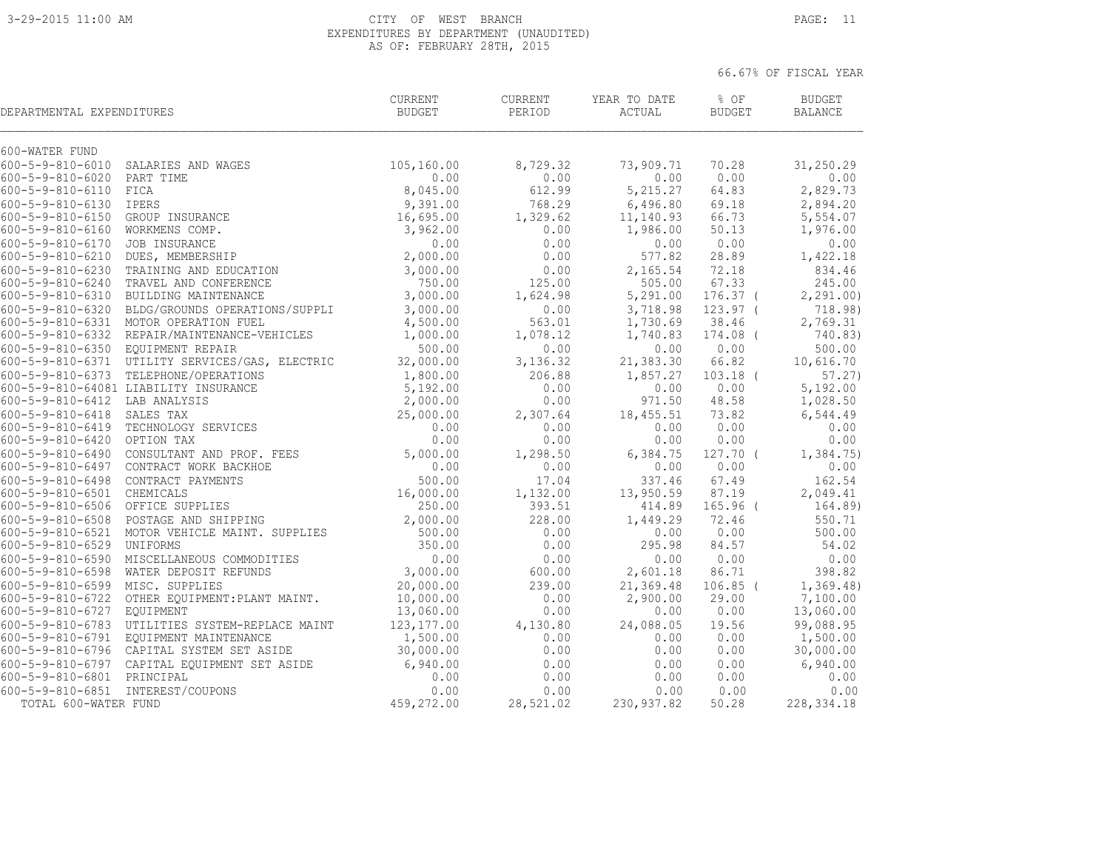#### 3-29-2015 11:00 AM CITY OF WEST BRANCH PAGE: 11 EXPENDITURES BY DEPARTMENT (UNAUDITED) AS OF: FEBRUARY 28TH, 2015

| DEPARTMENTAL EXPENDITURES         |                                                 | <b>CURRENT</b><br><b>BUDGET</b> | CURRENT<br>PERIOD | YEAR TO DATE<br>ACTUAL | % OF<br><b>BUDGET</b> | <b>BUDGET</b><br><b>BALANCE</b> |
|-----------------------------------|-------------------------------------------------|---------------------------------|-------------------|------------------------|-----------------------|---------------------------------|
| 600-WATER FUND                    |                                                 |                                 |                   |                        |                       |                                 |
|                                   | 600-5-9-810-6010 SALARIES AND WAGES             | 105,160.00                      | 8,729.32          | 73,909.71              | 70.28                 | 31,250.29                       |
| 600-5-9-810-6020 PART TIME        |                                                 | 0.00                            | 0.00              | 0.00                   | 0.00                  | 0.00                            |
| $600 - 5 - 9 - 810 - 6110$        | FICA                                            | 8,045.00                        | 612.99            | 5, 215.27              | 64.83                 | 2,829.73                        |
| $600 - 5 - 9 - 810 - 6130$        | <b>IPERS</b>                                    | 9,391.00                        | 768.29            | 6,496.80               | 69.18                 | 2,894.20                        |
| 600-5-9-810-6150 GROUP INSURANCE  |                                                 | 16,695.00                       | 1,329.62          | 11,140.93              | 66.73                 | 5,554.07                        |
| 600-5-9-810-6160 WORKMENS COMP.   |                                                 | 3,962.00                        | 0.00              | 1,986.00               | 50.13                 | 1,976.00                        |
| 600-5-9-810-6170 JOB INSURANCE    |                                                 | 0.00                            | 0.00              | 0.00                   | 0.00                  | 0.00                            |
| 600-5-9-810-6210 DUES, MEMBERSHIP |                                                 | 2,000.00                        | 0.00              | 577.82                 | 28.89                 | 1,422.18                        |
|                                   | 600-5-9-810-6230 TRAINING AND EDUCATION         | 3,000.00                        | 0.00              | 2,165.54               | 72.18                 | 834.46                          |
|                                   | 600-5-9-810-6240 TRAVEL AND CONFERENCE          | 750.00                          | 125.00            | 505.00                 | 67.33                 | 245.00                          |
|                                   | 600-5-9-810-6310 BUILDING MAINTENANCE           | 3,000.00                        | 1,624.98          | 5,291.00               | $176.37$ (            | 2, 291.00                       |
|                                   | 600-5-9-810-6320 BLDG/GROUNDS OPERATIONS/SUPPLI | 3,000.00                        | 0.00              | 3,718.98               | $123.97$ (            | 718.98)                         |
|                                   | 600-5-9-810-6331 MOTOR OPERATION FUEL           | 4,500.00                        | 563.01            | 1,730.69               | 38.46                 | 2,769.31                        |
|                                   | 600-5-9-810-6332 REPAIR/MAINTENANCE-VEHICLES    | 1,000.00                        | 1,078.12          | 1,740.83               | 174.08 (              | 740.83)                         |
| 600-5-9-810-6350 EQUIPMENT REPAIR |                                                 | 500.00                          | 0.00              | 0.00                   | 0.00                  | 500.00                          |
|                                   | 600-5-9-810-6371 UTILITY SERVICES/GAS, ELECTRIC | 32,000.00                       | 3,136.32          | 21,383.30              | 66.82                 | 10,616.70                       |
|                                   | 600-5-9-810-6373 TELEPHONE/OPERATIONS           | 1,800.00                        | 206.88            | 1,857.27               | $103.18$ (            | 57.27)                          |
|                                   | 600-5-9-810-64081 LIABILITY INSURANCE           | 5,192.00                        | 0.00              | 0.00                   | 0.00                  | 5,192.00                        |
| 600-5-9-810-6412 LAB ANALYSIS     |                                                 | 2,000.00                        | 0.00              | 971.50                 | 48.58                 | 1,028.50                        |
| $600 - 5 - 9 - 810 - 6418$        | SALES TAX                                       | 25,000.00                       | 2,307.64          | 18,455.51              | 73.82                 | 6,544.49                        |
|                                   | 600-5-9-810-6419 TECHNOLOGY SERVICES            | 0.00                            | 0.00              | 0.00                   | 0.00                  | 0.00                            |
| 600-5-9-810-6420 OPTION TAX       |                                                 | 0.00                            | 0.00              | 0.00                   | 0.00                  | 0.00                            |
|                                   | 600-5-9-810-6490 CONSULTANT AND PROF. FEES      | 5,000.00                        | 1,298.50          | 6,384.75               | 127.70 (              | 1,384.75)                       |
|                                   | 600-5-9-810-6497 CONTRACT WORK BACKHOE          | 0.00                            | 0.00              | 0.00                   | 0.00                  | 0.00                            |
|                                   | 600-5-9-810-6498 CONTRACT PAYMENTS              | 500.00                          | 17.04             | 337.46                 | 67.49                 | 162.54                          |
| 600-5-9-810-6501 CHEMICALS        |                                                 | 16,000.00                       | 1,132.00          | 13,950.59              | 87.19                 | 2,049.41                        |
| 600-5-9-810-6506 OFFICE SUPPLIES  |                                                 | 250.00                          | 393.51            | 414.89                 | $165.96$ (            | 164.89)                         |
|                                   | 600-5-9-810-6508 POSTAGE AND SHIPPING           | 2,000.00                        | 228.00            | 1,449.29               | 72.46                 | 550.71                          |
|                                   | 600-5-9-810-6521 MOTOR VEHICLE MAINT. SUPPLIES  | 500.00                          | 0.00              | 0.00                   | 0.00                  | 500.00                          |
| 600-5-9-810-6529 UNIFORMS         |                                                 | 350.00                          | 0.00              | 295.98                 | 84.57                 | 54.02                           |
|                                   | 600-5-9-810-6590 MISCELLANEOUS COMMODITIES      | 0.00                            | 0.00              | 0.00                   | 0.00                  | 0.00                            |
|                                   | 600-5-9-810-6598 WATER DEPOSIT REFUNDS          | 3,000.00                        | 600.00            | 2,601.18               | 86.71                 | 398.82                          |
| 600-5-9-810-6599 MISC. SUPPLIES   |                                                 | 20,000.00                       | 239.00            | 21,369.48              | $106.85$ (            | 1, 369.48)                      |
|                                   | 600-5-9-810-6722 OTHER EQUIPMENT: PLANT MAINT.  | 10,000.00                       | 0.00              | 2,900.00               | 29.00                 | 7,100.00                        |
| 600-5-9-810-6727 EQUIPMENT        |                                                 | 13,060.00                       | 0.00              | 0.00                   | 0.00                  | 13,060.00                       |
|                                   | 600-5-9-810-6783 UTILITIES SYSTEM-REPLACE MAINT | 123, 177.00                     | 4,130.80          | 24,088.05              | 19.56                 | 99,088.95                       |
|                                   | 600-5-9-810-6791 EQUIPMENT MAINTENANCE          | 1,500.00                        | 0.00              | 0.00                   | 0.00                  | 1,500.00                        |
|                                   | 600-5-9-810-6796 CAPITAL SYSTEM SET ASIDE       | 30,000.00                       | 0.00              | 0.00                   | 0.00                  | 30,000.00                       |
|                                   | 600-5-9-810-6797 CAPITAL EQUIPMENT SET ASIDE    | 6,940.00                        | 0.00              | 0.00                   | 0.00                  | 6,940.00                        |
| 600-5-9-810-6801 PRINCIPAL        |                                                 | 0.00                            | 0.00              | 0.00                   | 0.00                  | 0.00                            |
| 600-5-9-810-6851 INTEREST/COUPONS |                                                 | 0.00                            | 0.00              | 0.00                   | 0.00                  | 0.00                            |
| TOTAL 600-WATER FUND              |                                                 | 459,272.00                      | 28,521.02         | 230, 937.82            | 50.28                 | 228, 334.18                     |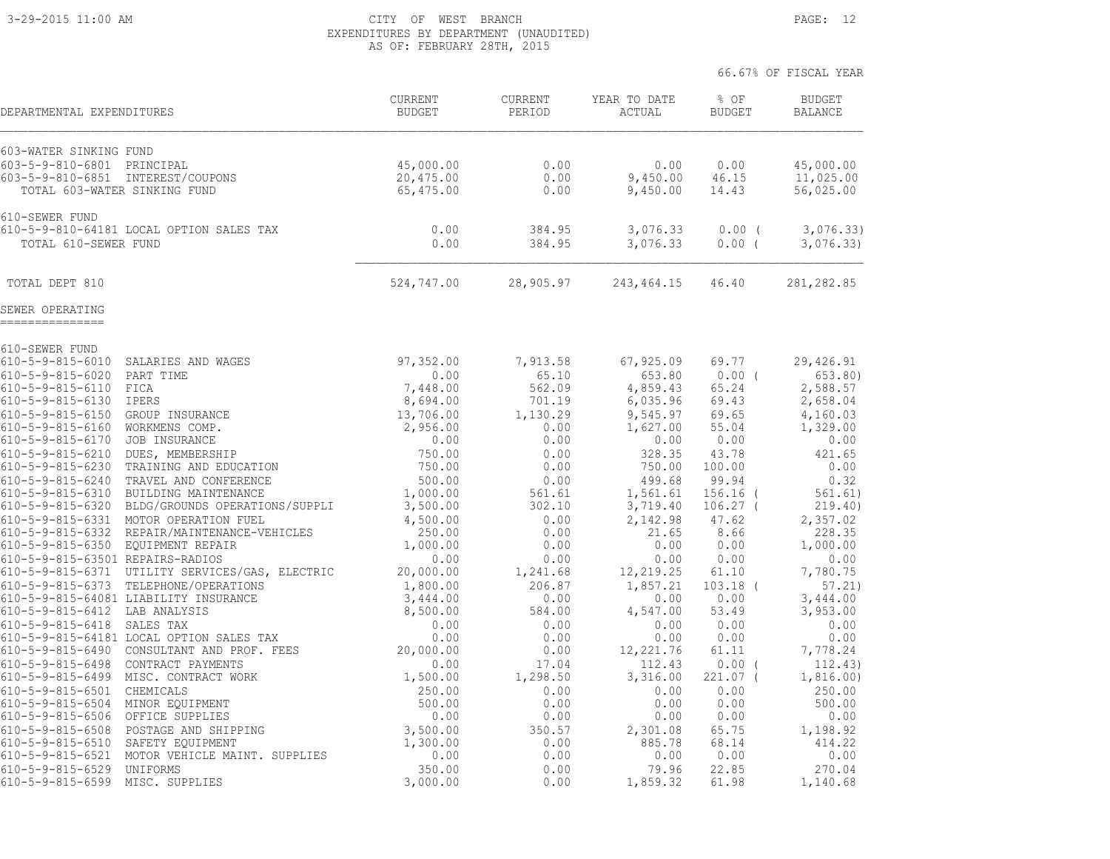#### 3-29-2015 11:00 AM CITY OF WEST BRANCH PAGE: 12 EXPENDITURES BY DEPARTMENT (UNAUDITED) AS OF: FEBRUARY 28TH, 2015

| DEPARTMENTAL EXPENDITURES                                                                       |                                                                                        | <b>CURRENT</b><br><b>BUDGET</b> | <b>CURRENT</b><br>PERIOD | YEAR TO DATE<br>ACTUAL       | % OF<br><b>BUDGET</b>  | <b>BUDGET</b><br><b>BALANCE</b> |
|-------------------------------------------------------------------------------------------------|----------------------------------------------------------------------------------------|---------------------------------|--------------------------|------------------------------|------------------------|---------------------------------|
| 603-WATER SINKING FUND                                                                          |                                                                                        | 45,000.00                       | 0.00                     |                              |                        | 45,000.00                       |
| 603-5-9-810-6801 PRINCIPAL<br>603-5-9-810-6851 INTEREST/COUPONS<br>TOTAL 603-WATER SINKING FUND |                                                                                        | 20,475.00<br>65,475.00          | 0.00<br>0.00             | 0.00<br>9,450.00<br>9,450.00 | 0.00<br>46.15<br>14.43 | 11,025.00<br>56,025.00          |
| 610-SEWER FUND                                                                                  | 610-5-9-810-64181 LOCAL OPTION SALES TAX                                               |                                 |                          |                              |                        |                                 |
| TOTAL 610-SEWER FUND                                                                            |                                                                                        | 0.00<br>0.00                    | 384.95<br>384.95         | 3,076.33<br>3,076.33         | 0.00(<br>0.00(         | 3,076.33)<br>3,076.33)          |
| TOTAL DEPT 810                                                                                  |                                                                                        | 524,747.00                      | 28,905.97                | 243,464.15                   | 46.40                  | 281, 282.85                     |
| SEWER OPERATING<br>===============                                                              |                                                                                        |                                 |                          |                              |                        |                                 |
| 610-SEWER FUND                                                                                  |                                                                                        |                                 |                          |                              |                        |                                 |
| $610 - 5 - 9 - 815 - 6010$                                                                      | SALARIES AND WAGES                                                                     | 97,352.00                       | 7,913.58                 | 67,925.09                    | 69.77                  | 29,426.91                       |
| $610 - 5 - 9 - 815 - 6020$                                                                      | PART TIME                                                                              | 0.00                            | 65.10                    | 653.80                       | $0.00$ (               | 653.80)                         |
| 610-5-9-815-6110 FICA<br>610-5-9-815-6130 IPERS                                                 |                                                                                        | 7,448.00<br>8,694.00            | 562.09<br>701.19         | 4,859.43<br>6,035.96         | 65.24<br>69.43         | 2,588.57<br>2,658.04            |
| $610 - 5 - 9 - 815 - 6150$                                                                      | GROUP INSURANCE                                                                        | 13,706.00                       | 1,130.29                 | 9,545.97                     | 69.65                  | 4,160.03                        |
| $610 - 5 - 9 - 815 - 6160$                                                                      | WORKMENS COMP.                                                                         | 2,956.00                        | 0.00                     | 1,627.00                     | 55.04                  | 1,329.00                        |
| $610 - 5 - 9 - 815 - 6170$                                                                      | JOB INSURANCE                                                                          | 0.00                            | 0.00                     | 0.00                         | 0.00                   | 0.00                            |
| $610 - 5 - 9 - 815 - 6210$                                                                      | DUES, MEMBERSHIP                                                                       | 750.00                          | 0.00                     | 328.35                       | 43.78                  | 421.65                          |
|                                                                                                 | 610-5-9-815-6230 TRAINING AND EDUCATION                                                | 750.00                          | 0.00                     | 750.00                       | 100.00                 | 0.00                            |
| $610 - 5 - 9 - 815 - 6240$                                                                      | TRAVEL AND CONFERENCE                                                                  | 500.00                          | 0.00                     | 499.68                       | 99.94                  | 0.32                            |
|                                                                                                 | 610-5-9-815-6310 BUILDING MAINTENANCE                                                  | 1,000.00                        | 561.61                   | 1,561.61                     | $156.16$ (             | 561.61)                         |
|                                                                                                 | 610-5-9-815-6320 BLDG/GROUNDS OPERATIONS/SUPPLI                                        | 3,500.00                        | 302.10                   | 3,719.40                     | $106.27$ (             | 219.40)                         |
| 610-5-9-815-6331                                                                                | MOTOR OPERATION FUEL<br>610-5-9-815-6332 REPAIR/MAINTENANCE-VEHICLES                   | 4,500.00<br>250.00              | 0.00<br>0.00             | 2,142.98<br>21.65            | 47.62<br>8.66          | 2,357.02<br>228.35              |
| 610-5-9-815-6350 EQUIPMENT REPAIR                                                               |                                                                                        | 1,000.00                        | 0.00                     | 0.00                         | 0.00                   | 1,000.00                        |
| 610-5-9-815-63501 REPAIRS-RADIOS                                                                |                                                                                        | 0.00                            | 0.00                     | 0.00                         | 0.00                   | 0.00                            |
|                                                                                                 | 610-5-9-815-6371 UTILITY SERVICES/GAS, ELECTRIC                                        | 20,000.00                       | 1,241.68                 | 12,219.25                    | 61.10                  | 7,780.75                        |
|                                                                                                 | 610-5-9-815-6373 TELEPHONE/OPERATIONS                                                  | 1,800.00                        | 206.87                   | 1,857.21                     | $103.18$ (             | 57.21)                          |
|                                                                                                 | 610-5-9-815-64081 LIABILITY INSURANCE                                                  | 3,444.00                        | 0.00                     | 0.00                         | 0.00                   | 3,444.00                        |
| 610-5-9-815-6412 LAB ANALYSIS                                                                   |                                                                                        | 8,500.00                        | 584.00                   | 4,547.00                     | 53.49                  | 3,953.00                        |
| 610-5-9-815-6418 SALES TAX                                                                      |                                                                                        | 0.00                            | 0.00                     | 0.00                         | 0.00                   | 0.00                            |
|                                                                                                 | 610-5-9-815-64181 LOCAL OPTION SALES TAX<br>610-5-9-815-6490 CONSULTANT AND PROF. FEES | 0.00<br>20,000.00               | 0.00<br>0.00             | 0.00<br>12, 221.76           | 0.00<br>61.11          | 0.00<br>7,778.24                |
| 610-5-9-815-6498                                                                                | CONTRACT PAYMENTS                                                                      | 0.00                            | 17.04                    | 112.43                       | $0.00$ (               | 112.43)                         |
|                                                                                                 | 610-5-9-815-6499 MISC. CONTRACT WORK                                                   | 1,500.00                        | 1,298.50                 | 3,316.00                     | 221.07 (               | 1,816.00)                       |
| 610-5-9-815-6501 CHEMICALS                                                                      |                                                                                        | 250.00                          | 0.00                     | 0.00                         | 0.00                   | 250.00                          |
| 610-5-9-815-6504 MINOR EQUIPMENT                                                                |                                                                                        | 500.00                          | 0.00                     | 0.00                         | 0.00                   | 500.00                          |
| $610 - 5 - 9 - 815 - 6506$                                                                      | OFFICE SUPPLIES                                                                        | 0.00                            | 0.00                     | 0.00                         | 0.00                   | 0.00                            |
| $610 - 5 - 9 - 815 - 6508$                                                                      | POSTAGE AND SHIPPING                                                                   | 3,500.00                        | 350.57                   | 2,301.08                     | 65.75                  | 1,198.92                        |
| $610 - 5 - 9 - 815 - 6510$                                                                      | SAFETY EQUIPMENT                                                                       | 1,300.00                        | 0.00                     | 885.78                       | 68.14                  | 414.22                          |
|                                                                                                 | 610-5-9-815-6521 MOTOR VEHICLE MAINT. SUPPLIES                                         | 0.00                            | 0.00                     | 0.00                         | 0.00                   | 0.00                            |
| 610-5-9-815-6529                                                                                | UNIFORMS                                                                               | 350.00                          | 0.00                     | 79.96                        | 22.85                  | 270.04                          |
| $610 - 5 - 9 - 815 - 6599$                                                                      | MISC. SUPPLIES                                                                         | 3,000.00                        | 0.00                     | 1,859.32                     | 61.98                  | 1,140.68                        |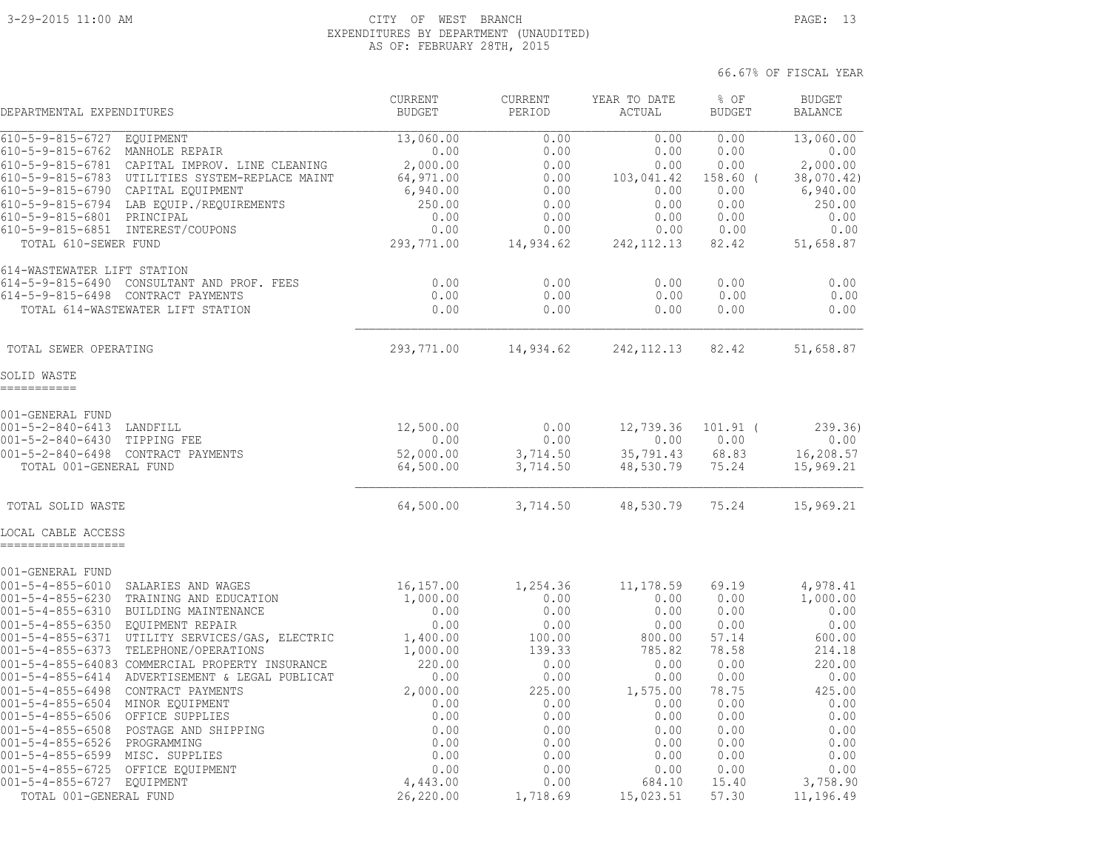#### 3-29-2015 11:00 AM CITY OF WEST BRANCH PAGE: 13 EXPENDITURES BY DEPARTMENT (UNAUDITED) AS OF: FEBRUARY 28TH, 2015

66.67% OF FISCAL YEAR

 CURRENT CURRENT YEAR TO DATE % OF BUDGET DEPARTMENTAL EXPENDITURES BUDGET PERIOD ACTUAL BUDGET BALANCE 610-5-9-815-6727 EQUIPMENT 13,060.00 0.00 0.00 0.00 13,060.00 610-5-9-815-6762 MANHOLE REPAIR 0.00 0.00 0.00 0.00 0.00 610-5-9-815-6781 CAPITAL IMPROV. LINE CLEANING 2,000.00 0.00 0.00 0.00 2,000.00 610-5-9-815-6783 UTILITIES SYSTEM-REPLACE MAINT 64,971.00 0.00 103,041.42 158.60 ( 38,070.42) 610-5-9-815-6790 CAPITAL EQUIPMENT 6,940.00 0.00 0.00 0.00 6,940.00 610-5-9-815-6794 LAB EQUIP./REQUIREMENTS 250.00 0.00 0.00 0.00 250.00 610-5-9-815-6801 PRINCIPAL 0.00 0.00 0.00 0.00 0.00 610-5-9-815-6851 INTEREST/COUPONS 0.00 0.00 0.00 0.00 0.00 TOTAL 610-SEWER FUND 293,771.00 14,934.62 242,112.13 82.42 51,658.87 614-WASTEWATER LIFT STATION 614-5-9-815-6490 CONSULTANT AND PROF. FEES 0.00 0.00 0.00 0.00 0.00 614-5-9-815-6498 CONTRACT PAYMENTS 0.00 0.00 0.00 0.00 0.00 TOTAL 614-WASTEWATER LIFT STATION 0.00 0.00 0.00 0.00 0.00  $\mathcal{L}_\text{max} = \frac{1}{2} \sum_{i=1}^n \mathcal{L}_\text{max} = \frac{1}{2} \sum_{i=1}^n \mathcal{L}_\text{max} = \frac{1}{2} \sum_{i=1}^n \mathcal{L}_\text{max} = \frac{1}{2} \sum_{i=1}^n \mathcal{L}_\text{max} = \frac{1}{2} \sum_{i=1}^n \mathcal{L}_\text{max} = \frac{1}{2} \sum_{i=1}^n \mathcal{L}_\text{max} = \frac{1}{2} \sum_{i=1}^n \mathcal{L}_\text{max} = \frac{1}{2} \sum_{i=$  TOTAL SEWER OPERATING 293,771.00 14,934.62 242,112.13 82.42 51,658.87 SOLID WASTE =========== 001-GENERAL FUND 001-5-2-840-6413 LANDFILL 12,500.00 0.00 12,739.36 101.91 ( 239.36) 001-5-2-840-6430 TIPPING FEE 0.00 0.00 0.00 0.00 0.00 001-5-2-840-6498 CONTRACT PAYMENTS 52,000.00 3,714.50 35,791.43 68.83 16,208.57 TOTAL 001-GENERAL FUND 64,500.00 3,714.50 48,530.79 75.24 15,969.21 TOTAL SOLID WASTE 64,500.00 3,714.50 48,530.79 75.24 15,969.21 LOCAL CABLE ACCESS ================== 001-GENERAL FUND 001-5-4-855-6010 SALARIES AND WAGES 16,157.00 1,254.36 11,178.59 69.19 4,978.41 001-5-4-855-6230 TRAINING AND EDUCATION 1,000.00 0.00 0.00 0.00 1,000.00 001-5-4-855-6310 BUILDING MAINTENANCE 0.00 0.00 0.00 0.00 0.00 001-5-4-855-6350 EQUIPMENT REPAIR 0.00 0.00 0.00 0.00 0.00 001-5-4-855-6371 UTILITY SERVICES/GAS, ELECTRIC 1,400.00 100.00 800.00 57.14 600.00 001-5-4-855-6373 TELEPHONE/OPERATIONS 1,000.00 139.33 785.82 78.58 214.18 001-5-4-855-64083 COMMERCIAL PROPERTY INSURANCE 220.00 0.00 0.00 0.00 220.00 001-5-4-855-6414 ADVERTISEMENT & LEGAL PUBLICAT 0.00 0.00 0.00 0.00 0.00 001-5-4-855-6498 CONTRACT PAYMENTS 2,000.00 225.00 1,575.00 78.75 425.00 001-5-4-855-6504 MINOR EQUIPMENT 0.00 0.00 0.00 0.00 0.00 001-5-4-855-6506 OFFICE SUPPLIES 0.00 0.00 0.00 0.00 0.00 001-5-4-855-6508 POSTAGE AND SHIPPING 0.00 0.00 0.00 0.00 0.00 001-5-4-855-6526 PROGRAMMING 0.00 0.00 0.00 0.00 0.00 001-5-4-855-6599 MISC. SUPPLIES 0.00 0.00 0.00 0.00 0.00 001-5-4-855-6725 OFFICE EQUIPMENT 0.00 0.00 0.00 0.00 0.00 001-5-4-855-6727 EQUIPMENT 4,443.00 0.00 684.10 15.40 3,758.90

TOTAL 001-GENERAL FUND 26,220.00 1,718.69 15,023.51 57.30 11,196.49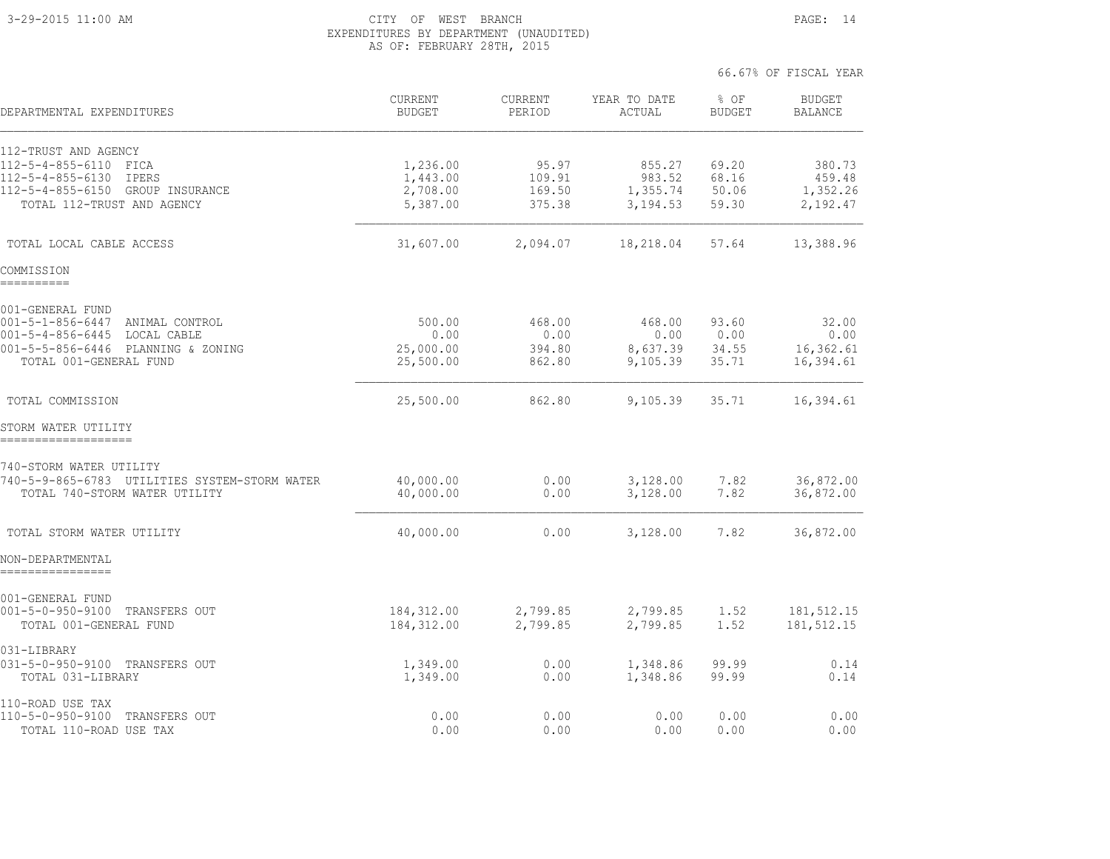#### 3-29-2015 11:00 AM CITY OF WEST BRANCH PAGE: 14 EXPENDITURES BY DEPARTMENT (UNAUDITED) AS OF: FEBRUARY 28TH, 2015

| DEPARTMENTAL EXPENDITURES                                    | CURRENT<br><b>BUDGET</b> | CURRENT<br>PERIOD | YEAR TO DATE<br>ACTUAL | % OF<br><b>BUDGET</b> | <b>BUDGET</b><br><b>BALANCE</b> |
|--------------------------------------------------------------|--------------------------|-------------------|------------------------|-----------------------|---------------------------------|
| 112-TRUST AND AGENCY                                         |                          |                   |                        |                       |                                 |
| 112-5-4-855-6110 FICA                                        | 1,236.00                 | 95.97             | 855.27                 | 69.20                 | 380.73                          |
| 112-5-4-855-6130<br>IPERS                                    | 1,443.00                 | 109.91            | 983.52                 | 68.16                 | 459.48                          |
| 112-5-4-855-6150 GROUP INSURANCE                             | 2,708.00                 | 169.50            | 1,355.74               | 50.06                 | 1,352.26                        |
| TOTAL 112-TRUST AND AGENCY                                   | 5,387.00                 | 375.38            | 3,194.53               | 59.30                 | 2,192.47                        |
| TOTAL LOCAL CABLE ACCESS                                     | 31,607.00                | 2,094.07          | 18,218.04              | 57.64                 | 13,388.96                       |
| COMMISSION<br>==========                                     |                          |                   |                        |                       |                                 |
| 001-GENERAL FUND                                             |                          |                   |                        |                       |                                 |
| 001-5-1-856-6447 ANIMAL CONTROL                              | 500.00                   | 468.00            | 468.00                 | 93.60                 | 32.00                           |
| 001-5-4-856-6445 LOCAL CABLE                                 | 0.00                     | 0.00              | 0.00                   | 0.00                  | 0.00                            |
| 001-5-5-856-6446 PLANNING & ZONING<br>TOTAL 001-GENERAL FUND | 25,000.00                | 394.80            | 8,637.39               | 34.55                 | 16,362.61                       |
|                                                              | 25,500.00                | 862.80            | 9,105.39               | 35.71                 | 16,394.61                       |
| TOTAL COMMISSION                                             | 25,500.00                | 862.80            | 9,105.39               | 35.71                 | 16,394.61                       |
| STORM WATER UTILITY                                          |                          |                   |                        |                       |                                 |
| 740-STORM WATER UTILITY                                      |                          |                   |                        |                       |                                 |
| 740-5-9-865-6783 UTILITIES SYSTEM-STORM WATER                | 40,000.00                | 0.00              | 3,128.00               | 7.82                  | 36,872.00                       |
| TOTAL 740-STORM WATER UTILITY                                | 40,000.00                | 0.00              | 3,128.00               | 7.82                  | 36,872.00                       |
| TOTAL STORM WATER UTILITY                                    | 40,000.00                | 0.00              | 3,128.00               | 7.82                  | 36,872.00                       |
| NON-DEPARTMENTAL                                             |                          |                   |                        |                       |                                 |
| 001-GENERAL FUND                                             |                          |                   |                        |                       |                                 |
| 001-5-0-950-9100 TRANSFERS OUT                               | 184,312.00               | 2,799.85          | 2,799.85               | 1.52                  | 181, 512.15                     |
| TOTAL 001-GENERAL FUND                                       | 184, 312.00              | 2,799.85          | 2,799.85               | 1.52                  | 181, 512.15                     |
| 031-LIBRARY                                                  |                          |                   |                        |                       |                                 |
| 031-5-0-950-9100 TRANSFERS OUT<br>TOTAL 031-LIBRARY          | 1,349.00<br>1,349.00     | 0.00<br>0.00      | 1,348.86<br>1,348.86   | 99.99<br>99.99        | 0.14<br>0.14                    |
| 110-ROAD USE TAX                                             |                          |                   |                        |                       |                                 |
| 110-5-0-950-9100 TRANSFERS OUT                               | 0.00                     | 0.00              | 0.00                   | 0.00                  | 0.00                            |
| TOTAL 110-ROAD USE TAX                                       | 0.00                     | 0.00              | 0.00                   | 0.00                  | 0.00                            |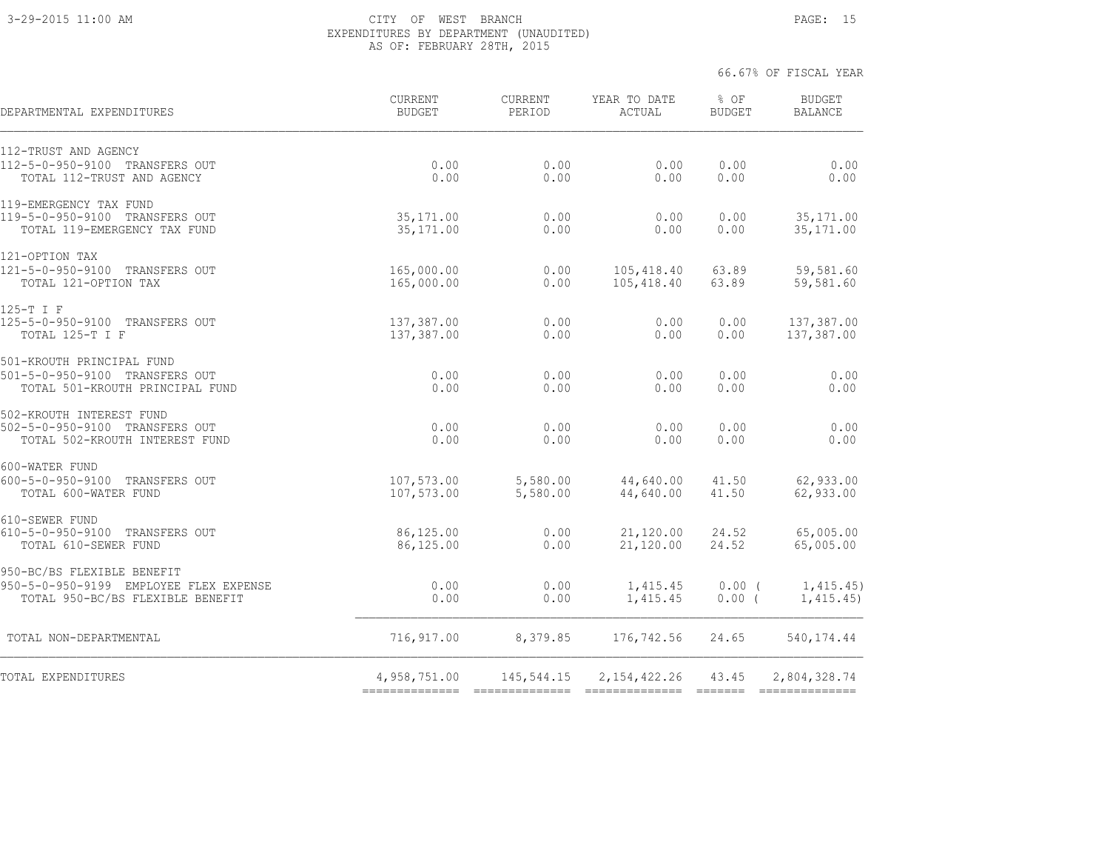#### 3-29-2015 11:00 AM CITY OF WEST BRANCH PAGE: 15 EXPENDITURES BY DEPARTMENT (UNAUDITED) AS OF: FEBRUARY 28TH, 2015

| DEPARTMENTAL EXPENDITURES              | CURRENT<br><b>BUDGET</b> | CURRENT<br>PERIOD | YEAR TO DATE<br>ACTUAL | % OF<br><b>BUDGET</b> | <b>BUDGET</b><br><b>BALANCE</b> |
|----------------------------------------|--------------------------|-------------------|------------------------|-----------------------|---------------------------------|
| 112-TRUST AND AGENCY                   |                          |                   |                        |                       |                                 |
| 112-5-0-950-9100 TRANSFERS OUT         | 0.00                     | 0.00              | 0.00                   | 0.00                  | 0.00                            |
| TOTAL 112-TRUST AND AGENCY             | 0.00                     | 0.00              | 0.00                   | 0.00                  | 0.00                            |
| 119-EMERGENCY TAX FUND                 |                          |                   |                        |                       |                                 |
| 119-5-0-950-9100 TRANSFERS OUT         | 35, 171, 00              | 0.00              | 0.00                   | 0.00                  | 35, 171.00                      |
| TOTAL 119-EMERGENCY TAX FUND           | 35, 171.00               | 0.00              | 0.00                   | 0.00                  | 35, 171.00                      |
| 121-OPTION TAX                         |                          |                   |                        |                       |                                 |
| 121-5-0-950-9100 TRANSFERS OUT         | 165,000.00               | 0.00              | 105,418.40             | 63.89                 | 59,581.60                       |
| TOTAL 121-OPTION TAX                   | 165,000.00               | 0.00              | 105,418.40             | 63.89                 | 59,581.60                       |
| 125-T I F                              |                          |                   |                        |                       |                                 |
| 125-5-0-950-9100 TRANSFERS OUT         | 137,387.00               | 0.00              | 0.00                   | 0.00                  | 137,387.00                      |
| TOTAL 125-T I F                        | 137,387.00               | 0.00              | 0.00                   | 0.00                  | 137,387.00                      |
| 501-KROUTH PRINCIPAL FUND              |                          |                   |                        |                       |                                 |
| 501-5-0-950-9100 TRANSFERS OUT         | 0.00                     | 0.00              | 0.00                   | 0.00                  | 0.00                            |
| TOTAL 501-KROUTH PRINCIPAL FUND        | 0.00                     | 0.00              | 0.00                   | 0.00                  | 0.00                            |
| 502-KROUTH INTEREST FUND               |                          |                   |                        |                       |                                 |
| 502-5-0-950-9100 TRANSFERS OUT         | 0.00                     | 0.00              | 0.00                   | 0.00                  | 0.00                            |
| TOTAL 502-KROUTH INTEREST FUND         | 0.00                     | 0.00              | 0.00                   | 0.00                  | 0.00                            |
| 600-WATER FUND                         |                          |                   |                        |                       |                                 |
| 600-5-0-950-9100 TRANSFERS OUT         | 107,573.00               | 5,580.00          | 44,640.00              | 41.50                 | 62,933.00                       |
| TOTAL 600-WATER FUND                   | 107,573.00               | 5,580.00          | 44,640.00              | 41.50                 | 62,933.00                       |
| 610-SEWER FUND                         |                          |                   |                        |                       |                                 |
| 610-5-0-950-9100 TRANSFERS OUT         | 86,125.00                | 0.00              | 21,120.00              | 24.52                 | 65,005.00                       |
| TOTAL 610-SEWER FUND                   | 86,125.00                | 0.00              | 21,120.00              | 24.52                 | 65,005.00                       |
| 950-BC/BS FLEXIBLE BENEFIT             |                          |                   |                        |                       |                                 |
| 950-5-0-950-9199 EMPLOYEE FLEX EXPENSE | 0.00                     | 0.00              | 1,415.45               | $0.00$ (              | 1,415.45)                       |
| TOTAL 950-BC/BS FLEXIBLE BENEFIT       | 0.00                     | 0.00              | 1,415.45               | $0.00$ (              | 1,415.45)                       |
| TOTAL NON-DEPARTMENTAL                 | 716,917.00               | 8,379.85          | 176,742.56             | 24.65                 | 540, 174.44                     |
| TOTAL EXPENDITURES                     | 4,958,751.00             | 145,544.15        | 2, 154, 422.26         | 43.45                 | 2,804,328.74                    |
|                                        |                          | ==============    |                        |                       |                                 |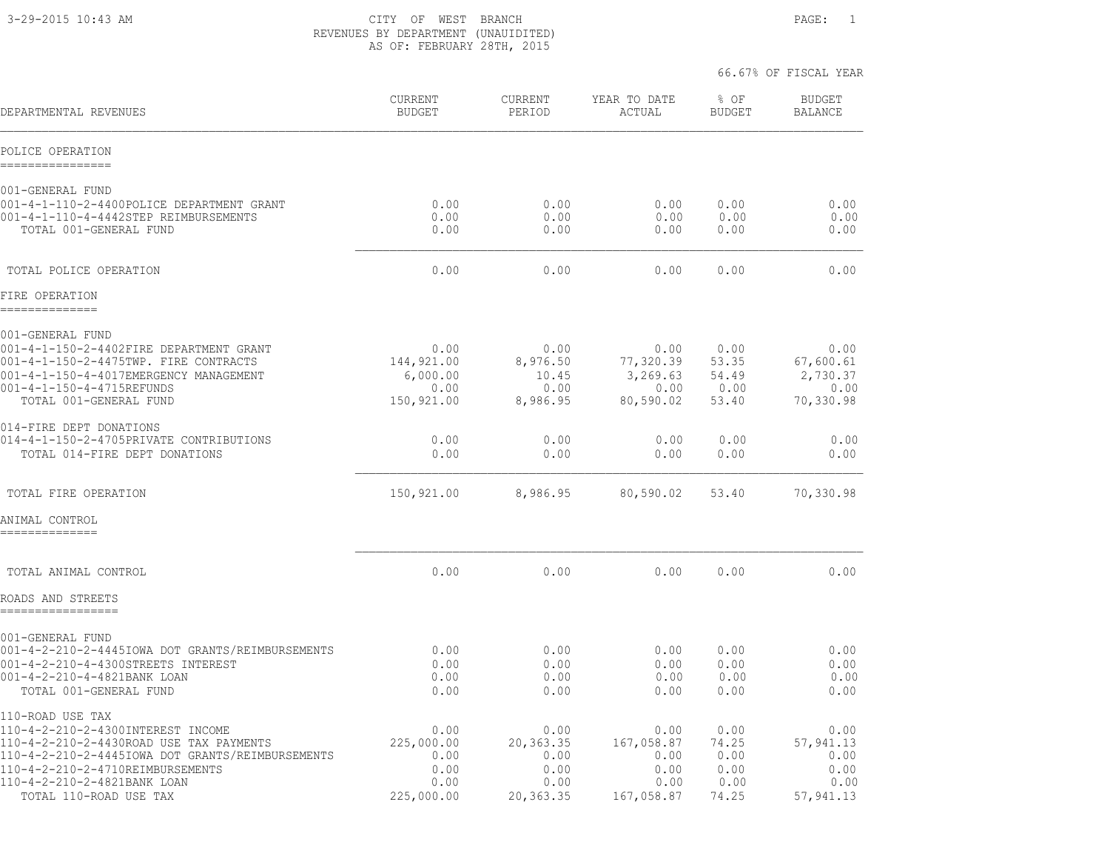3-29-2015 10:43 AM CITY OF WEST BRANCH PAGE: 1 REVENUES BY DEPARTMENT (UNAUIDITED) AS OF: FEBRUARY 28TH, 2015

66.67% OF FISCAL YEAR

 CURRENT CURRENT YEAR TO DATE % OF BUDGET DEPARTMENTAL REVENUES BUDGET PERIOD ACTUAL BUDGET BALANCE POLICE OPERATION ================ 001-GENERAL FUND<br>001-4-1-110-2-4400POLICE DEPARTMENT GRANT<br>001-4-1-110-4-4442STEP REIMBURSEMENTS 001-4-1-110-2-4400POLICE DEPARTMENT GRANT 0.00 0.00 0.00 0.00 0.00 001-4-1-110-4-4442STEP REIMBURSEMENTS 0.00 0.00 0.00 0.00 0.00 TOTAL 001-GENERAL FUND 0.00 0.00 0.00 0.00 0.00  $\mathcal{L}_\text{max} = \frac{1}{2} \sum_{i=1}^n \mathcal{L}_\text{max} = \frac{1}{2} \sum_{i=1}^n \mathcal{L}_\text{max} = \frac{1}{2} \sum_{i=1}^n \mathcal{L}_\text{max} = \frac{1}{2} \sum_{i=1}^n \mathcal{L}_\text{max} = \frac{1}{2} \sum_{i=1}^n \mathcal{L}_\text{max} = \frac{1}{2} \sum_{i=1}^n \mathcal{L}_\text{max} = \frac{1}{2} \sum_{i=1}^n \mathcal{L}_\text{max} = \frac{1}{2} \sum_{i=$  TOTAL POLICE OPERATION 0.00 0.00 0.00 0.00 0.00 FIRE OPERATION ============== 001-GENERAL FUND 001-4-1-150-2-4402FIRE DEPARTMENT GRANT  $0.00$  0.00 0.00 0.00 0.00 0.00 0.00 0.00 001-4-1-150-2-4475TWP. FIRE CONTRACTS 144,921.00 8,976.50 77,320.39 53.35 67,600.61 001-4-1-150-4-4017EMERGENCY MANAGEMENT 6,000.00 10.45 3,269.63 54.49 2,730.37 001-4-1-150-4-4715REFUNDS 0.00 0.00 0.00 0.00 0.00 TOTAL 001-GENERAL FUND 150,921.00 8,986.95 80,590.02 53.40 70,330.98 014-FIRE DEPT DONATIONS 014-4-1-150-2-4705PRIVATE CONTRIBUTIONS 0.00 0.00 0.00 0.00 0.00 TOTAL 014-FIRE DEPT DONATIONS 0.00 0.00 0.00 0.00 0.00  $\mathcal{L}_\text{max} = \frac{1}{2} \sum_{i=1}^n \mathcal{L}_\text{max} = \frac{1}{2} \sum_{i=1}^n \mathcal{L}_\text{max} = \frac{1}{2} \sum_{i=1}^n \mathcal{L}_\text{max} = \frac{1}{2} \sum_{i=1}^n \mathcal{L}_\text{max} = \frac{1}{2} \sum_{i=1}^n \mathcal{L}_\text{max} = \frac{1}{2} \sum_{i=1}^n \mathcal{L}_\text{max} = \frac{1}{2} \sum_{i=1}^n \mathcal{L}_\text{max} = \frac{1}{2} \sum_{i=$  TOTAL FIRE OPERATION 150,921.00 8,986.95 80,590.02 53.40 70,330.98 ANIMAL CONTROL ==============  $\mathcal{L}_\text{max} = \frac{1}{2} \sum_{i=1}^n \mathcal{L}_\text{max} = \frac{1}{2} \sum_{i=1}^n \mathcal{L}_\text{max} = \frac{1}{2} \sum_{i=1}^n \mathcal{L}_\text{max} = \frac{1}{2} \sum_{i=1}^n \mathcal{L}_\text{max} = \frac{1}{2} \sum_{i=1}^n \mathcal{L}_\text{max} = \frac{1}{2} \sum_{i=1}^n \mathcal{L}_\text{max} = \frac{1}{2} \sum_{i=1}^n \mathcal{L}_\text{max} = \frac{1}{2} \sum_{i=$  TOTAL ANIMAL CONTROL 0.00 0.00 0.00 0.00 0.00 ROADS AND STREETS =============== 001-GENERAL FUND 001-4-2-210-2-4445IOWA DOT GRANTS/REIMBURSEMENTS 0.00 0.00 0.00 0.00 0.00 001-4-2-210-4-4300STREETS INTEREST 0.00 0.00 0.00 0.00 0.00 001-4-2-210-4-4821BANK LOAN 0.00 0.00 0.00 0.00 0.00 TOTAL 001-GENERAL FUND 0.00 0.00 0.00 0.00 0.00 110-ROAD USE TAX 110-4-2-210-2-4300INTEREST INCOME 0.00 0.00 0.00 0.00 0.00 110-4-2-210-2-4430ROAD USE TAX PAYMENTS 225,000.00 20,363.35 167,058.87 74.25 57,941.13 110-4-2-210-2-4445IOWA DOT GRANTS/REIMBURSEMENTS 0.00 0.00 0.00 0.00 0.00

110-4-2-210-2-4710REIMBURSEMENTS 0.00 0.00 0.00 0.00 0.00 110-4-2-210-2-4821BANK LOAN 0.00 0.00 0.00 0.00 0.00 TOTAL 110-ROAD USE TAX 225,000.00 20,363.35 167,058.87 74.25 57,941.13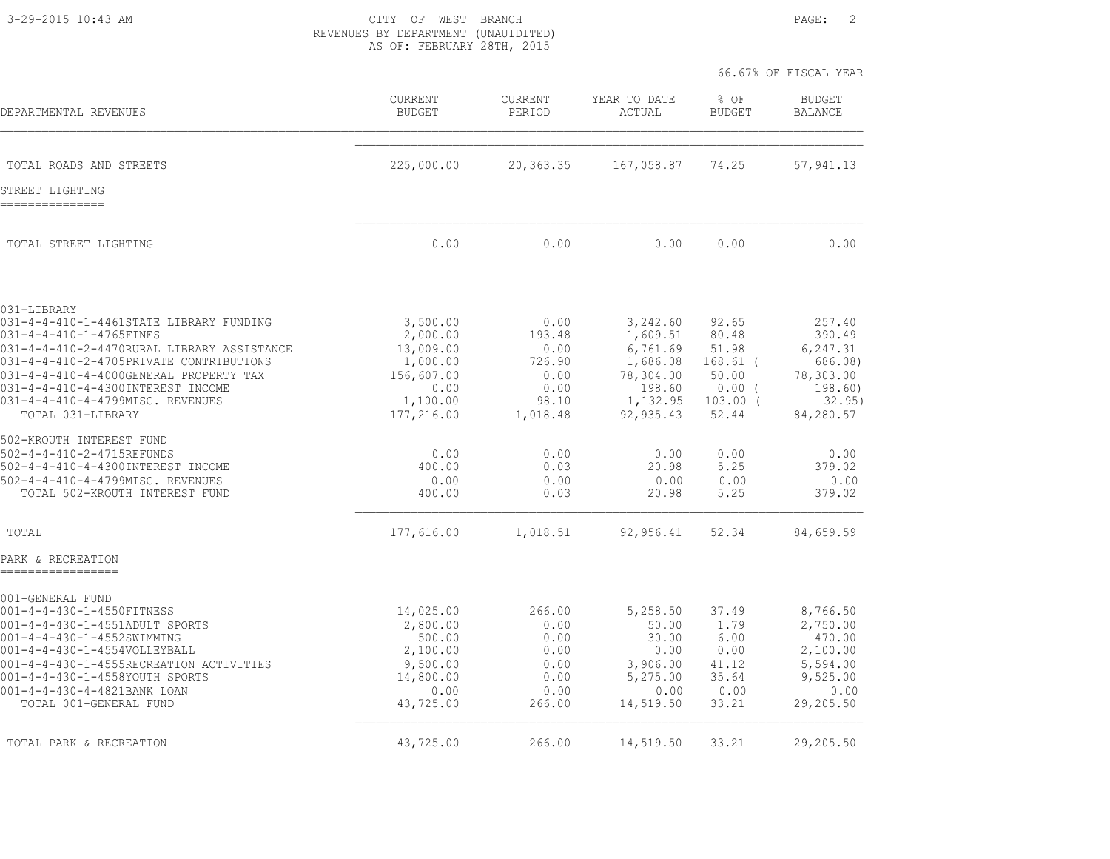3-29-2015 10:43 AM CITY OF WEST BRANCH PAGE: 2 REVENUES BY DEPARTMENT (UNAUIDITED) AS OF: FEBRUARY 28TH, 2015

|                                                                                       |                          |                          |                        | 66.67% OF FISCAL YEAR  |                                 |
|---------------------------------------------------------------------------------------|--------------------------|--------------------------|------------------------|------------------------|---------------------------------|
| DEPARTMENTAL REVENUES                                                                 | CURRENT<br><b>BUDGET</b> | <b>CURRENT</b><br>PERIOD | YEAR TO DATE<br>ACTUAL | % OF<br><b>BUDGET</b>  | <b>BUDGET</b><br><b>BALANCE</b> |
| TOTAL ROADS AND STREETS                                                               | 225,000.00               | 20,363.35                | 167,058.87             | 74.25                  | 57, 941.13                      |
| STREET LIGHTING<br>---------------                                                    |                          |                          |                        |                        |                                 |
| TOTAL STREET LIGHTING                                                                 | 0.00                     | 0.00                     | 0.00                   | 0.00                   | 0.00                            |
| 031-LIBRARY                                                                           |                          |                          |                        |                        |                                 |
| 031-4-4-410-1-4461STATE LIBRARY FUNDING<br>031-4-4-410-1-4765FINES                    | 3,500.00<br>2,000.00     | 0.00<br>193.48           | 3,242.60<br>1,609.51   | 92.65<br>80.48         | 257.40<br>390.49                |
| 031-4-4-410-2-4470RURAL LIBRARY ASSISTANCE<br>031-4-4-410-2-4705PRIVATE CONTRIBUTIONS | 13,009.00<br>1,000.00    | 0.00<br>726.90           | 6,761.69<br>1,686.08   | 51.98<br>$168.61$ (    | 6,247.31<br>686.08)             |
| 031-4-4-410-4-4000GENERAL PROPERTY TAX                                                | 156,607.00               | 0.00                     | 78,304.00              | 50.00                  | 78,303.00                       |
| 031-4-4-410-4-4300INTEREST INCOME<br>031-4-4-410-4-4799MISC. REVENUES                 | 0.00<br>1,100.00         | 0.00<br>98.10            | 198.60<br>1,132.95     | $0.00$ (<br>$103.00$ ( | 198.60)<br>32.95)               |
| TOTAL 031-LIBRARY                                                                     | 177,216.00               | 1,018.48                 | 92,935.43              | 52.44                  | 84,280.57                       |
| 502-KROUTH INTEREST FUND                                                              |                          |                          |                        |                        |                                 |
| 502-4-4-410-2-4715REFUNDS                                                             | 0.00                     | 0.00                     | 0.00                   | 0.00                   | 0.00                            |
| 502-4-4-410-4-4300INTEREST INCOME<br>502-4-4-410-4-4799MISC. REVENUES                 | 400.00<br>0.00           | 0.03<br>0.00             | 20.98<br>0.00          | 5.25<br>0.00           | 379.02<br>0.00                  |
| TOTAL 502-KROUTH INTEREST FUND                                                        | 400.00                   | 0.03                     | 20.98                  | 5.25                   | 379.02                          |
| TOTAL                                                                                 | 177,616.00               | 1,018.51                 | 92,956.41              | 52.34                  | 84,659.59                       |
| PARK & RECREATION                                                                     |                          |                          |                        |                        |                                 |
| 001-GENERAL FUND                                                                      |                          |                          |                        |                        |                                 |
| 001-4-4-430-1-4550FITNESS                                                             | 14,025.00                | 266.00                   | 5,258.50               | 37.49                  | 8,766.50<br>2,750.00            |
| 001-4-4-430-1-4551ADULT SPORTS<br>001-4-4-430-1-4552SWIMMING                          | 2,800.00<br>500.00       | 0.00<br>0.00             | 50.00<br>30.00         | 1.79<br>6.00           | 470.00                          |
| 001-4-4-430-1-4554VOLLEYBALL                                                          | 2,100.00                 | 0.00                     | 0.00                   | 0.00                   | 2,100.00                        |
| 001-4-4-430-1-4555RECREATION ACTIVITIES<br>001-4-4-430-1-4558YOUTH SPORTS             | 9,500.00<br>14,800.00    | 0.00<br>0.00             | 3,906.00<br>5,275.00   | 41.12<br>35.64         | 5,594.00<br>9,525.00            |
| 001-4-4-430-4-4821BANK LOAN                                                           | 0.00                     | 0.00                     | 0.00                   | 0.00                   | 0.00                            |
| TOTAL 001-GENERAL FUND                                                                | 43,725.00                | 266.00                   | 14,519.50              | 33.21                  | 29,205.50                       |
| TOTAL PARK & RECREATION                                                               | 43,725.00                | 266.00                   | 14,519.50              | 33.21                  | 29,205.50                       |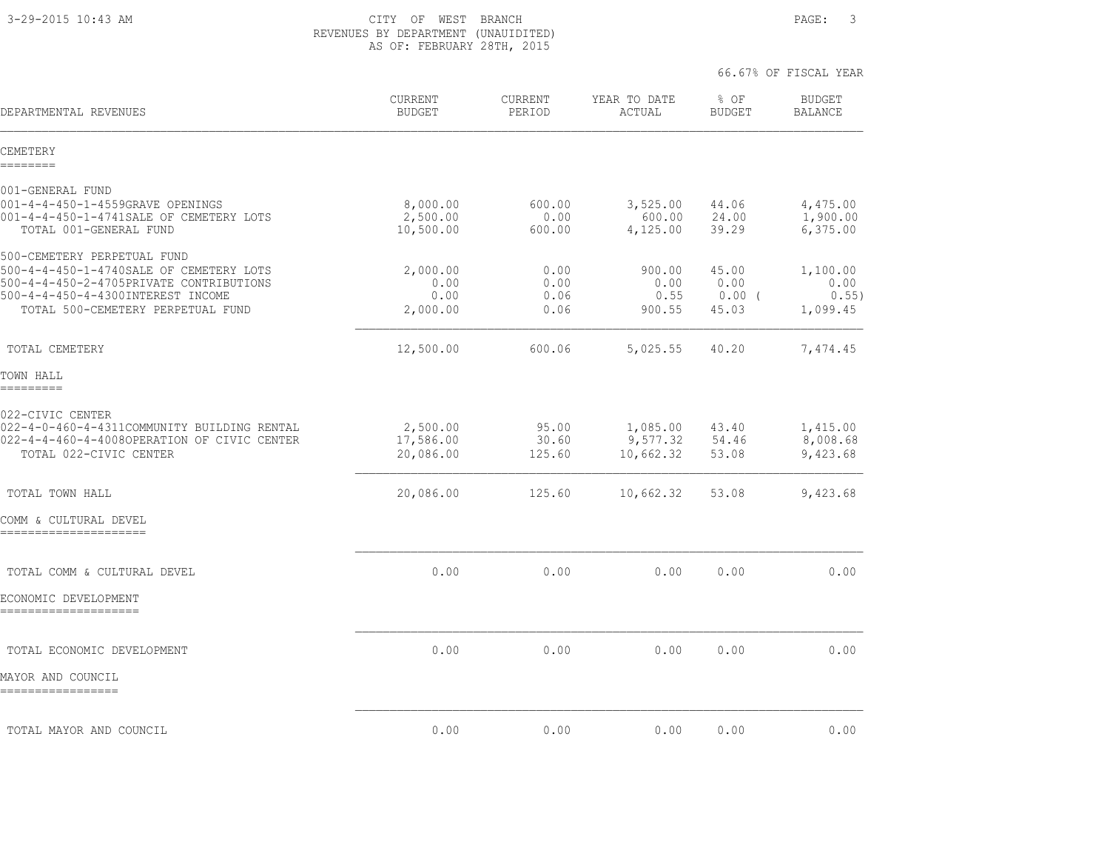3-29-2015 10:43 AM CITY OF WEST BRANCH PAGE: 3 REVENUES BY DEPARTMENT (UNAUIDITED) AS OF: FEBRUARY 28TH, 2015

| DEPARTMENTAL REVENUES                                                                                                                                                                       | CURRENT<br><b>BUDGET</b>             | CURRENT<br>PERIOD            | YEAR TO DATE<br>ACTUAL            | $8$ OF<br><b>BUDGET</b>            | <b>BUDGET</b><br><b>BALANCE</b>       |
|---------------------------------------------------------------------------------------------------------------------------------------------------------------------------------------------|--------------------------------------|------------------------------|-----------------------------------|------------------------------------|---------------------------------------|
| CEMETERY<br>========                                                                                                                                                                        |                                      |                              |                                   |                                    |                                       |
| 001-GENERAL FUND                                                                                                                                                                            |                                      |                              |                                   |                                    |                                       |
| 001-4-4-450-1-4559GRAVE OPENINGS<br>001-4-4-450-1-4741SALE OF CEMETERY LOTS<br>TOTAL 001-GENERAL FUND                                                                                       | 8,000.00<br>2,500.00<br>10,500.00    | 600.00<br>0.00<br>600.00     | 3,525.00<br>600.00<br>4,125.00    | 44.06<br>24.00<br>39.29            | 4,475.00<br>1,900.00<br>6,375.00      |
| 500-CEMETERY PERPETUAL FUND<br>500-4-4-450-1-4740SALE OF CEMETERY LOTS<br>500-4-4-450-2-4705PRIVATE CONTRIBUTIONS<br>500-4-4-450-4-4300INTEREST INCOME<br>TOTAL 500-CEMETERY PERPETUAL FUND | 2,000.00<br>0.00<br>0.00<br>2,000.00 | 0.00<br>0.00<br>0.06<br>0.06 | 900.00<br>0.00<br>0.55<br>900.55  | 45.00<br>0.00<br>$0.00$ (<br>45.03 | 1,100.00<br>0.00<br>0.55)<br>1,099.45 |
| TOTAL CEMETERY                                                                                                                                                                              | 12,500.00                            | 600.06                       | 5,025.55                          | 40.20                              | 7,474.45                              |
| TOWN HALL<br>=========                                                                                                                                                                      |                                      |                              |                                   |                                    |                                       |
| 022-CIVIC CENTER<br>022-4-0-460-4-4311COMMUNITY BUILDING RENTAL<br>022-4-4-460-4-4008OPERATION OF CIVIC CENTER<br>TOTAL 022-CIVIC CENTER                                                    | 2,500.00<br>17,586.00<br>20,086.00   | 95.00<br>30.60<br>125.60     | 1,085.00<br>9,577.32<br>10,662.32 | 43.40<br>54.46<br>53.08            | 1,415.00<br>8,008.68<br>9,423.68      |
| TOTAL TOWN HALL                                                                                                                                                                             | 20,086.00                            | 125.60                       | 10,662.32                         | 53.08                              | 9,423.68                              |
| COMM & CULTURAL DEVEL<br>======================                                                                                                                                             |                                      |                              |                                   |                                    |                                       |
| TOTAL COMM & CULTURAL DEVEL                                                                                                                                                                 | 0.00                                 | 0.00                         | 0.00                              | 0.00                               | 0.00                                  |
| ECONOMIC DEVELOPMENT                                                                                                                                                                        |                                      |                              |                                   |                                    |                                       |
| TOTAL ECONOMIC DEVELOPMENT                                                                                                                                                                  | 0.00                                 | 0.00                         | 0.00                              | 0.00                               | 0.00                                  |
| MAYOR AND COUNCIL<br>-----------------                                                                                                                                                      |                                      |                              |                                   |                                    |                                       |
| TOTAL MAYOR AND COUNCIL                                                                                                                                                                     | 0.00                                 | 0.00                         | 0.00                              | 0.00                               | 0.00                                  |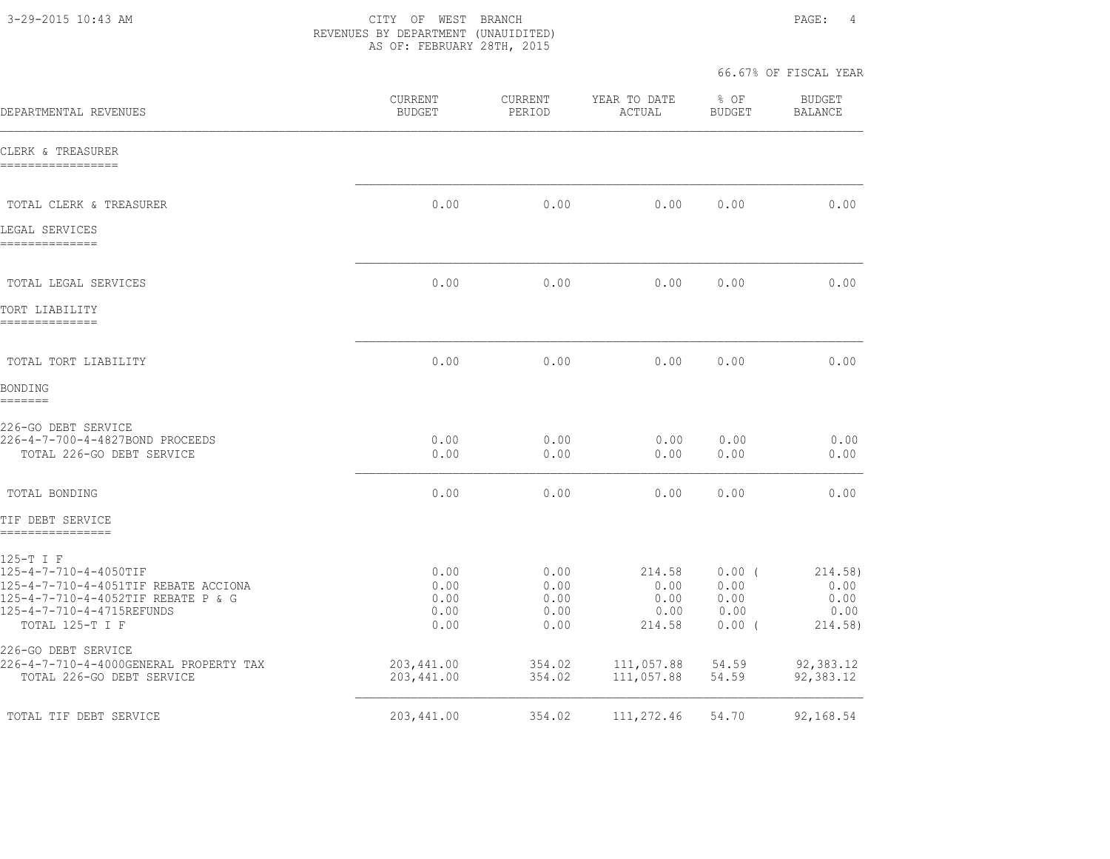3-29-2015 10:43 AM CITY OF WEST BRANCH PAGE: 4 REVENUES BY DEPARTMENT (UNAUIDITED) AS OF: FEBRUARY 28TH, 2015

| DEPARTMENTAL REVENUES                                                                                                                                            | <b>CURRENT</b><br><b>BUDGET</b>      | CURRENT<br>PERIOD                    | YEAR TO DATE<br>ACTUAL                   | % OF<br><b>BUDGET</b>                        | <b>BUDGET</b><br><b>BALANCE</b>            |
|------------------------------------------------------------------------------------------------------------------------------------------------------------------|--------------------------------------|--------------------------------------|------------------------------------------|----------------------------------------------|--------------------------------------------|
| CLERK & TREASURER<br>-----------------                                                                                                                           |                                      |                                      |                                          |                                              |                                            |
| TOTAL CLERK & TREASURER                                                                                                                                          | 0.00                                 | 0.00                                 | 0.00                                     | 0.00                                         | 0.00                                       |
| LEGAL SERVICES<br>==============                                                                                                                                 |                                      |                                      |                                          |                                              |                                            |
| TOTAL LEGAL SERVICES                                                                                                                                             | 0.00                                 | 0.00                                 | 0.00                                     | 0.00                                         | 0.00                                       |
| TORT LIABILITY<br>--------------                                                                                                                                 |                                      |                                      |                                          |                                              |                                            |
| TOTAL TORT LIABILITY                                                                                                                                             | 0.00                                 | 0.00                                 | 0.00                                     | 0.00                                         | 0.00                                       |
| <b>BONDING</b><br>=======                                                                                                                                        |                                      |                                      |                                          |                                              |                                            |
| 226-GO DEBT SERVICE<br>226-4-7-700-4-4827BOND PROCEEDS<br>TOTAL 226-GO DEBT SERVICE                                                                              | 0.00<br>0.00                         | 0.00<br>0.00                         | 0.00<br>0.00                             | 0.00<br>0.00                                 | 0.00<br>0.00                               |
| TOTAL BONDING                                                                                                                                                    | 0.00                                 | 0.00                                 | 0.00                                     | 0.00                                         | 0.00                                       |
| TIF DEBT SERVICE<br>================                                                                                                                             |                                      |                                      |                                          |                                              |                                            |
| 125-T I F<br>125-4-7-710-4-4050TIF<br>125-4-7-710-4-4051TIF REBATE ACCIONA<br>125-4-7-710-4-4052TIF REBATE P & G<br>125-4-7-710-4-4715REFUNDS<br>TOTAL 125-T I F | 0.00<br>0.00<br>0.00<br>0.00<br>0.00 | 0.00<br>0.00<br>0.00<br>0.00<br>0.00 | 214.58<br>0.00<br>0.00<br>0.00<br>214.58 | $0.00$ (<br>0.00<br>0.00<br>0.00<br>$0.00$ ( | 214.58)<br>0.00<br>0.00<br>0.00<br>214.58) |
| 226-GO DEBT SERVICE<br>226-4-7-710-4-4000GENERAL PROPERTY TAX<br>TOTAL 226-GO DEBT SERVICE                                                                       | 203,441.00<br>203,441.00             | 354.02<br>354.02                     | 111,057.88<br>111,057.88                 | 54.59<br>54.59                               | 92,383.12<br>92,383.12                     |
| TOTAL TIF DEBT SERVICE                                                                                                                                           | 203,441.00                           | 354.02                               | 111,272.46                               | 54.70                                        | 92,168.54                                  |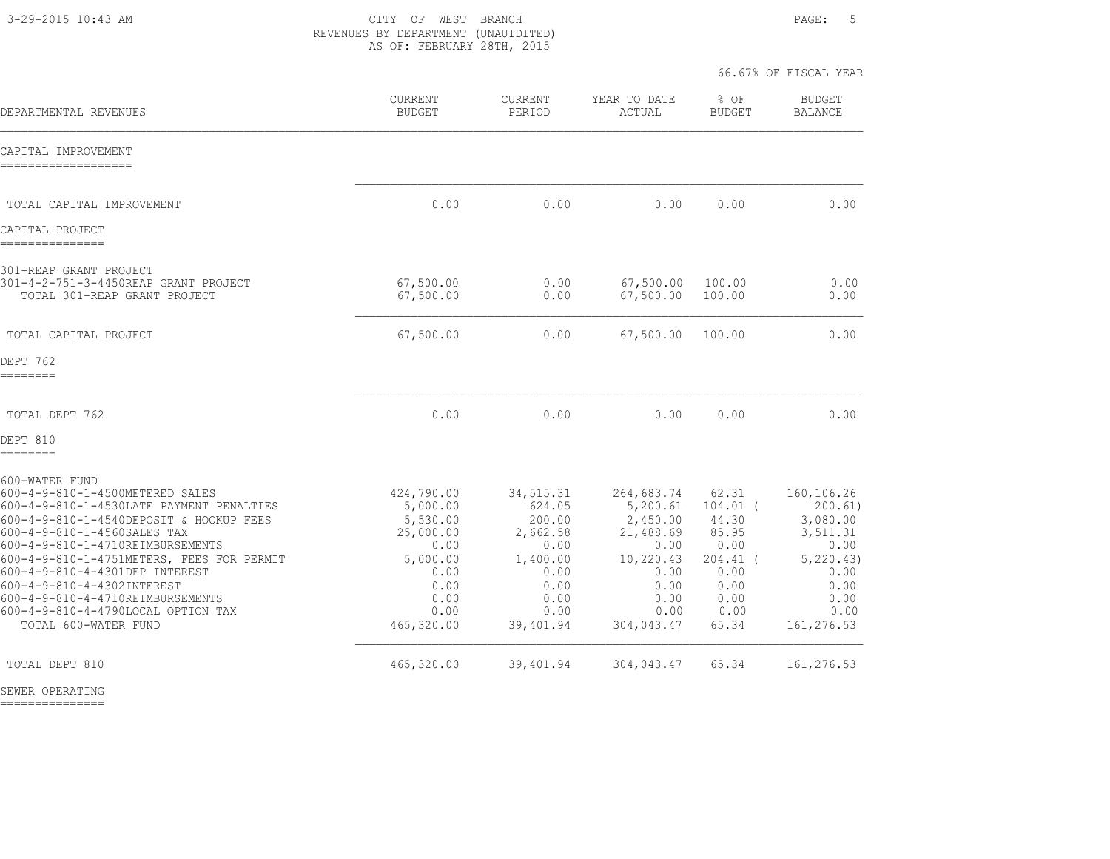3-29-2015 10:43 AM CITY OF WEST BRANCH PAGE: 5 REVENUES BY DEPARTMENT (UNAUIDITED) AS OF: FEBRUARY 28TH, 2015

66.67% OF FISCAL YEAR

| DEPARTMENTAL REVENUES                                                                                                                                                                                                                                                                                                                                                                                                      | <b>CURRENT</b><br><b>BUDGET</b>                                                                                   | <b>CURRENT</b><br>PERIOD                                                                                    | YEAR TO DATE<br>ACTUAL                                                                                             | % OF<br><b>BUDGET</b>                                                                                | <b>BUDGET</b><br><b>BALANCE</b>                                                                                   |
|----------------------------------------------------------------------------------------------------------------------------------------------------------------------------------------------------------------------------------------------------------------------------------------------------------------------------------------------------------------------------------------------------------------------------|-------------------------------------------------------------------------------------------------------------------|-------------------------------------------------------------------------------------------------------------|--------------------------------------------------------------------------------------------------------------------|------------------------------------------------------------------------------------------------------|-------------------------------------------------------------------------------------------------------------------|
| CAPITAL IMPROVEMENT<br>-------------------                                                                                                                                                                                                                                                                                                                                                                                 |                                                                                                                   |                                                                                                             |                                                                                                                    |                                                                                                      |                                                                                                                   |
| TOTAL CAPITAL IMPROVEMENT                                                                                                                                                                                                                                                                                                                                                                                                  | 0.00                                                                                                              | 0.00                                                                                                        | 0.00                                                                                                               | 0.00                                                                                                 | 0.00                                                                                                              |
| CAPITAL PROJECT<br>===============                                                                                                                                                                                                                                                                                                                                                                                         |                                                                                                                   |                                                                                                             |                                                                                                                    |                                                                                                      |                                                                                                                   |
| 301-REAP GRANT PROJECT<br>301-4-2-751-3-4450REAP GRANT PROJECT<br>TOTAL 301-REAP GRANT PROJECT                                                                                                                                                                                                                                                                                                                             | 67,500.00<br>67,500.00                                                                                            | 0.00<br>0.00                                                                                                | 67,500.00<br>67,500.00                                                                                             | 100.00<br>100.00                                                                                     | 0.00<br>0.00                                                                                                      |
| TOTAL CAPITAL PROJECT                                                                                                                                                                                                                                                                                                                                                                                                      | 67,500.00                                                                                                         | 0.00                                                                                                        | 67,500.00                                                                                                          | 100.00                                                                                               | 0.00                                                                                                              |
| DEPT 762<br>========                                                                                                                                                                                                                                                                                                                                                                                                       |                                                                                                                   |                                                                                                             |                                                                                                                    |                                                                                                      |                                                                                                                   |
| TOTAL DEPT 762                                                                                                                                                                                                                                                                                                                                                                                                             | 0.00                                                                                                              | 0.00                                                                                                        | 0.00                                                                                                               | 0.00                                                                                                 | 0.00                                                                                                              |
| DEPT 810<br>========                                                                                                                                                                                                                                                                                                                                                                                                       |                                                                                                                   |                                                                                                             |                                                                                                                    |                                                                                                      |                                                                                                                   |
| 600-WATER FUND<br>600-4-9-810-1-4500METERED SALES<br>600-4-9-810-1-4530LATE PAYMENT PENALTIES<br>600-4-9-810-1-4540DEPOSIT & HOOKUP FEES<br>600-4-9-810-1-4560SALES TAX<br>600-4-9-810-1-4710REIMBURSEMENTS<br>600-4-9-810-1-4751METERS, FEES FOR PERMIT<br>600-4-9-810-4-4301DEP INTEREST<br>600-4-9-810-4-4302INTEREST<br>600-4-9-810-4-4710REIMBURSEMENTS<br>600-4-9-810-4-4790LOCAL OPTION TAX<br>TOTAL 600-WATER FUND | 424,790.00<br>5,000.00<br>5,530.00<br>25,000.00<br>0.00<br>5,000.00<br>0.00<br>0.00<br>0.00<br>0.00<br>465,320.00 | 34, 515.31<br>624.05<br>200.00<br>2,662.58<br>0.00<br>1,400.00<br>0.00<br>0.00<br>0.00<br>0.00<br>39,401.94 | 264,683.74<br>5,200.61<br>2,450.00<br>21,488.69<br>0.00<br>10,220.43<br>0.00<br>0.00<br>0.00<br>0.00<br>304,043.47 | 62.31<br>$104.01$ (<br>44.30<br>85.95<br>0.00<br>$204.41$ (<br>0.00<br>0.00<br>0.00<br>0.00<br>65.34 | 160,106.26<br>200.61)<br>3,080.00<br>3,511.31<br>0.00<br>5, 220.43)<br>0.00<br>0.00<br>0.00<br>0.00<br>161,276.53 |
| TOTAL DEPT 810                                                                                                                                                                                                                                                                                                                                                                                                             | 465,320.00                                                                                                        | 39,401.94                                                                                                   | 304,043.47                                                                                                         | 65.34                                                                                                | 161,276.53                                                                                                        |

SEWER OPERATING

===============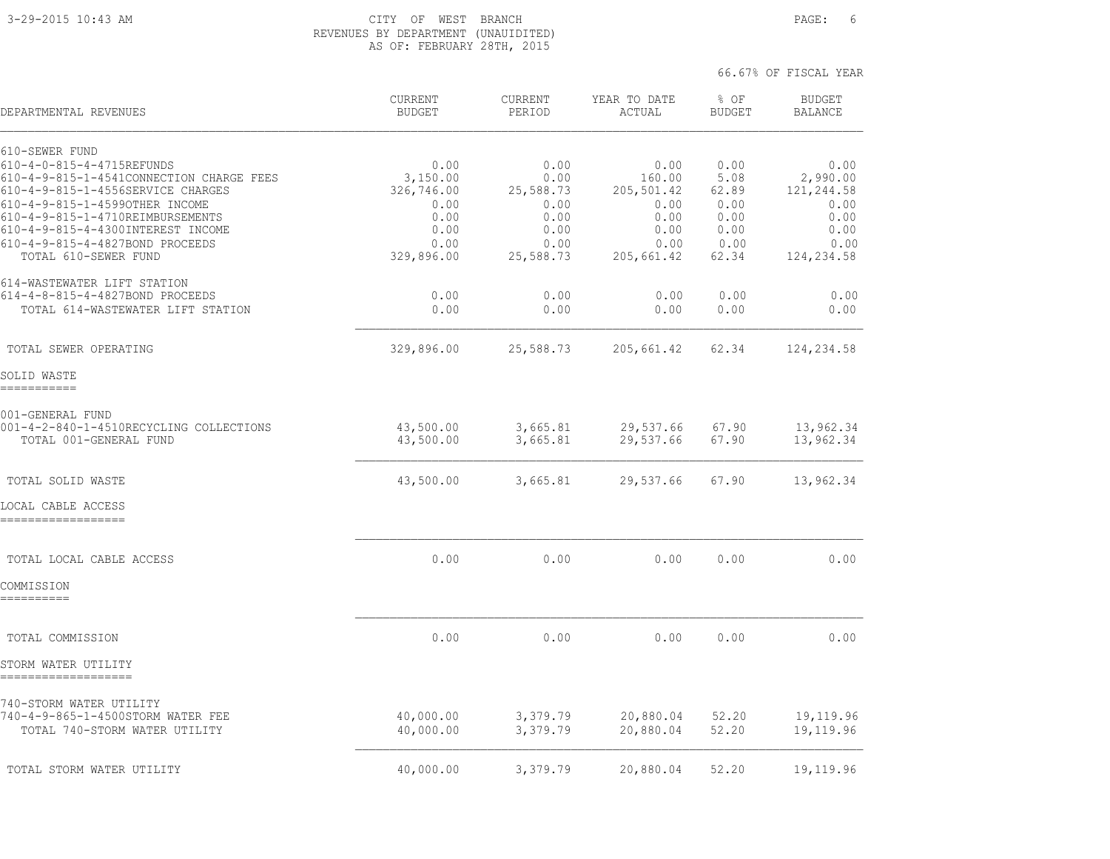## 3-29-2015 10:43 AM CITY OF WEST BRANCH PAGE: 6 REVENUES BY DEPARTMENT (UNAUIDITED) AS OF: FEBRUARY 28TH, 2015

| DEPARTMENTAL REVENUES                                               | <b>CURRENT</b><br><b>BUDGET</b> | <b>CURRENT</b><br>PERIOD | YEAR TO DATE<br>ACTUAL | % OF<br><b>BUDGET</b> | <b>BUDGET</b><br><b>BALANCE</b> |
|---------------------------------------------------------------------|---------------------------------|--------------------------|------------------------|-----------------------|---------------------------------|
| 610-SEWER FUND                                                      |                                 |                          |                        |                       |                                 |
| 610-4-0-815-4-4715REFUNDS                                           | 0.00                            | 0.00                     | 0.00                   | 0.00                  | 0.00                            |
| 610-4-9-815-1-4541CONNECTION CHARGE FEES                            | 3,150.00                        | 0.00                     | 160.00                 | 5.08                  | 2,990.00                        |
| 610-4-9-815-1-4556SERVICE CHARGES<br>610-4-9-815-1-4599OTHER INCOME | 326,746.00<br>0.00              | 25,588.73<br>0.00        | 205,501.42<br>0.00     | 62.89<br>0.00         | 121,244.58<br>0.00              |
| 610-4-9-815-1-4710REIMBURSEMENTS                                    | 0.00                            | 0.00                     | 0.00                   | 0.00                  | 0.00                            |
| 610-4-9-815-4-4300INTEREST INCOME                                   | 0.00                            | 0.00                     | 0.00                   | 0.00                  | 0.00                            |
| 610-4-9-815-4-4827BOND PROCEEDS                                     | 0.00                            | 0.00                     | 0.00                   | 0.00                  | 0.00                            |
| TOTAL 610-SEWER FUND                                                | 329,896.00                      | 25,588.73                | 205,661.42             | 62.34                 | 124,234.58                      |
| 614-WASTEWATER LIFT STATION                                         |                                 |                          |                        |                       |                                 |
| 614-4-8-815-4-4827BOND PROCEEDS                                     | 0.00                            | 0.00                     | 0.00                   | 0.00                  | 0.00                            |
| TOTAL 614-WASTEWATER LIFT STATION                                   | 0.00                            | 0.00                     | 0.00                   | 0.00                  | 0.00                            |
| TOTAL SEWER OPERATING                                               | 329,896.00                      | 25,588.73                | 205,661.42             | 62.34                 | 124,234.58                      |
|                                                                     |                                 |                          |                        |                       |                                 |
| SOLID WASTE<br>==========                                           |                                 |                          |                        |                       |                                 |
| 001-GENERAL FUND                                                    |                                 |                          |                        |                       |                                 |
| 001-4-2-840-1-4510RECYCLING COLLECTIONS                             | 43,500.00                       | 3,665.81                 | 29,537.66              | 67.90                 | 13,962.34                       |
| TOTAL 001-GENERAL FUND                                              | 43,500.00                       | 3,665.81                 | 29,537.66              | 67.90                 | 13,962.34                       |
| TOTAL SOLID WASTE                                                   | 43,500.00                       | 3,665.81                 | 29,537.66              | 67.90                 | 13,962.34                       |
| LOCAL CABLE ACCESS                                                  |                                 |                          |                        |                       |                                 |
| ------------------                                                  |                                 |                          |                        |                       |                                 |
|                                                                     |                                 |                          |                        |                       |                                 |
| TOTAL LOCAL CABLE ACCESS                                            | 0.00                            | 0.00                     | 0.00                   | 0.00                  | 0.00                            |
| COMMISSION<br>----------                                            |                                 |                          |                        |                       |                                 |
|                                                                     |                                 |                          |                        |                       |                                 |
| TOTAL COMMISSION                                                    | 0.00                            | 0.00                     | 0.00                   | 0.00                  | 0.00                            |
| STORM WATER UTILITY                                                 |                                 |                          |                        |                       |                                 |
|                                                                     |                                 |                          |                        |                       |                                 |
| 740-STORM WATER UTILITY<br>740-4-9-865-1-4500STORM WATER FEE        | 40,000.00                       | 3,379.79                 | 20,880.04              | 52.20                 | 19,119.96                       |
| TOTAL 740-STORM WATER UTILITY                                       | 40,000.00                       | 3,379.79                 | 20,880.04              | 52.20                 | 19,119.96                       |
|                                                                     |                                 |                          |                        |                       |                                 |
| TOTAL STORM WATER UTILITY                                           | 40,000.00                       | 3,379.79                 | 20,880.04              | 52.20                 | 19,119.96                       |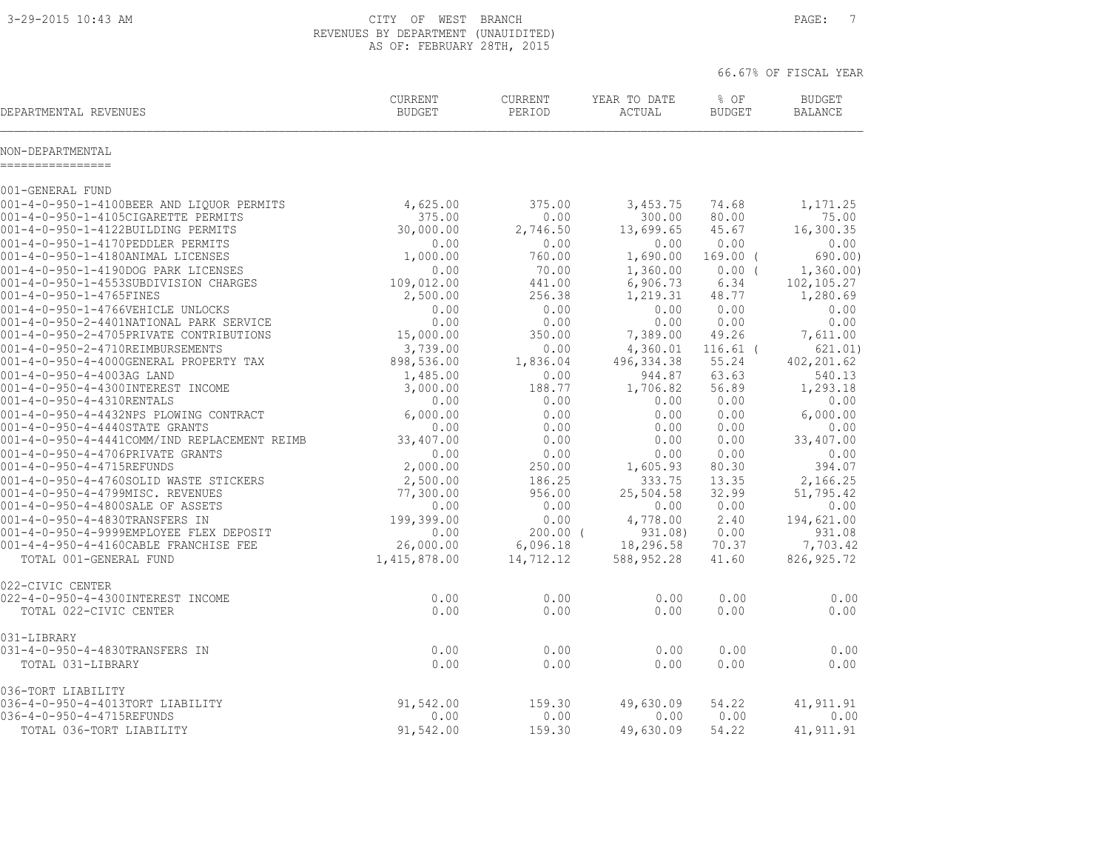3-29-2015 10:43 AM CITY OF WEST BRANCH PAGE: 7 REVENUES BY DEPARTMENT (UNAUIDITED) AS OF: FEBRUARY 28TH, 2015

66.67% OF FISCAL YEAR

| DEPARTMENTAL REVENUES                                                            | <b>CURRENT</b><br><b>BUDGET</b> | <b>CURRENT</b><br>PERIOD | YEAR TO DATE<br>ACTUAL | % OF<br><b>BUDGET</b> | <b>BUDGET</b><br><b>BALANCE</b> |
|----------------------------------------------------------------------------------|---------------------------------|--------------------------|------------------------|-----------------------|---------------------------------|
| NON-DEPARTMENTAL<br>----------------                                             |                                 |                          |                        |                       |                                 |
| 001-GENERAL FUND                                                                 |                                 |                          |                        |                       |                                 |
| 001-4-0-950-1-4100BEER AND LIQUOR PERMITS                                        | 4,625.00                        | 375.00                   | 3,453.75               | 74.68                 | 1,171.25                        |
| 001-4-0-950-1-4105CIGARETTE PERMITS                                              | 375.00                          | 0.00                     | 300.00                 | 80.00                 | 75.00                           |
| 001-4-0-950-1-4122BUILDING PERMITS                                               | 30,000.00                       | 2,746.50                 | 13,699.65              | 45.67                 | 16,300.35                       |
| 001-4-0-950-1-4170PEDDLER PERMITS                                                | 0.00                            | 0.00                     | 0.00                   | 0.00                  | 0.00                            |
| 001-4-0-950-1-4180ANIMAL LICENSES                                                | 1,000.00                        | 760.00                   | 1,690.00               | $169.00$ (            | 690.00)                         |
| 001-4-0-950-1-4190DOG PARK LICENSES                                              | 0.00                            | 70.00                    | 1,360.00               | 0.00(                 | 1,360.00                        |
| 001-4-0-950-1-4553SUBDIVISION CHARGES<br>001-4-0-950-1-4765FINES                 | 109,012.00<br>2,500.00          | 441.00<br>256.38         | 6,906.73<br>1,219.31   | 6.34<br>48.77         | 102,105.27<br>1,280.69          |
| 001-4-0-950-1-4766VEHICLE UNLOCKS                                                | 0.00                            | 0.00                     | 0.00                   | 0.00                  | 0.00                            |
| 001-4-0-950-2-4401NATIONAL PARK SERVICE                                          | 0.00                            | 0.00                     | 0.00                   | 0.00                  | 0.00                            |
| 001-4-0-950-2-4705PRIVATE CONTRIBUTIONS                                          | 15,000.00                       | 350.00                   | 7,389.00               | 49.26                 | 7,611.00                        |
| 001-4-0-950-2-4710REIMBURSEMENTS                                                 | 3,739.00                        | 0.00                     | 4,360.01               | $116.61$ (            | 621.01)                         |
| 001-4-0-950-4-4000GENERAL PROPERTY TAX                                           | 898,536.00                      | 1,836.04                 | 496, 334.38            | 55.24                 | 402, 201.62                     |
| 001-4-0-950-4-4003AG LAND                                                        | 1,485.00                        | 0.00                     | 944.87                 | 63.63                 | 540.13                          |
| 001-4-0-950-4-4300INTEREST INCOME                                                | 3,000.00                        | 188.77                   | 1,706.82               | 56.89                 | 1,293.18                        |
| 001-4-0-950-4-4310RENTALS                                                        | 0.00                            | 0.00                     | 0.00                   | 0.00                  | 0.00                            |
| 001-4-0-950-4-4432NPS PLOWING CONTRACT                                           | 6,000.00                        | 0.00                     | 0.00                   | 0.00                  | 6,000.00                        |
| 001-4-0-950-4-4440STATE GRANTS                                                   | 0.00                            | 0.00                     | 0.00                   | 0.00                  | 0.00                            |
| 001-4-0-950-4-4441COMM/IND REPLACEMENT REIMB<br>001-4-0-950-4-4706PRIVATE GRANTS | 33,407.00<br>0.00               | 0.00<br>0.00             | 0.00<br>0.00           | 0.00<br>0.00          | 33,407.00<br>0.00               |
| 001-4-0-950-4-4715REFUNDS                                                        | 2,000.00                        | 250.00                   | 1,605.93               | 80.30                 | 394.07                          |
| 001-4-0-950-4-4760SOLID WASTE STICKERS                                           | 2,500.00                        | 186.25                   | 333.75                 | 13.35                 | 2,166.25                        |
| 001-4-0-950-4-4799MISC. REVENUES                                                 | 77,300.00                       | 956.00                   | 25,504.58              | 32.99                 | 51,795.42                       |
| 001-4-0-950-4-4800SALE OF ASSETS                                                 | 0.00                            | 0.00                     | 0.00                   | 0.00                  | 0.00                            |
| 001-4-0-950-4-4830TRANSFERS IN                                                   | 199,399.00                      | 0.00                     | 4,778.00               | 2.40                  | 194,621.00                      |
| 001-4-0-950-4-9999EMPLOYEE FLEX DEPOSIT                                          | 0.00                            | $200.00$ (               | 931.08)                | 0.00                  | 931.08                          |
| 001-4-4-950-4-4160CABLE FRANCHISE FEE                                            | 26,000.00                       | 6,096.18                 | 18,296.58              | 70.37                 | 7,703.42                        |
| TOTAL 001-GENERAL FUND                                                           | 1,415,878.00                    | 14,712.12                | 588,952.28             | 41.60                 | 826, 925.72                     |
| 022-CIVIC CENTER                                                                 |                                 |                          |                        |                       |                                 |
| 022-4-0-950-4-4300INTEREST INCOME                                                | 0.00                            | 0.00                     | 0.00                   | 0.00                  | 0.00                            |
| TOTAL 022-CIVIC CENTER                                                           | 0.00                            | 0.00                     | 0.00                   | 0.00                  | 0.00                            |
| 031-LIBRARY                                                                      |                                 |                          |                        |                       |                                 |
| 031-4-0-950-4-4830TRANSFERS IN                                                   | 0.00                            | 0.00                     | 0.00                   | 0.00                  | 0.00                            |
| TOTAL 031-LIBRARY                                                                | 0.00                            | 0.00                     | 0.00                   | 0.00                  | 0.00                            |
| 036-TORT LIABILITY                                                               |                                 |                          |                        |                       |                                 |
| 036-4-0-950-4-4013TORT LIABILITY                                                 | 91,542.00                       | 159.30                   | 49,630.09              | 54.22                 | 41, 911. 91                     |
| 036-4-0-950-4-4715REFUNDS                                                        | 0.00                            | 0.00                     | 0.00                   | 0.00                  | 0.00                            |

TOTAL 036-TORT LIABILITY 91,542.00 159.30 49,630.09 54.22 41,911.91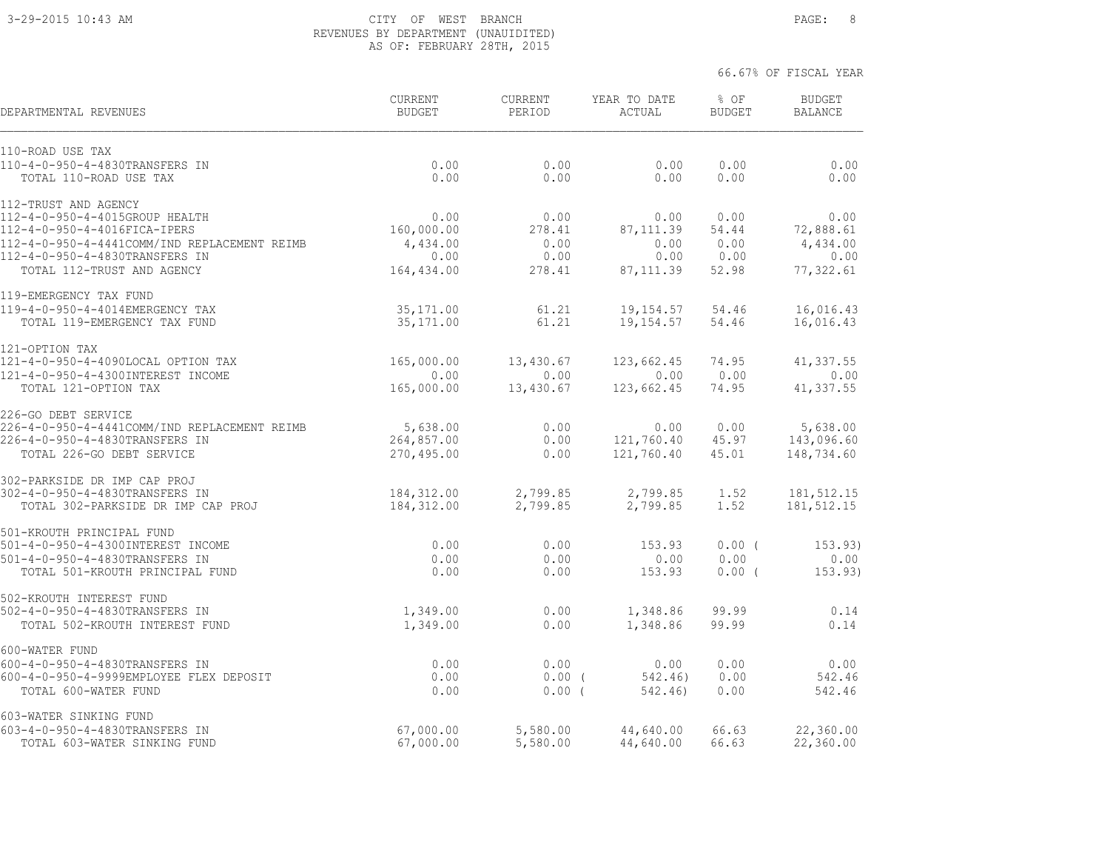## 3-29-2015 10:43 AM CITY OF WEST BRANCH PAGE: 8 REVENUES BY DEPARTMENT (UNAUIDITED) AS OF: FEBRUARY 28TH, 2015

| DEPARTMENTAL REVENUES                                                          | <b>CURRENT</b><br><b>BUDGET</b> | <b>CURRENT</b><br>PERIOD | YEAR TO DATE<br>ACTUAL | % OF<br><b>BUDGET</b> | <b>BUDGET</b><br><b>BALANCE</b> |
|--------------------------------------------------------------------------------|---------------------------------|--------------------------|------------------------|-----------------------|---------------------------------|
| 110-ROAD USE TAX                                                               |                                 |                          |                        |                       |                                 |
| 110-4-0-950-4-4830TRANSFERS IN<br>TOTAL 110-ROAD USE TAX                       | 0.00<br>0.00                    | 0.00<br>0.00             | 0.00<br>0.00           | 0.00<br>0.00          | 0.00<br>0.00                    |
| 112-TRUST AND AGENCY                                                           |                                 |                          |                        |                       |                                 |
| 112-4-0-950-4-4015GROUP HEALTH                                                 | 0.00                            | 0.00                     | 0.00                   | 0.00                  | 0.00                            |
| 112-4-0-950-4-4016FICA-IPERS                                                   | 160,000.00                      | 278.41                   | 87, 111.39             | 54.44                 | 72,888.61                       |
| 112-4-0-950-4-4441COMM/IND REPLACEMENT REIMB<br>112-4-0-950-4-4830TRANSFERS IN | 4,434.00<br>0.00                | 0.00<br>0.00             | 0.00<br>0.00           | 0.00<br>0.00          | 4,434.00<br>0.00                |
| TOTAL 112-TRUST AND AGENCY                                                     | 164,434.00                      | 278.41                   | 87, 111.39             | 52.98                 | 77,322.61                       |
| 119-EMERGENCY TAX FUND                                                         |                                 |                          |                        |                       |                                 |
| 119-4-0-950-4-4014EMERGENCY TAX                                                | 35, 171.00                      | 61.21                    | 19,154.57              | 54.46                 | 16,016.43                       |
| TOTAL 119-EMERGENCY TAX FUND                                                   | 35, 171.00                      | 61.21                    | 19, 154.57             | 54.46                 | 16,016.43                       |
| 121-OPTION TAX                                                                 |                                 |                          |                        |                       |                                 |
| 121-4-0-950-4-4090LOCAL OPTION TAX                                             | 165,000.00                      | 13,430.67                | 123,662.45             | 74.95                 | 41,337.55                       |
| 121-4-0-950-4-4300INTEREST INCOME<br>TOTAL 121-OPTION TAX                      | 0.00<br>165,000.00              | 0.00<br>13,430.67        | 0.00<br>123,662.45     | 0.00<br>74.95         | 0.00<br>41,337.55               |
| 226-GO DEBT SERVICE                                                            |                                 |                          |                        |                       |                                 |
| 226-4-0-950-4-4441COMM/IND REPLACEMENT REIMB                                   | 5,638.00                        | 0.00                     | 0.00                   | 0.00                  | 5,638.00                        |
| 226-4-0-950-4-4830TRANSFERS IN                                                 | 264,857.00                      | 0.00                     | 121,760.40             | 45.97                 | 143,096.60                      |
| TOTAL 226-GO DEBT SERVICE                                                      | 270,495.00                      | 0.00                     | 121,760.40             | 45.01                 | 148,734.60                      |
| 302-PARKSIDE DR IMP CAP PROJ                                                   |                                 |                          |                        |                       |                                 |
| 302-4-0-950-4-4830TRANSFERS IN<br>TOTAL 302-PARKSIDE DR IMP CAP PROJ           | 184,312.00<br>184, 312.00       | 2,799.85<br>2,799.85     | 2,799.85<br>2,799.85   | 1.52<br>1.52          | 181,512.15<br>181,512.15        |
| 501-KROUTH PRINCIPAL FUND                                                      |                                 |                          |                        |                       |                                 |
| 501-4-0-950-4-4300INTEREST INCOME                                              | 0.00                            | 0.00                     | 153.93                 | $0.00$ (              | 153.93)                         |
| 501-4-0-950-4-4830TRANSFERS IN                                                 | 0.00                            | 0.00                     | 0.00                   | 0.00                  | 0.00                            |
| TOTAL 501-KROUTH PRINCIPAL FUND                                                | 0.00                            | 0.00                     | 153.93                 | $0.00$ (              | 153.93)                         |
| 502-KROUTH INTEREST FUND                                                       |                                 |                          |                        | 99.99                 |                                 |
| 502-4-0-950-4-4830TRANSFERS IN<br>TOTAL 502-KROUTH INTEREST FUND               | 1,349.00<br>1,349.00            | 0.00<br>0.00             | 1,348.86<br>1,348.86   | 99.99                 | 0.14<br>0.14                    |
|                                                                                |                                 |                          |                        |                       |                                 |
| 600-WATER FUND                                                                 |                                 |                          |                        |                       |                                 |
| 600-4-0-950-4-4830TRANSFERS IN<br>600-4-0-950-4-9999EMPLOYEE FLEX DEPOSIT      | 0.00<br>0.00                    | 0.00<br>0.00(            | 0.00<br>542.46)        | 0.00<br>0.00          | 0.00<br>542.46                  |
| TOTAL 600-WATER FUND                                                           | 0.00                            | 0.00(                    | 542.46)                | 0.00                  | 542.46                          |
| 603-WATER SINKING FUND                                                         |                                 |                          |                        |                       |                                 |
| 603-4-0-950-4-4830TRANSFERS IN                                                 | 67,000.00                       | 5,580.00                 | 44,640.00              | 66.63                 | 22,360.00                       |
| TOTAL 603-WATER SINKING FUND                                                   | 67,000.00                       | 5,580.00                 | 44,640.00              | 66.63                 | 22,360.00                       |